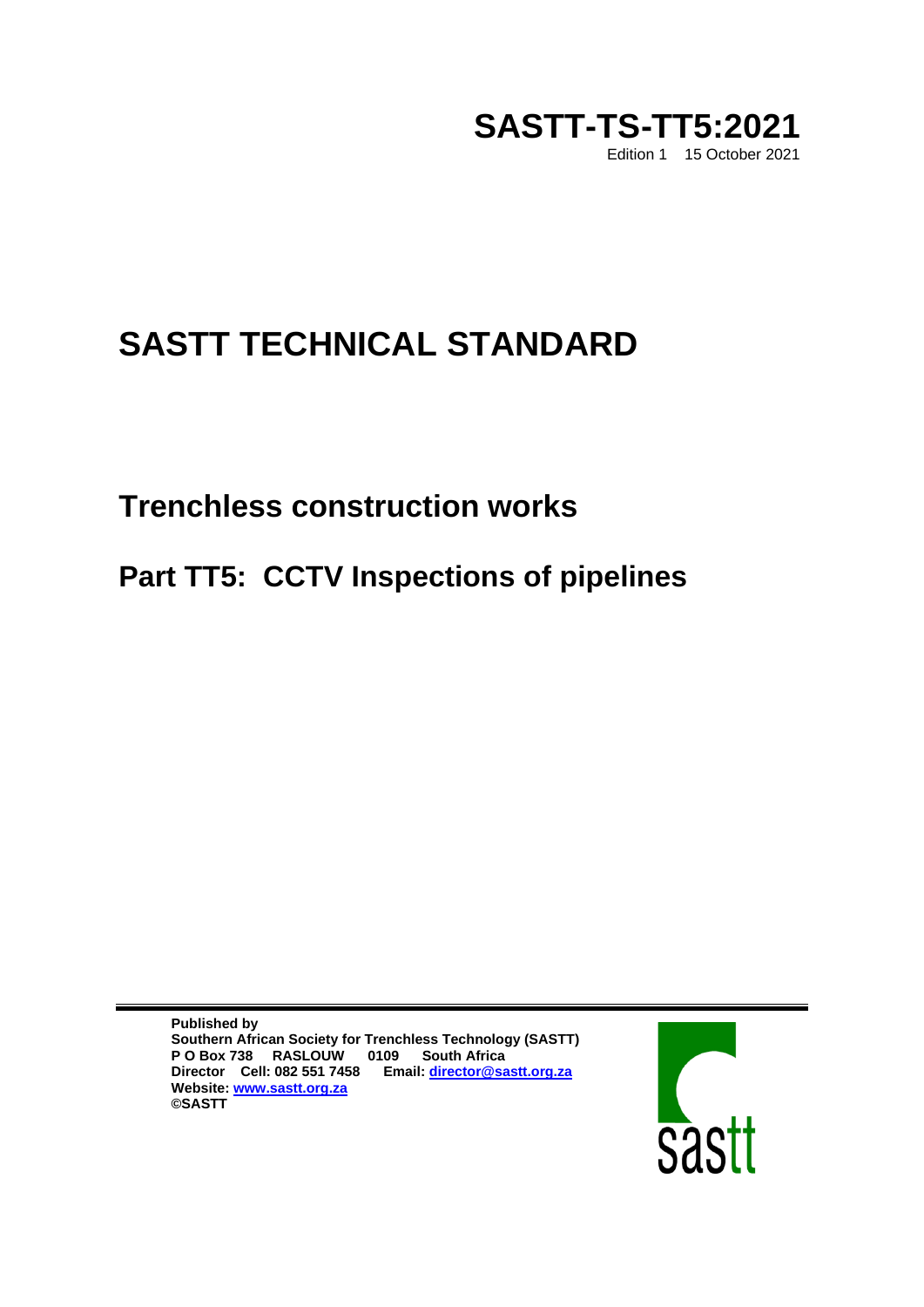

Edition 1 15 October 2021

# **SASTT TECHNICAL STANDARD**

# **Trenchless construction works**

**Part TT5: CCTV Inspections of pipelines**

**Published by Southern African Society for Trenchless Technology (SASTT) P O Box 738 RASLOUW 0109 Director Cell: 082 551 7458 Email[: director@sastt.org.za](mailto:director@sastt.org.za)  Website[: www.sastt.org.za](http://www.sastt.org.za/) ©SASTT**

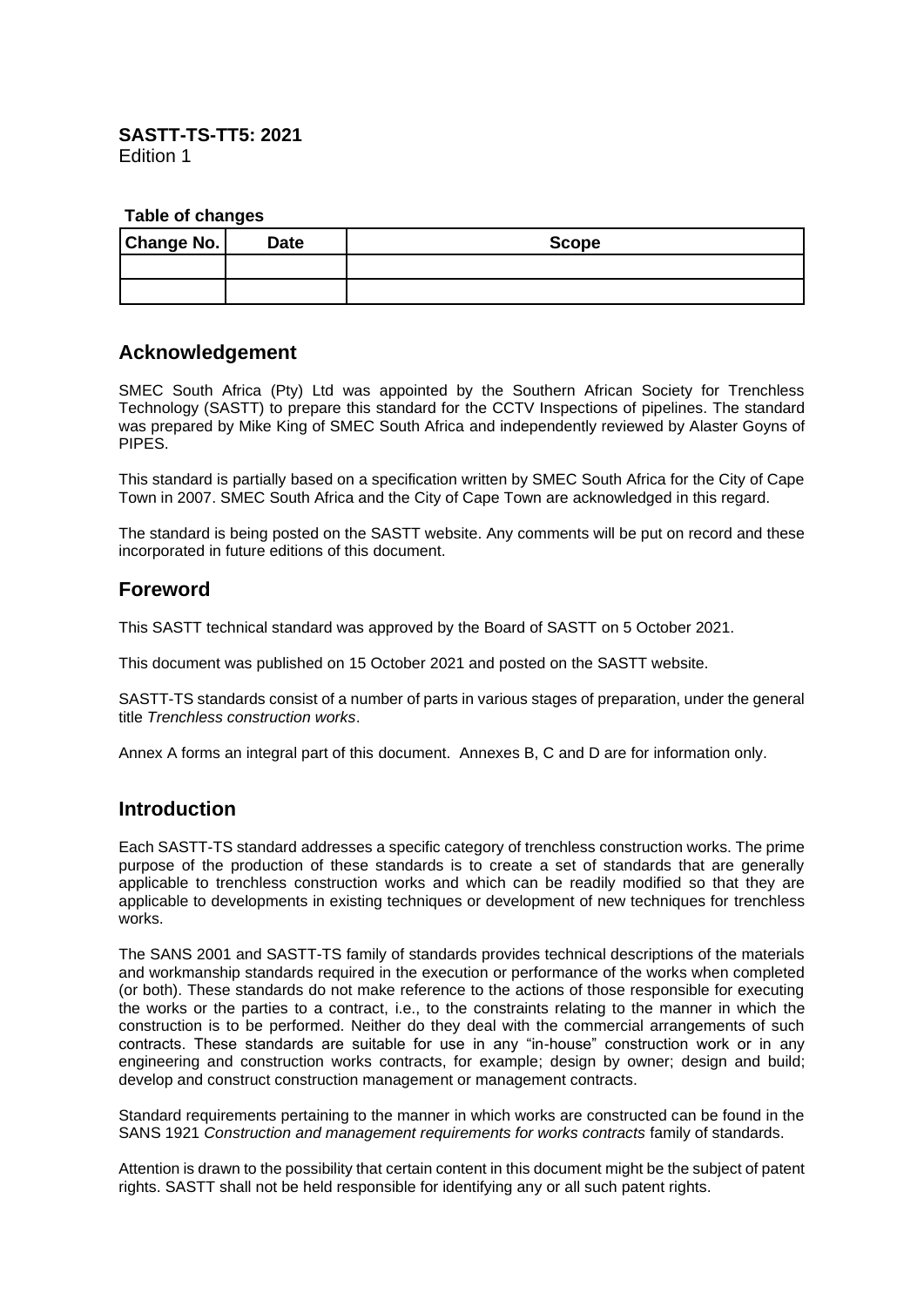#### **Table of changes**

| <b>Change No.</b> | <b>Date</b> | <b>Scope</b> |
|-------------------|-------------|--------------|
|                   |             |              |
|                   |             |              |

## **Acknowledgement**

SMEC South Africa (Pty) Ltd was appointed by the Southern African Society for Trenchless Technology (SASTT) to prepare this standard for the CCTV Inspections of pipelines. The standard was prepared by Mike King of SMEC South Africa and independently reviewed by Alaster Goyns of PIPES.

This standard is partially based on a specification written by SMEC South Africa for the City of Cape Town in 2007. SMEC South Africa and the City of Cape Town are acknowledged in this regard.

The standard is being posted on the SASTT website. Any comments will be put on record and these incorporated in future editions of this document.

## **Foreword**

This SASTT technical standard was approved by the Board of SASTT on 5 October 2021.

This document was published on 15 October 2021 and posted on the SASTT website.

SASTT-TS standards consist of a number of parts in various stages of preparation, under the general title *Trenchless construction works*.

Annex A forms an integral part of this document. Annexes B, C and D are for information only.

## **Introduction**

Each SASTT-TS standard addresses a specific category of trenchless construction works. The prime purpose of the production of these standards is to create a set of standards that are generally applicable to trenchless construction works and which can be readily modified so that they are applicable to developments in existing techniques or development of new techniques for trenchless works.

The SANS 2001 and SASTT-TS family of standards provides technical descriptions of the materials and workmanship standards required in the execution or performance of the works when completed (or both). These standards do not make reference to the actions of those responsible for executing the works or the parties to a contract, i.e., to the constraints relating to the manner in which the construction is to be performed. Neither do they deal with the commercial arrangements of such contracts. These standards are suitable for use in any "in-house" construction work or in any engineering and construction works contracts, for example; design by owner; design and build; develop and construct construction management or management contracts.

Standard requirements pertaining to the manner in which works are constructed can be found in the SANS 1921 *Construction and management requirements for works contracts* family of standards.

Attention is drawn to the possibility that certain content in this document might be the subject of patent rights. SASTT shall not be held responsible for identifying any or all such patent rights.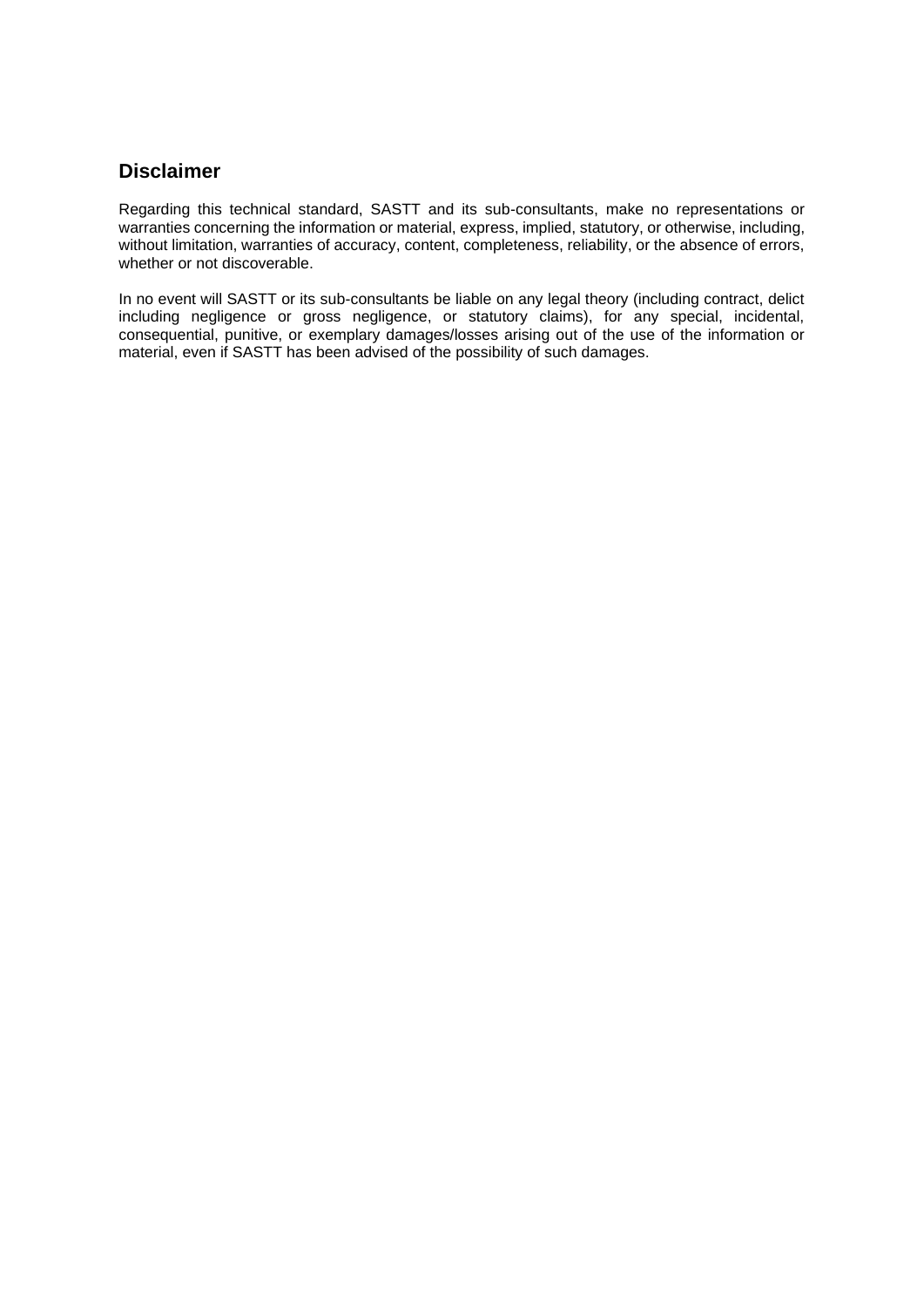## **Disclaimer**

Regarding this technical standard, SASTT and its sub-consultants, make no representations or warranties concerning the information or material, express, implied, statutory, or otherwise, including, without limitation, warranties of accuracy, content, completeness, reliability, or the absence of errors, whether or not discoverable.

In no event will SASTT or its sub-consultants be liable on any legal theory (including contract, delict including negligence or gross negligence, or statutory claims), for any special, incidental, consequential, punitive, or exemplary damages/losses arising out of the use of the information or material, even if SASTT has been advised of the possibility of such damages.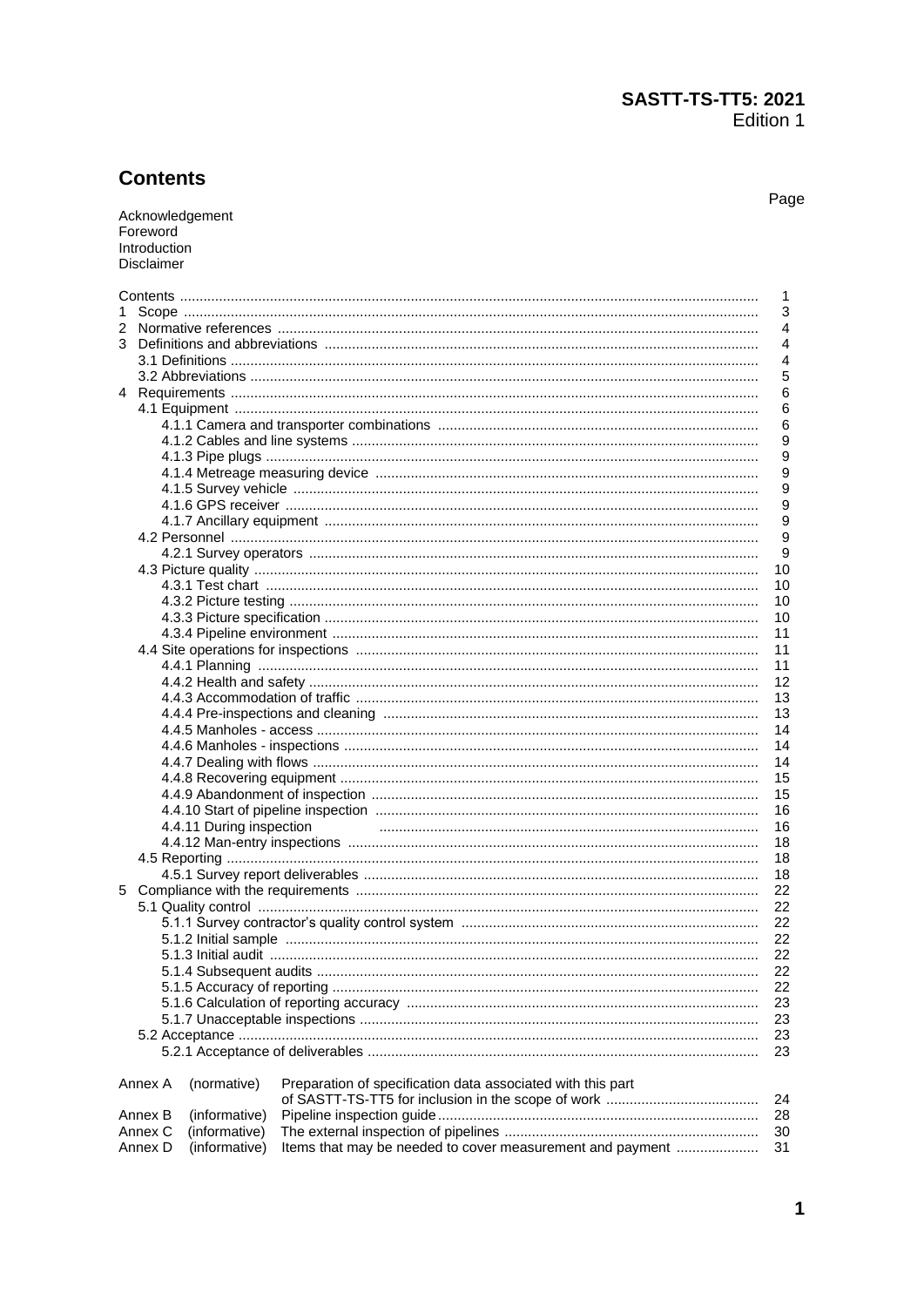## **Contents**

Page

|    | Foreword<br>Introduction<br><b>Disclaimer</b> | Acknowledgement          |                                                             | ι αν             |
|----|-----------------------------------------------|--------------------------|-------------------------------------------------------------|------------------|
|    |                                               |                          |                                                             | 1                |
| 1. |                                               |                          |                                                             | 3                |
|    |                                               |                          |                                                             | $\overline{4}$   |
|    |                                               |                          |                                                             | 4                |
|    |                                               |                          |                                                             | 4                |
|    |                                               |                          |                                                             | 5                |
|    |                                               |                          |                                                             | 6                |
|    |                                               |                          |                                                             | 6                |
|    |                                               |                          |                                                             | 6                |
|    |                                               |                          |                                                             | 9                |
|    |                                               |                          |                                                             | 9                |
|    |                                               |                          |                                                             | 9                |
|    |                                               |                          |                                                             | 9                |
|    |                                               |                          |                                                             | 9                |
|    |                                               |                          |                                                             | 9                |
|    |                                               |                          |                                                             | $\boldsymbol{9}$ |
|    |                                               |                          |                                                             | 9                |
|    |                                               |                          |                                                             | 10               |
|    |                                               |                          |                                                             | 10               |
|    |                                               |                          |                                                             | 10               |
|    |                                               |                          |                                                             | 10               |
|    |                                               |                          |                                                             | 11               |
|    |                                               |                          |                                                             | 11               |
|    |                                               |                          |                                                             | 11               |
|    |                                               |                          |                                                             | 12               |
|    |                                               |                          |                                                             | 13               |
|    |                                               |                          |                                                             | 13               |
|    |                                               |                          |                                                             | 14               |
|    |                                               |                          |                                                             | 14               |
|    |                                               |                          |                                                             | 14<br>15         |
|    |                                               |                          |                                                             | 15               |
|    |                                               |                          |                                                             | 16               |
|    |                                               | 4.4.11 During inspection |                                                             | 16               |
|    |                                               |                          |                                                             | 18               |
|    |                                               |                          |                                                             | 18               |
|    |                                               |                          |                                                             | 18               |
|    |                                               |                          |                                                             | 22               |
|    |                                               |                          |                                                             | 22               |
|    |                                               |                          |                                                             | 22               |
|    |                                               |                          |                                                             | 22               |
|    |                                               |                          |                                                             | 22               |
|    |                                               |                          |                                                             | 22               |
|    |                                               |                          |                                                             | 22               |
|    |                                               |                          |                                                             | 23               |
|    |                                               |                          |                                                             | 23               |
|    |                                               |                          |                                                             | 23               |
|    |                                               |                          |                                                             | 23               |
|    |                                               |                          |                                                             |                  |
|    | Annex A                                       | (normative)              | Preparation of specification data associated with this part |                  |
|    |                                               |                          |                                                             | 24               |
|    | Annex B                                       | (informative)            |                                                             | 28               |
|    | Annex C                                       | (informative)            |                                                             | 30               |
|    | Annex D                                       | (informative)            | Items that may be needed to cover measurement and payment   | 31               |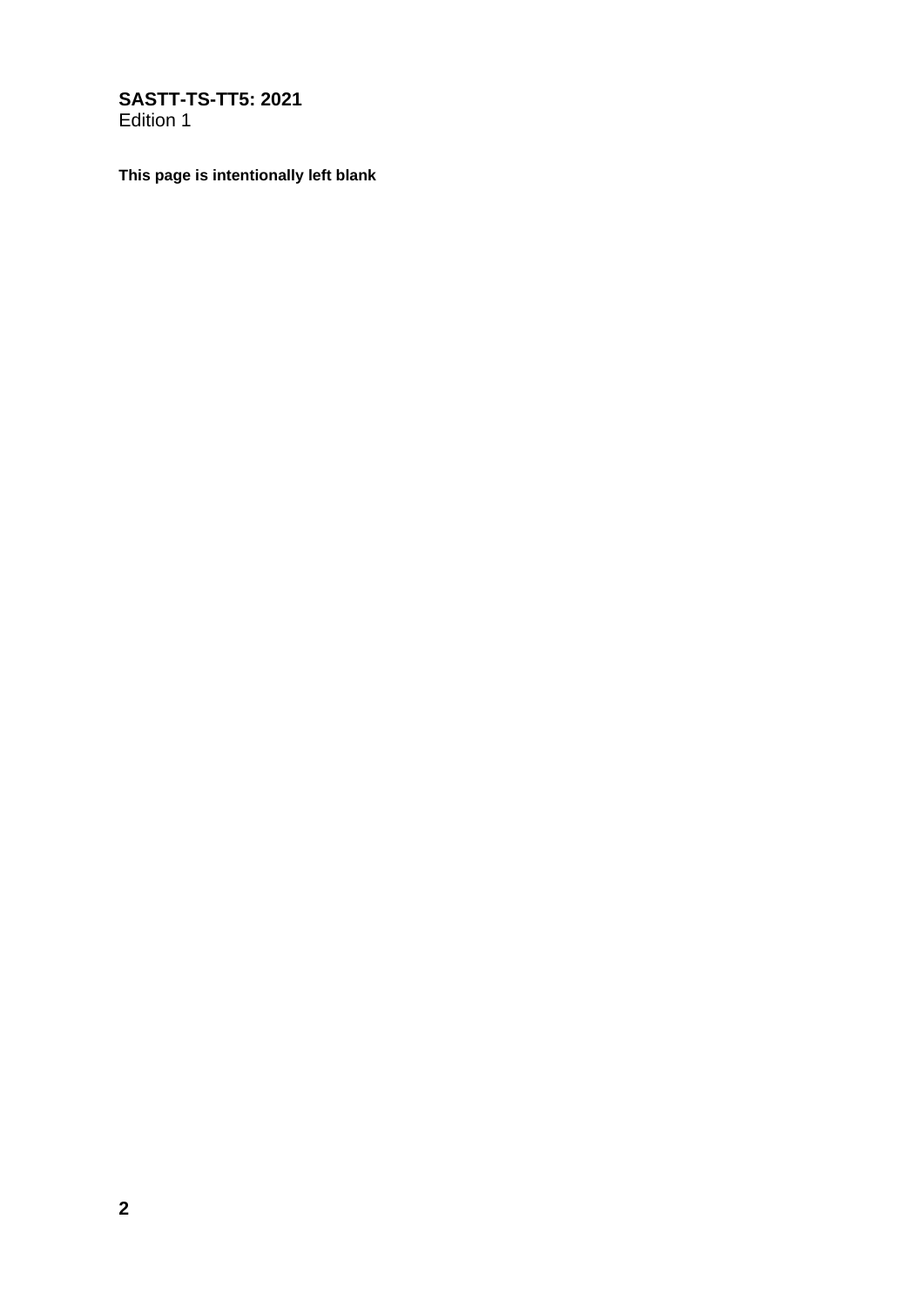**This page is intentionally left blank**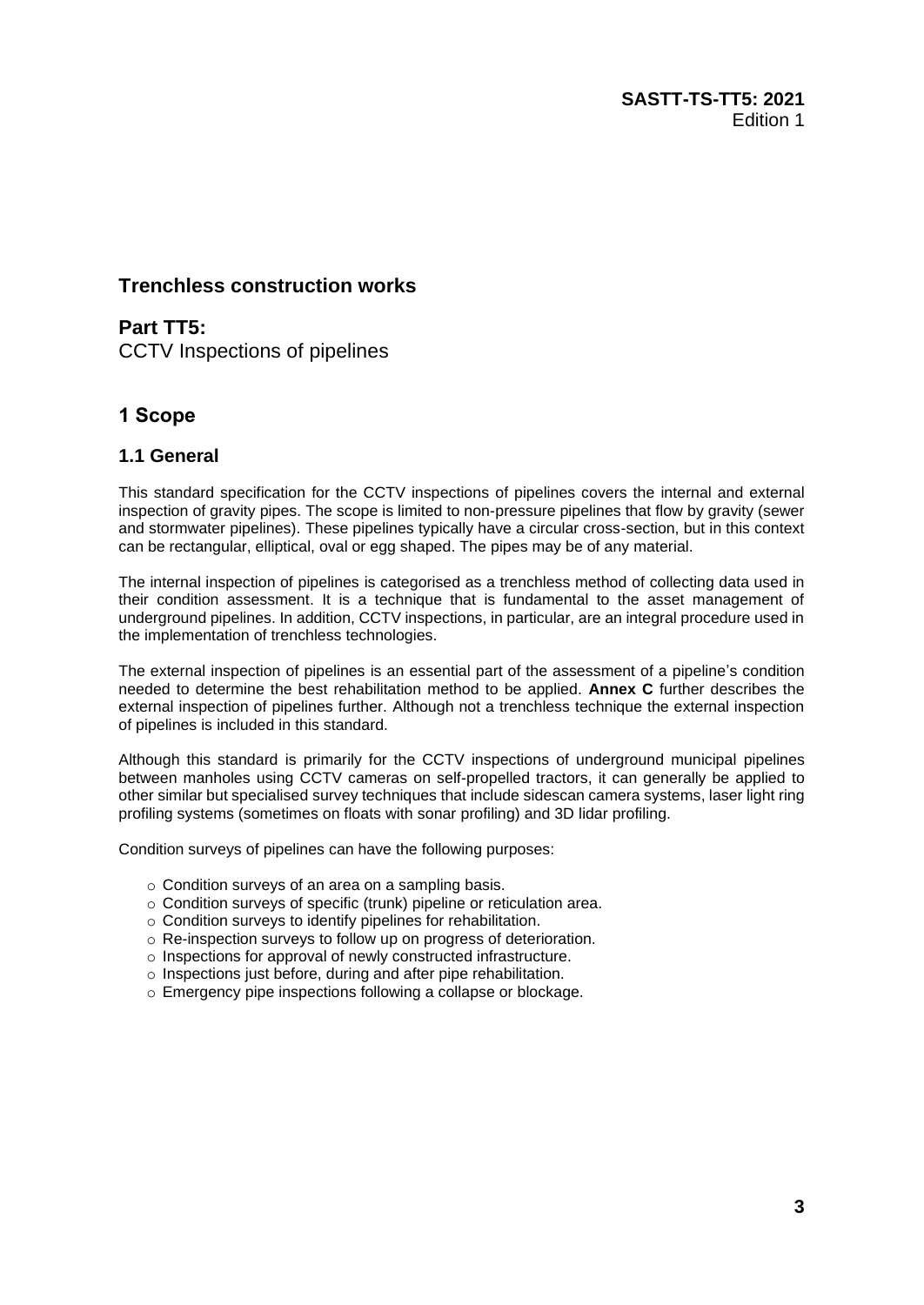## **Trenchless construction works**

**Part TT5:**  CCTV Inspections of pipelines

## **1 Scope**

### **1.1 General**

This standard specification for the CCTV inspections of pipelines covers the internal and external inspection of gravity pipes. The scope is limited to non-pressure pipelines that flow by gravity (sewer and stormwater pipelines). These pipelines typically have a circular cross-section, but in this context can be rectangular, elliptical, oval or egg shaped. The pipes may be of any material.

The internal inspection of pipelines is categorised as a trenchless method of collecting data used in their condition assessment. It is a technique that is fundamental to the asset management of underground pipelines. In addition, CCTV inspections, in particular, are an integral procedure used in the implementation of trenchless technologies.

The external inspection of pipelines is an essential part of the assessment of a pipeline's condition needed to determine the best rehabilitation method to be applied. **Annex C** further describes the external inspection of pipelines further. Although not a trenchless technique the external inspection of pipelines is included in this standard.

Although this standard is primarily for the CCTV inspections of underground municipal pipelines between manholes using CCTV cameras on self-propelled tractors, it can generally be applied to other similar but specialised survey techniques that include sidescan camera systems, laser light ring profiling systems (sometimes on floats with sonar profiling) and 3D lidar profiling.

Condition surveys of pipelines can have the following purposes:

- o Condition surveys of an area on a sampling basis.
- o Condition surveys of specific (trunk) pipeline or reticulation area.
- o Condition surveys to identify pipelines for rehabilitation.
- o Re-inspection surveys to follow up on progress of deterioration.
- o Inspections for approval of newly constructed infrastructure.
- o Inspections just before, during and after pipe rehabilitation.
- o Emergency pipe inspections following a collapse or blockage.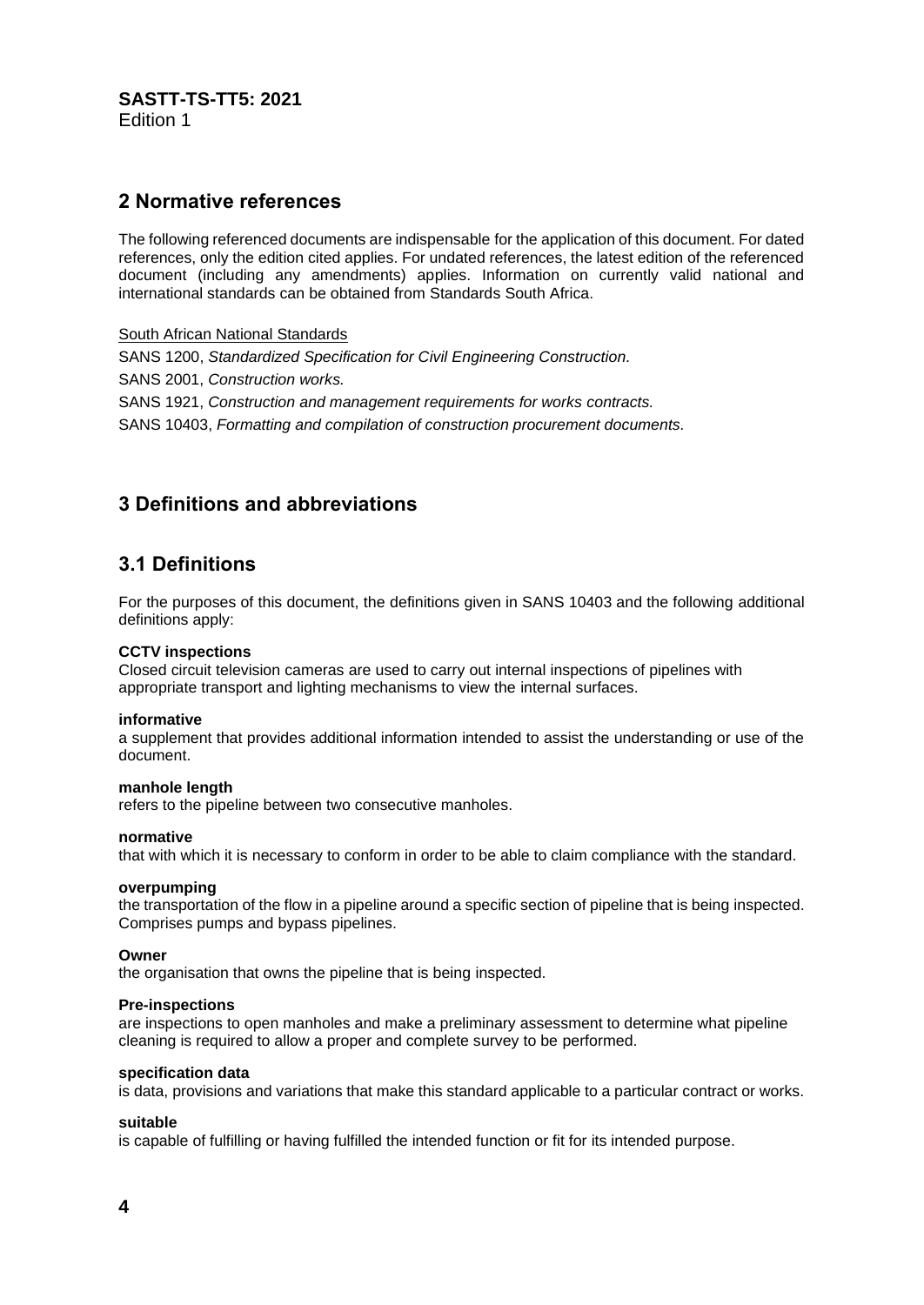## **2 Normative references**

The following referenced documents are indispensable for the application of this document. For dated references, only the edition cited applies. For undated references, the latest edition of the referenced document (including any amendments) applies. Information on currently valid national and international standards can be obtained from Standards South Africa.

South African National Standards

SANS 1200, *Standardized Specification for Civil Engineering Construction.* SANS 2001, *Construction works.* SANS 1921, *Construction and management requirements for works contracts.* SANS 10403, *Formatting and compilation of construction procurement documents.* 

## **3 Definitions and abbreviations**

## **3.1 Definitions**

For the purposes of this document, the definitions given in SANS 10403 and the following additional definitions apply:

#### **CCTV inspections**

Closed circuit television cameras are used to carry out internal inspections of pipelines with appropriate transport and lighting mechanisms to view the internal surfaces.

#### **informative**

a supplement that provides additional information intended to assist the understanding or use of the document.

#### **manhole length**

refers to the pipeline between two consecutive manholes.

#### **normative**

that with which it is necessary to conform in order to be able to claim compliance with the standard.

#### **overpumping**

the transportation of the flow in a pipeline around a specific section of pipeline that is being inspected. Comprises pumps and bypass pipelines.

#### **Owner**

the organisation that owns the pipeline that is being inspected.

#### **Pre-inspections**

are inspections to open manholes and make a preliminary assessment to determine what pipeline cleaning is required to allow a proper and complete survey to be performed.

#### **specification data**

is data, provisions and variations that make this standard applicable to a particular contract or works.

#### **suitable**

is capable of fulfilling or having fulfilled the intended function or fit for its intended purpose.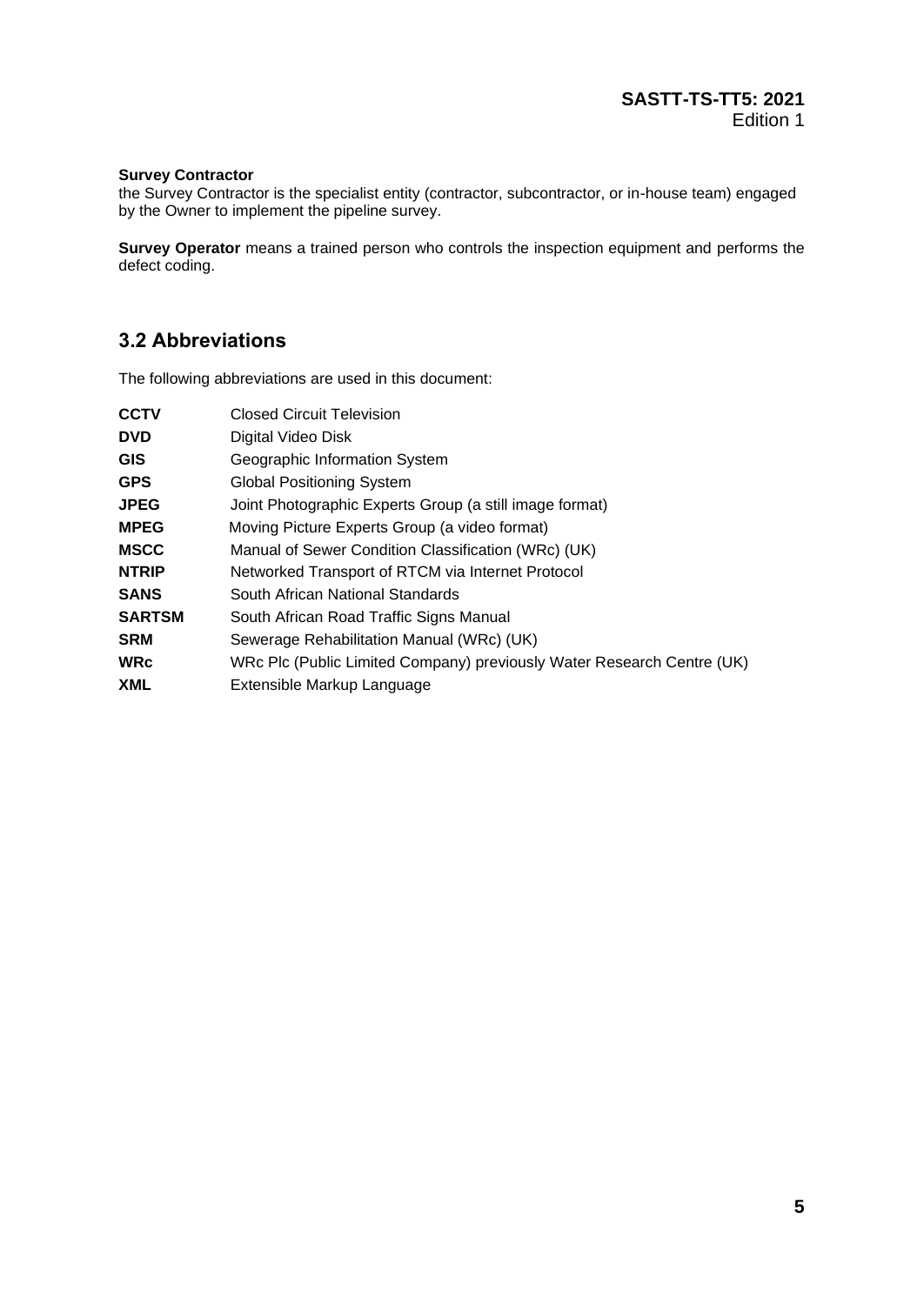#### **Survey Contractor**

the Survey Contractor is the specialist entity (contractor, subcontractor, or in-house team) engaged by the Owner to implement the pipeline survey.

**Survey Operator** means a trained person who controls the inspection equipment and performs the defect coding.

## **3.2 Abbreviations**

The following abbreviations are used in this document:

| CCTV        | <b>Closed Circuit Television</b>                                       |
|-------------|------------------------------------------------------------------------|
| DVD         | Digital Video Disk                                                     |
| GIS.        | Geographic Information System                                          |
| GPS.        | <b>Global Positioning System</b>                                       |
| <b>JPEG</b> | Joint Photographic Experts Group (a still image format)                |
| <b>MPEG</b> | Moving Picture Experts Group (a video format)                          |
| MSCC        | Manual of Sewer Condition Classification (WRc) (UK)                    |
| NTRIP       | Networked Transport of RTCM via Internet Protocol                      |
| SANS        | South African National Standards                                       |
| SARTSM      | South African Road Traffic Signs Manual                                |
| SRM         | Sewerage Rehabilitation Manual (WRc) (UK)                              |
| WRc         | WRc Plc (Public Limited Company) previously Water Research Centre (UK) |
| XML         | Extensible Markup Language                                             |
|             |                                                                        |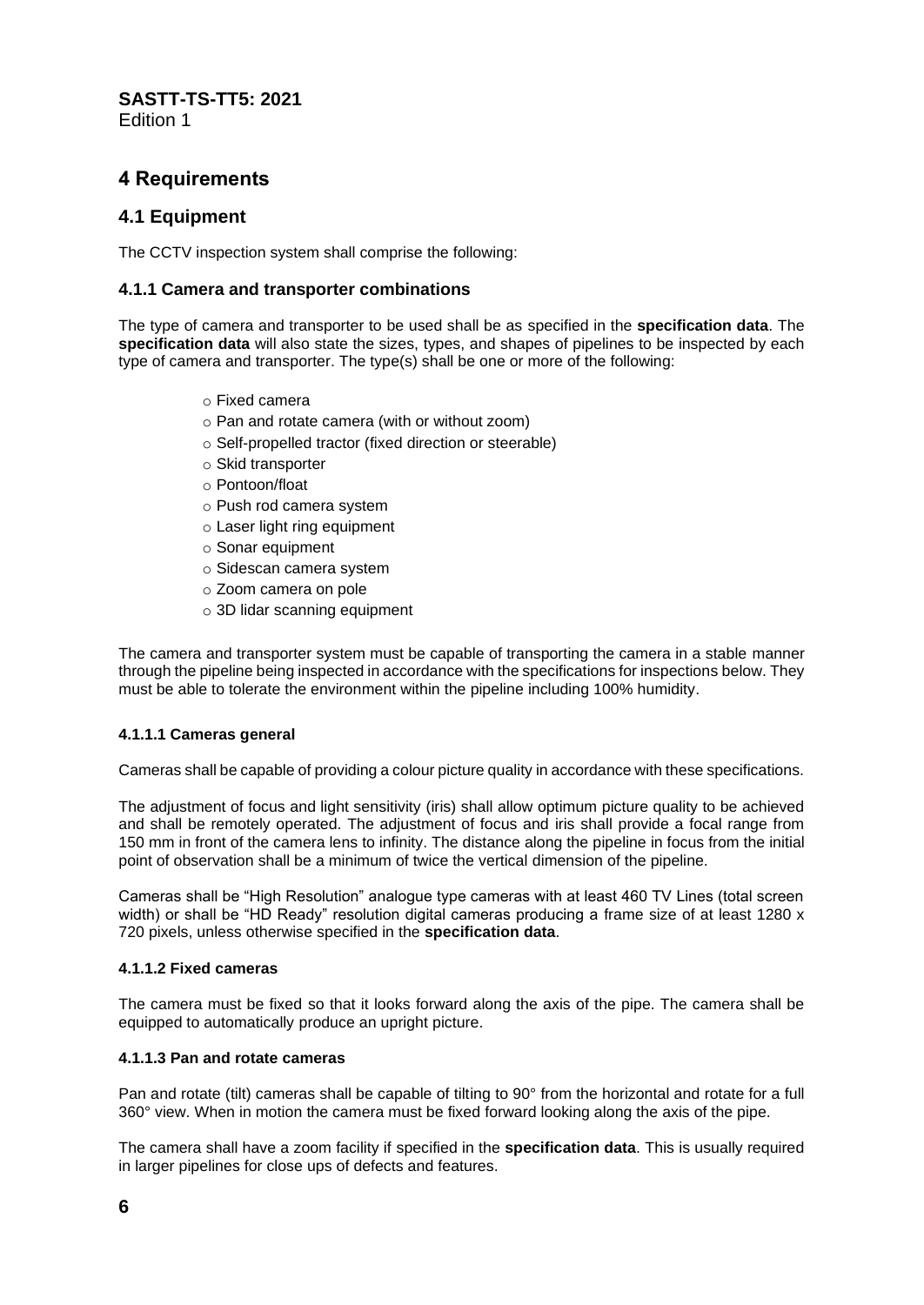## **SASTT-TS-TT5: 2021**

Edition 1

## **4 Requirements**

## **4.1 Equipment**

The CCTV inspection system shall comprise the following:

## **4.1.1 Camera and transporter combinations**

The type of camera and transporter to be used shall be as specified in the **specification data**. The **specification data** will also state the sizes, types, and shapes of pipelines to be inspected by each type of camera and transporter. The type(s) shall be one or more of the following:

- o Fixed camera
- o Pan and rotate camera (with or without zoom)
- o Self-propelled tractor (fixed direction or steerable)
- o Skid transporter
- o Pontoon/float
- o Push rod camera system
- o Laser light ring equipment
- o Sonar equipment
- o Sidescan camera system
- o Zoom camera on pole
- o 3D lidar scanning equipment

The camera and transporter system must be capable of transporting the camera in a stable manner through the pipeline being inspected in accordance with the specifications for inspections below. They must be able to tolerate the environment within the pipeline including 100% humidity.

#### **4.1.1.1 Cameras general**

Cameras shall be capable of providing a colour picture quality in accordance with these specifications.

The adjustment of focus and light sensitivity (iris) shall allow optimum picture quality to be achieved and shall be remotely operated. The adjustment of focus and iris shall provide a focal range from 150 mm in front of the camera lens to infinity. The distance along the pipeline in focus from the initial point of observation shall be a minimum of twice the vertical dimension of the pipeline.

Cameras shall be "High Resolution" analogue type cameras with at least 460 TV Lines (total screen width) or shall be "HD Ready" resolution digital cameras producing a frame size of at least 1280 x 720 pixels, unless otherwise specified in the **specification data**.

#### **4.1.1.2 Fixed cameras**

The camera must be fixed so that it looks forward along the axis of the pipe. The camera shall be equipped to automatically produce an upright picture.

#### **4.1.1.3 Pan and rotate cameras**

Pan and rotate (tilt) cameras shall be capable of tilting to 90° from the horizontal and rotate for a full 360° view. When in motion the camera must be fixed forward looking along the axis of the pipe.

The camera shall have a zoom facility if specified in the **specification data**. This is usually required in larger pipelines for close ups of defects and features.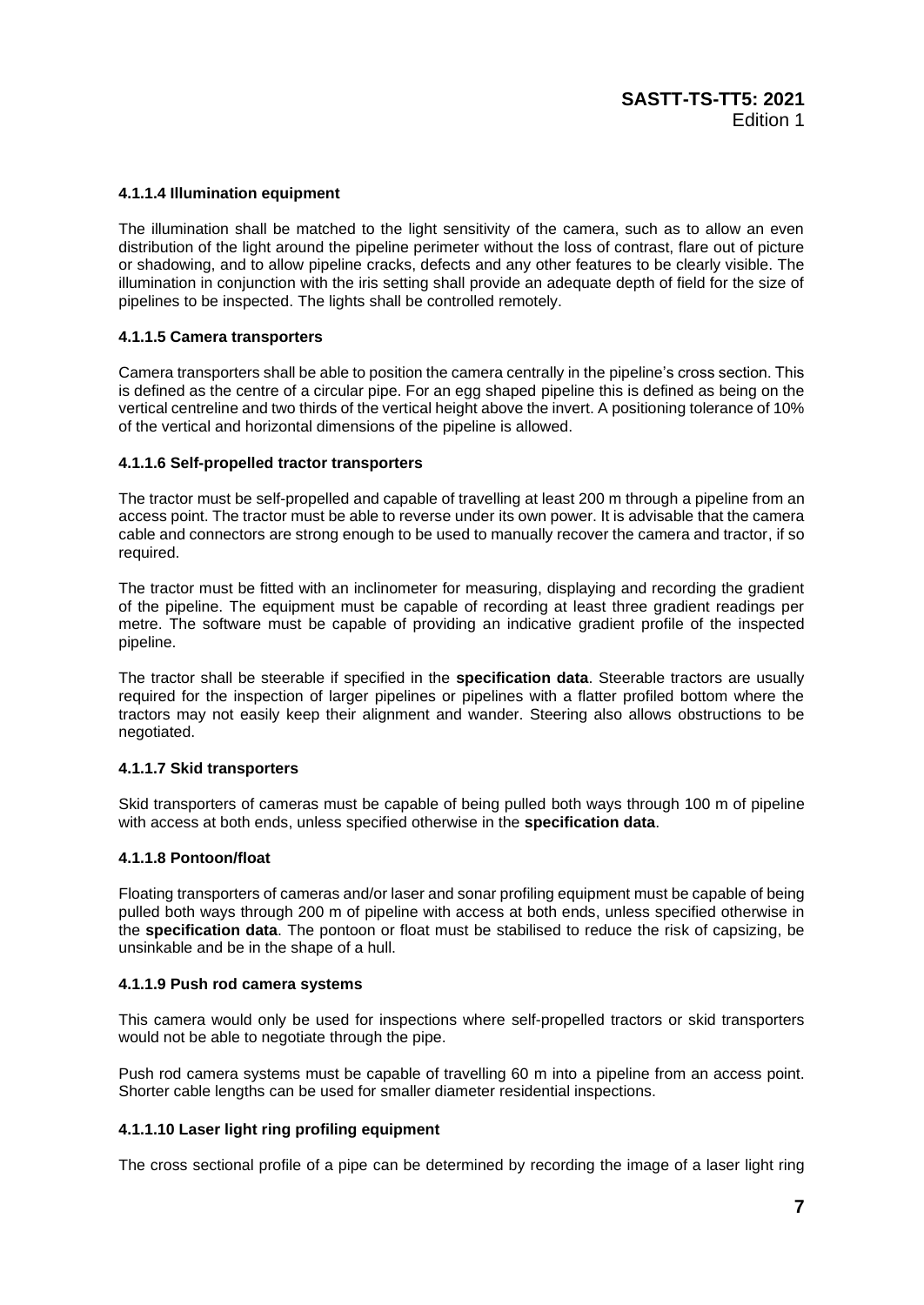#### **4.1.1.4 Illumination equipment**

The illumination shall be matched to the light sensitivity of the camera, such as to allow an even distribution of the light around the pipeline perimeter without the loss of contrast, flare out of picture or shadowing, and to allow pipeline cracks, defects and any other features to be clearly visible. The illumination in conjunction with the iris setting shall provide an adequate depth of field for the size of pipelines to be inspected. The lights shall be controlled remotely.

#### **4.1.1.5 Camera transporters**

Camera transporters shall be able to position the camera centrally in the pipeline's cross section. This is defined as the centre of a circular pipe. For an egg shaped pipeline this is defined as being on the vertical centreline and two thirds of the vertical height above the invert. A positioning tolerance of 10% of the vertical and horizontal dimensions of the pipeline is allowed.

#### **4.1.1.6 Self-propelled tractor transporters**

The tractor must be self-propelled and capable of travelling at least 200 m through a pipeline from an access point. The tractor must be able to reverse under its own power. It is advisable that the camera cable and connectors are strong enough to be used to manually recover the camera and tractor, if so required.

The tractor must be fitted with an inclinometer for measuring, displaying and recording the gradient of the pipeline. The equipment must be capable of recording at least three gradient readings per metre. The software must be capable of providing an indicative gradient profile of the inspected pipeline.

The tractor shall be steerable if specified in the **specification data**. Steerable tractors are usually required for the inspection of larger pipelines or pipelines with a flatter profiled bottom where the tractors may not easily keep their alignment and wander. Steering also allows obstructions to be negotiated.

#### **4.1.1.7 Skid transporters**

Skid transporters of cameras must be capable of being pulled both ways through 100 m of pipeline with access at both ends, unless specified otherwise in the **specification data**.

#### **4.1.1.8 Pontoon/float**

Floating transporters of cameras and/or laser and sonar profiling equipment must be capable of being pulled both ways through 200 m of pipeline with access at both ends, unless specified otherwise in the **specification data**. The pontoon or float must be stabilised to reduce the risk of capsizing, be unsinkable and be in the shape of a hull.

#### **4.1.1.9 Push rod camera systems**

This camera would only be used for inspections where self-propelled tractors or skid transporters would not be able to negotiate through the pipe.

Push rod camera systems must be capable of travelling 60 m into a pipeline from an access point. Shorter cable lengths can be used for smaller diameter residential inspections.

#### **4.1.1.10 Laser light ring profiling equipment**

The cross sectional profile of a pipe can be determined by recording the image of a laser light ring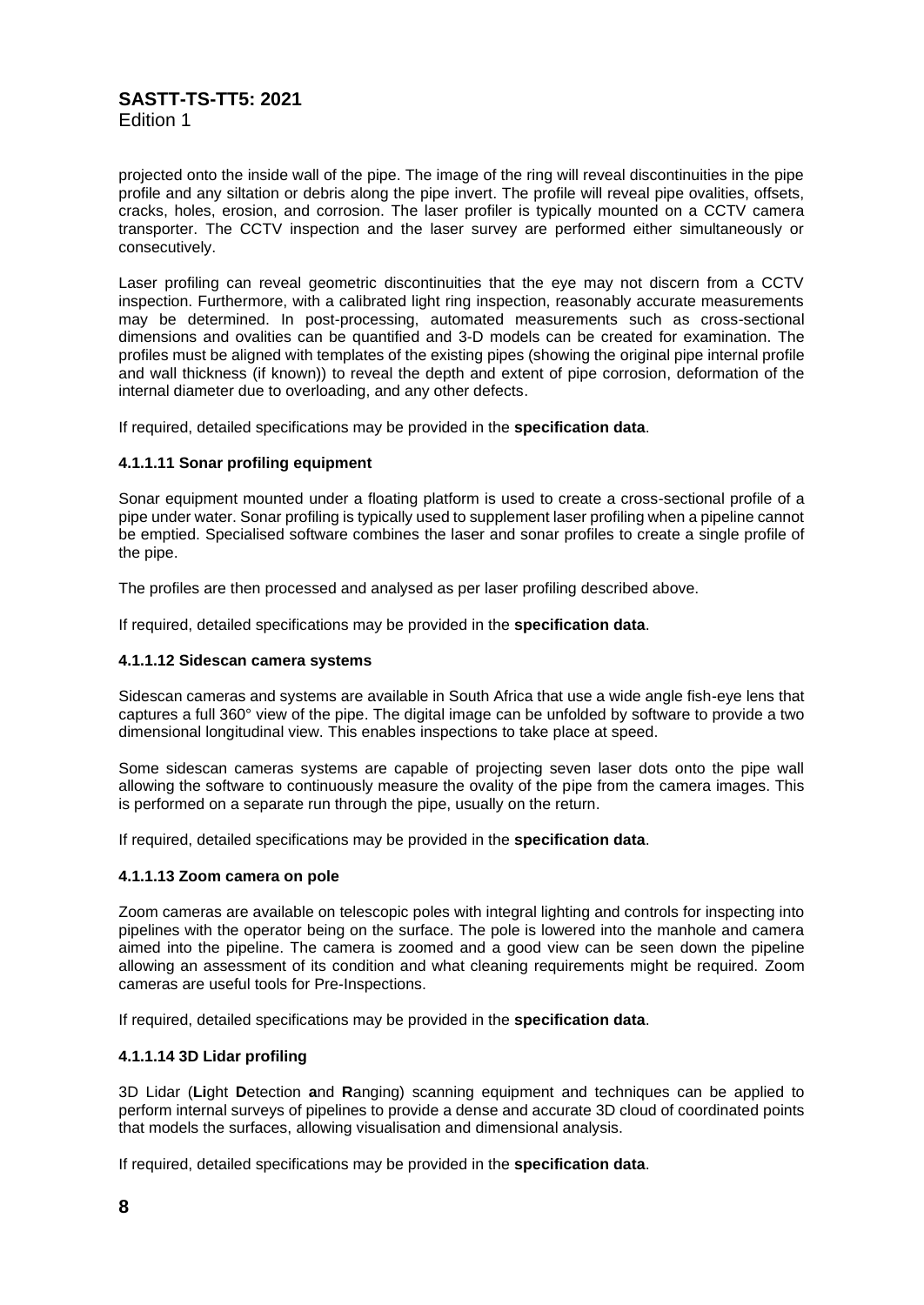projected onto the inside wall of the pipe. The image of the ring will reveal discontinuities in the pipe profile and any siltation or debris along the pipe invert. The profile will reveal pipe ovalities, offsets, cracks, holes, erosion, and corrosion. The laser profiler is typically mounted on a CCTV camera transporter. The CCTV inspection and the laser survey are performed either simultaneously or consecutively.

Laser profiling can reveal geometric discontinuities that the eye may not discern from a CCTV inspection. Furthermore, with a calibrated light ring inspection, reasonably accurate measurements may be determined. In post-processing, automated measurements such as cross-sectional dimensions and ovalities can be quantified and 3-D models can be created for examination. The profiles must be aligned with templates of the existing pipes (showing the original pipe internal profile and wall thickness (if known)) to reveal the depth and extent of pipe corrosion, deformation of the internal diameter due to overloading, and any other defects.

If required, detailed specifications may be provided in the **specification data**.

#### **4.1.1.11 Sonar profiling equipment**

Sonar equipment mounted under a floating platform is used to create a cross-sectional profile of a pipe under water. Sonar profiling is typically used to supplement laser profiling when a pipeline cannot be emptied. Specialised software combines the laser and sonar profiles to create a single profile of the pipe.

The profiles are then processed and analysed as per laser profiling described above.

If required, detailed specifications may be provided in the **specification data**.

#### **4.1.1.12 Sidescan camera systems**

Sidescan cameras and systems are available in South Africa that use a wide angle fish-eye lens that captures a full 360° view of the pipe. The digital image can be unfolded by software to provide a two dimensional longitudinal view. This enables inspections to take place at speed.

Some sidescan cameras systems are capable of projecting seven laser dots onto the pipe wall allowing the software to continuously measure the ovality of the pipe from the camera images. This is performed on a separate run through the pipe, usually on the return.

If required, detailed specifications may be provided in the **specification data**.

#### **4.1.1.13 Zoom camera on pole**

Zoom cameras are available on telescopic poles with integral lighting and controls for inspecting into pipelines with the operator being on the surface. The pole is lowered into the manhole and camera aimed into the pipeline. The camera is zoomed and a good view can be seen down the pipeline allowing an assessment of its condition and what cleaning requirements might be required. Zoom cameras are useful tools for Pre-Inspections.

If required, detailed specifications may be provided in the **specification data**.

#### **4.1.1.14 3D Lidar profiling**

3D Lidar (**Li**ght **D**etection **a**nd **R**anging) scanning equipment and techniques can be applied to perform internal surveys of pipelines to provide a dense and accurate 3D cloud of coordinated points that models the surfaces, allowing visualisation and dimensional analysis.

If required, detailed specifications may be provided in the **specification data**.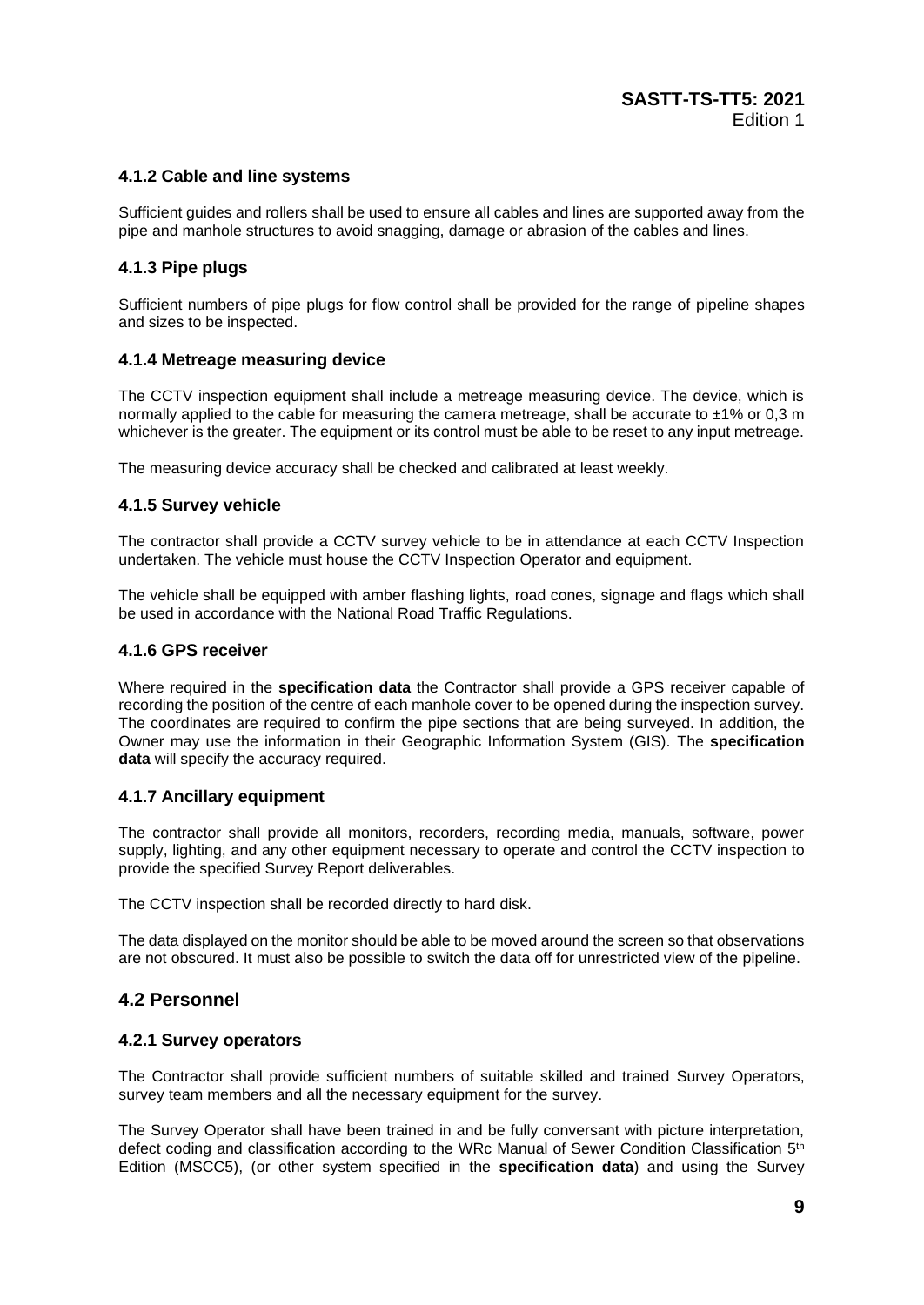### **4.1.2 Cable and line systems**

Sufficient guides and rollers shall be used to ensure all cables and lines are supported away from the pipe and manhole structures to avoid snagging, damage or abrasion of the cables and lines.

### **4.1.3 Pipe plugs**

Sufficient numbers of pipe plugs for flow control shall be provided for the range of pipeline shapes and sizes to be inspected.

#### **4.1.4 Metreage measuring device**

The CCTV inspection equipment shall include a metreage measuring device. The device, which is normally applied to the cable for measuring the camera metreage, shall be accurate to  $\pm 1\%$  or 0,3 m whichever is the greater. The equipment or its control must be able to be reset to any input metreage.

The measuring device accuracy shall be checked and calibrated at least weekly.

#### **4.1.5 Survey vehicle**

The contractor shall provide a CCTV survey vehicle to be in attendance at each CCTV Inspection undertaken. The vehicle must house the CCTV Inspection Operator and equipment.

The vehicle shall be equipped with amber flashing lights, road cones, signage and flags which shall be used in accordance with the National Road Traffic Regulations.

#### **4.1.6 GPS receiver**

Where required in the **specification data** the Contractor shall provide a GPS receiver capable of recording the position of the centre of each manhole cover to be opened during the inspection survey. The coordinates are required to confirm the pipe sections that are being surveyed. In addition, the Owner may use the information in their Geographic Information System (GIS). The **specification data** will specify the accuracy required.

#### **4.1.7 Ancillary equipment**

The contractor shall provide all monitors, recorders, recording media, manuals, software, power supply, lighting, and any other equipment necessary to operate and control the CCTV inspection to provide the specified Survey Report deliverables.

The CCTV inspection shall be recorded directly to hard disk.

The data displayed on the monitor should be able to be moved around the screen so that observations are not obscured. It must also be possible to switch the data off for unrestricted view of the pipeline.

#### **4.2 Personnel**

#### **4.2.1 Survey operators**

The Contractor shall provide sufficient numbers of suitable skilled and trained Survey Operators, survey team members and all the necessary equipment for the survey.

The Survey Operator shall have been trained in and be fully conversant with picture interpretation, defect coding and classification according to the WRc Manual of Sewer Condition Classification 5<sup>th</sup> Edition (MSCC5), (or other system specified in the **specification data**) and using the Survey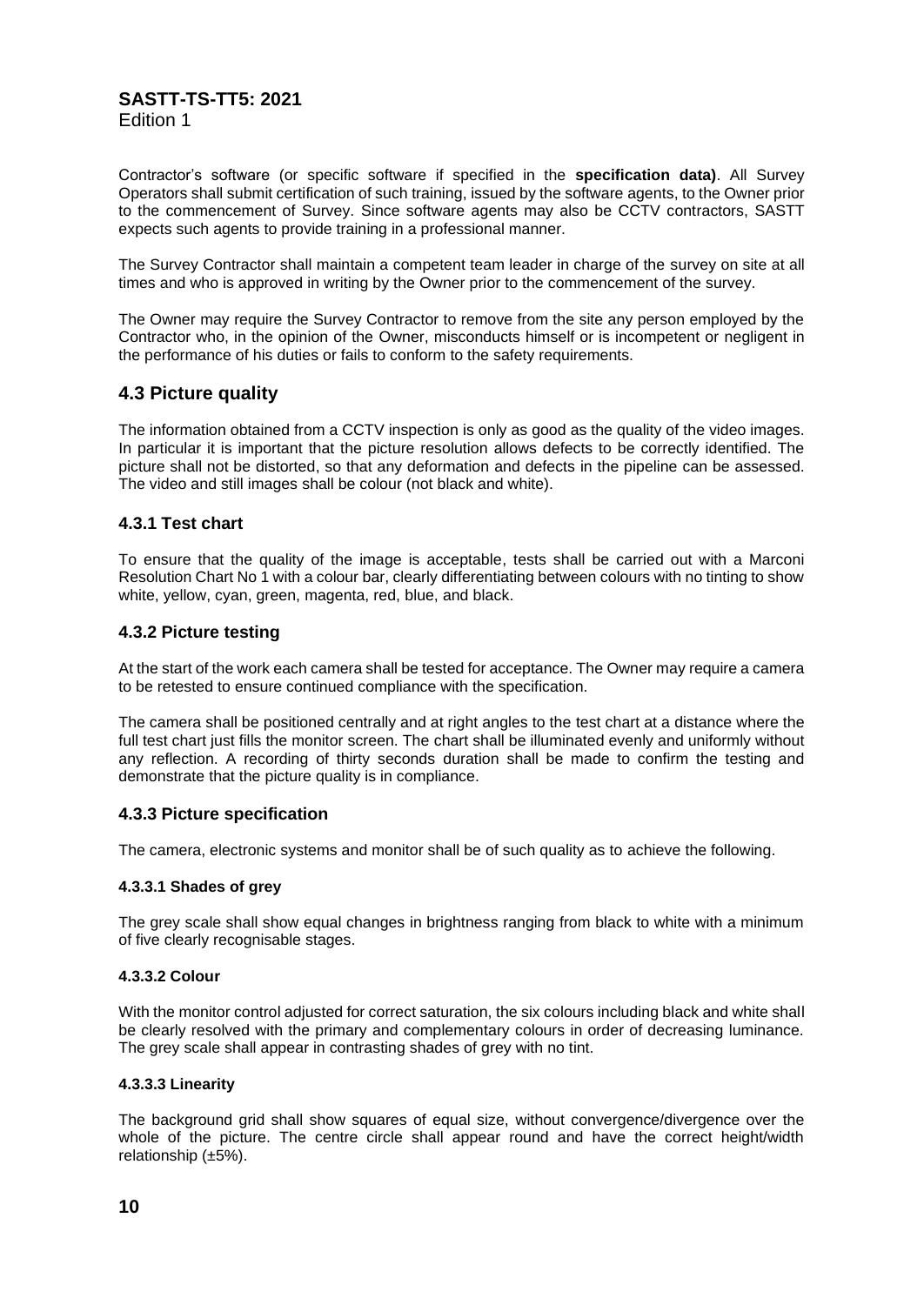Contractor's software (or specific software if specified in the **specification data)**. All Survey Operators shall submit certification of such training, issued by the software agents, to the Owner prior to the commencement of Survey. Since software agents may also be CCTV contractors, SASTT expects such agents to provide training in a professional manner.

The Survey Contractor shall maintain a competent team leader in charge of the survey on site at all times and who is approved in writing by the Owner prior to the commencement of the survey.

The Owner may require the Survey Contractor to remove from the site any person employed by the Contractor who, in the opinion of the Owner, misconducts himself or is incompetent or negligent in the performance of his duties or fails to conform to the safety requirements.

## **4.3 Picture quality**

The information obtained from a CCTV inspection is only as good as the quality of the video images. In particular it is important that the picture resolution allows defects to be correctly identified. The picture shall not be distorted, so that any deformation and defects in the pipeline can be assessed. The video and still images shall be colour (not black and white).

### **4.3.1 Test chart**

To ensure that the quality of the image is acceptable, tests shall be carried out with a Marconi Resolution Chart No 1 with a colour bar, clearly differentiating between colours with no tinting to show white, yellow, cyan, green, magenta, red, blue, and black.

### **4.3.2 Picture testing**

At the start of the work each camera shall be tested for acceptance. The Owner may require a camera to be retested to ensure continued compliance with the specification.

The camera shall be positioned centrally and at right angles to the test chart at a distance where the full test chart just fills the monitor screen. The chart shall be illuminated evenly and uniformly without any reflection. A recording of thirty seconds duration shall be made to confirm the testing and demonstrate that the picture quality is in compliance.

#### **4.3.3 Picture specification**

The camera, electronic systems and monitor shall be of such quality as to achieve the following.

#### **4.3.3.1 Shades of grey**

The grey scale shall show equal changes in brightness ranging from black to white with a minimum of five clearly recognisable stages.

### **4.3.3.2 Colour**

With the monitor control adjusted for correct saturation, the six colours including black and white shall be clearly resolved with the primary and complementary colours in order of decreasing luminance. The grey scale shall appear in contrasting shades of grey with no tint.

#### **4.3.3.3 Linearity**

The background grid shall show squares of equal size, without convergence/divergence over the whole of the picture. The centre circle shall appear round and have the correct height/width relationship (±5%).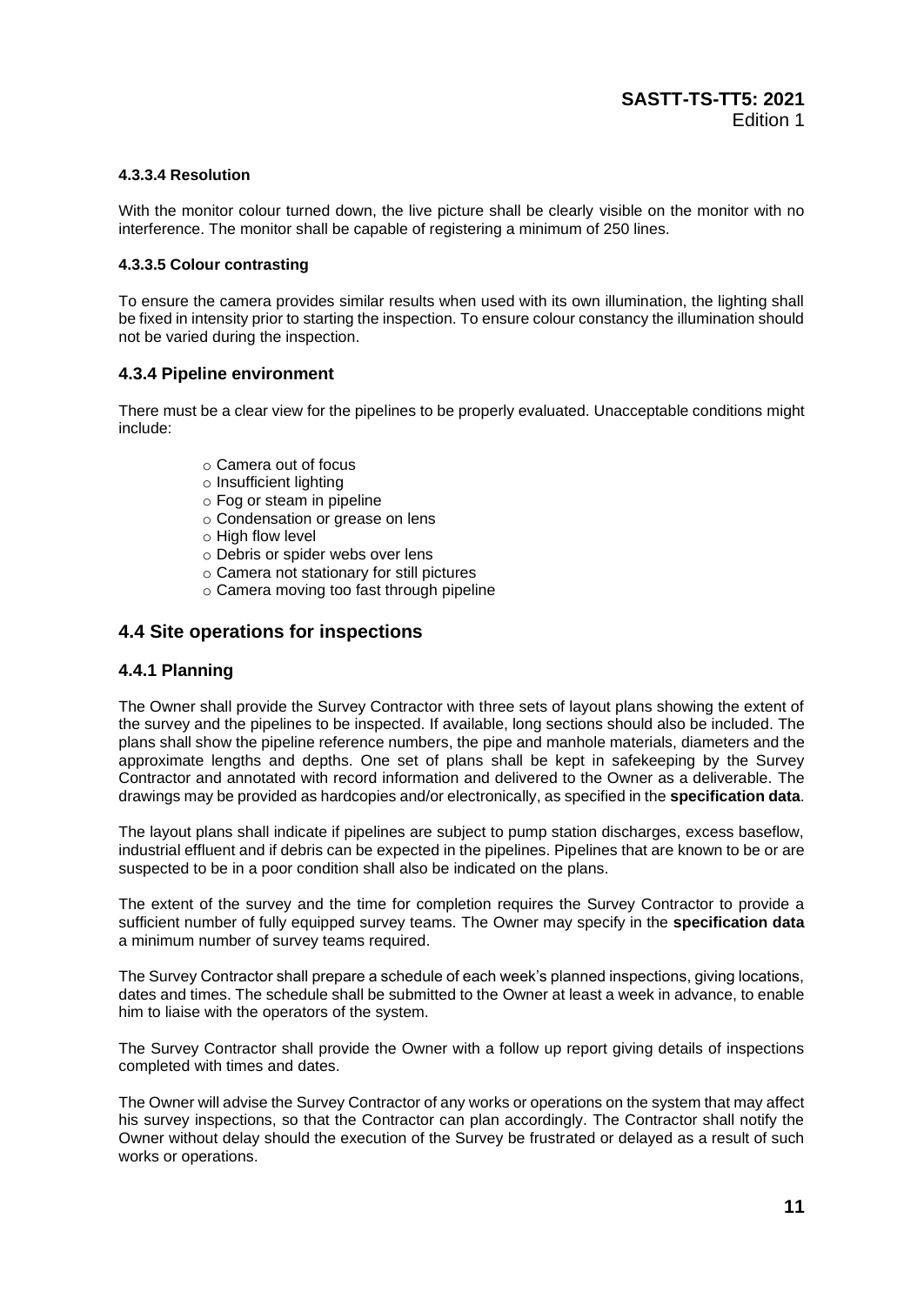#### **4.3.3.4 Resolution**

With the monitor colour turned down, the live picture shall be clearly visible on the monitor with no interference. The monitor shall be capable of registering a minimum of 250 lines.

#### **4.3.3.5 Colour contrasting**

To ensure the camera provides similar results when used with its own illumination, the lighting shall be fixed in intensity prior to starting the inspection. To ensure colour constancy the illumination should not be varied during the inspection.

#### **4.3.4 Pipeline environment**

There must be a clear view for the pipelines to be properly evaluated. Unacceptable conditions might include:

- o Camera out of focus
- o Insufficient lighting
- o Fog or steam in pipeline
- o Condensation or grease on lens
- o High flow level
- o Debris or spider webs over lens
- o Camera not stationary for still pictures
- o Camera moving too fast through pipeline

## **4.4 Site operations for inspections**

#### **4.4.1 Planning**

The Owner shall provide the Survey Contractor with three sets of layout plans showing the extent of the survey and the pipelines to be inspected. If available, long sections should also be included. The plans shall show the pipeline reference numbers, the pipe and manhole materials, diameters and the approximate lengths and depths. One set of plans shall be kept in safekeeping by the Survey Contractor and annotated with record information and delivered to the Owner as a deliverable. The drawings may be provided as hardcopies and/or electronically, as specified in the **specification data**.

The layout plans shall indicate if pipelines are subject to pump station discharges, excess baseflow, industrial effluent and if debris can be expected in the pipelines. Pipelines that are known to be or are suspected to be in a poor condition shall also be indicated on the plans.

The extent of the survey and the time for completion requires the Survey Contractor to provide a sufficient number of fully equipped survey teams. The Owner may specify in the **specification data**  a minimum number of survey teams required.

The Survey Contractor shall prepare a schedule of each week's planned inspections, giving locations, dates and times. The schedule shall be submitted to the Owner at least a week in advance, to enable him to liaise with the operators of the system.

The Survey Contractor shall provide the Owner with a follow up report giving details of inspections completed with times and dates.

The Owner will advise the Survey Contractor of any works or operations on the system that may affect his survey inspections, so that the Contractor can plan accordingly. The Contractor shall notify the Owner without delay should the execution of the Survey be frustrated or delayed as a result of such works or operations.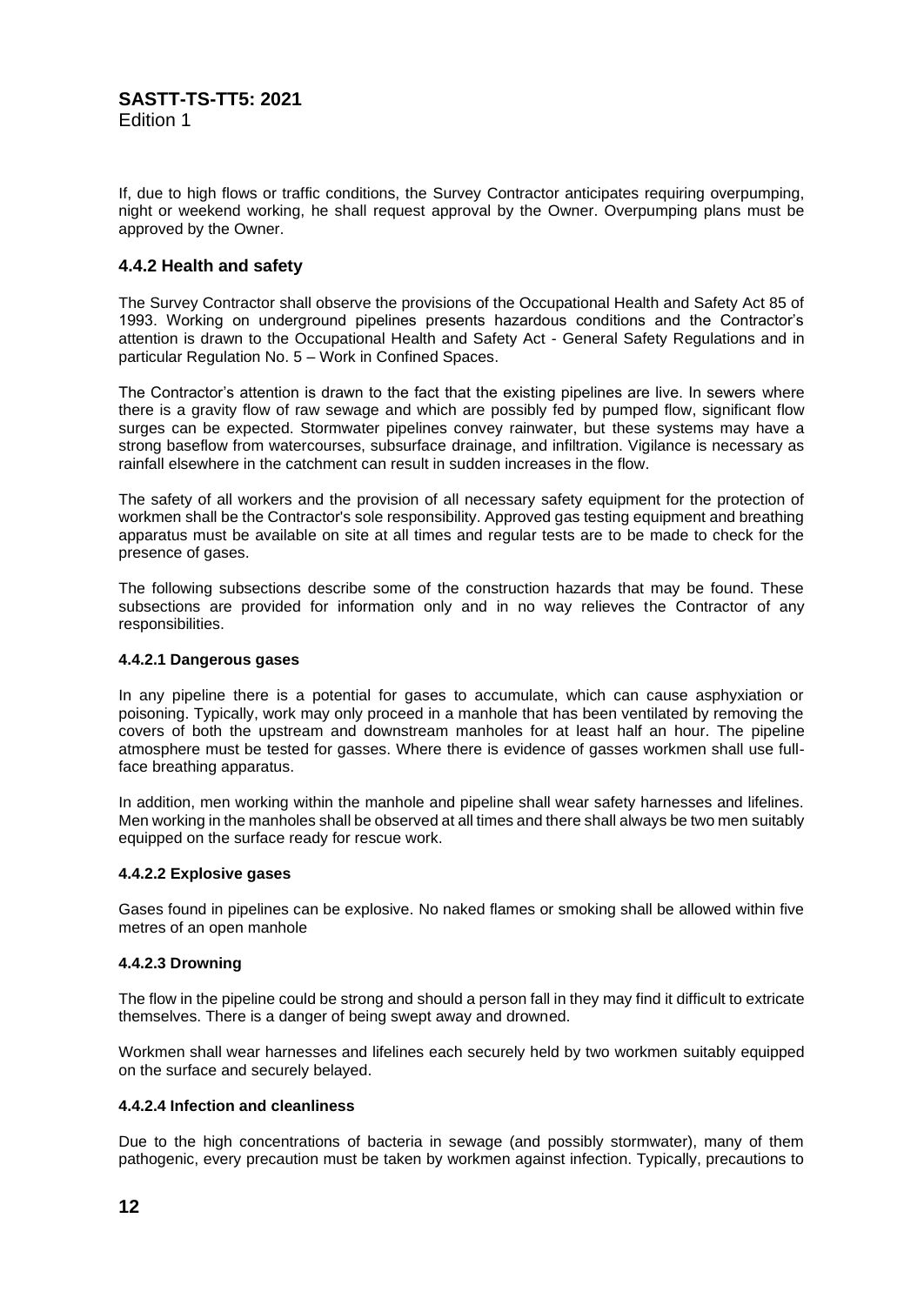If, due to high flows or traffic conditions, the Survey Contractor anticipates requiring overpumping, night or weekend working, he shall request approval by the Owner. Overpumping plans must be approved by the Owner.

## **4.4.2 Health and safety**

The Survey Contractor shall observe the provisions of the Occupational Health and Safety Act 85 of 1993. Working on underground pipelines presents hazardous conditions and the Contractor's attention is drawn to the Occupational Health and Safety Act - General Safety Regulations and in particular Regulation No. 5 – Work in Confined Spaces.

The Contractor's attention is drawn to the fact that the existing pipelines are live. In sewers where there is a gravity flow of raw sewage and which are possibly fed by pumped flow, significant flow surges can be expected. Stormwater pipelines convey rainwater, but these systems may have a strong baseflow from watercourses, subsurface drainage, and infiltration. Vigilance is necessary as rainfall elsewhere in the catchment can result in sudden increases in the flow.

The safety of all workers and the provision of all necessary safety equipment for the protection of workmen shall be the Contractor's sole responsibility. Approved gas testing equipment and breathing apparatus must be available on site at all times and regular tests are to be made to check for the presence of gases.

The following subsections describe some of the construction hazards that may be found. These subsections are provided for information only and in no way relieves the Contractor of any responsibilities.

#### **4.4.2.1 Dangerous gases**

In any pipeline there is a potential for gases to accumulate, which can cause asphyxiation or poisoning. Typically, work may only proceed in a manhole that has been ventilated by removing the covers of both the upstream and downstream manholes for at least half an hour. The pipeline atmosphere must be tested for gasses. Where there is evidence of gasses workmen shall use fullface breathing apparatus.

In addition, men working within the manhole and pipeline shall wear safety harnesses and lifelines. Men working in the manholes shall be observed at all times and there shall always be two men suitably equipped on the surface ready for rescue work.

#### **4.4.2.2 Explosive gases**

Gases found in pipelines can be explosive. No naked flames or smoking shall be allowed within five metres of an open manhole

#### **4.4.2.3 Drowning**

The flow in the pipeline could be strong and should a person fall in they may find it difficult to extricate themselves. There is a danger of being swept away and drowned.

Workmen shall wear harnesses and lifelines each securely held by two workmen suitably equipped on the surface and securely belayed.

#### **4.4.2.4 Infection and cleanliness**

Due to the high concentrations of bacteria in sewage (and possibly stormwater), many of them pathogenic, every precaution must be taken by workmen against infection. Typically, precautions to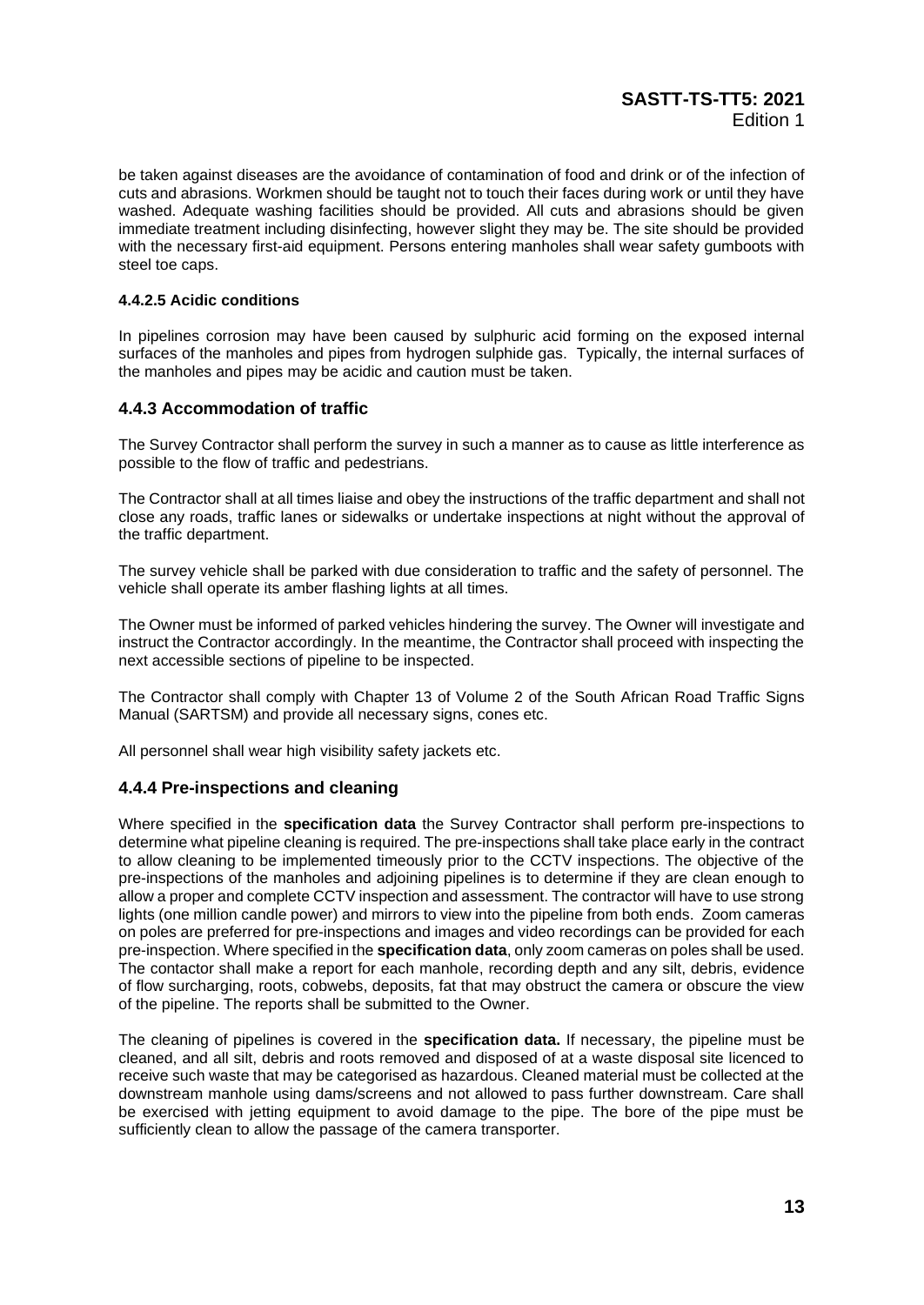be taken against diseases are the avoidance of contamination of food and drink or of the infection of cuts and abrasions. Workmen should be taught not to touch their faces during work or until they have washed. Adequate washing facilities should be provided. All cuts and abrasions should be given immediate treatment including disinfecting, however slight they may be. The site should be provided with the necessary first-aid equipment. Persons entering manholes shall wear safety gumboots with steel toe caps.

#### **4.4.2.5 Acidic conditions**

In pipelines corrosion may have been caused by sulphuric acid forming on the exposed internal surfaces of the manholes and pipes from hydrogen sulphide gas. Typically, the internal surfaces of the manholes and pipes may be acidic and caution must be taken.

#### **4.4.3 Accommodation of traffic**

The Survey Contractor shall perform the survey in such a manner as to cause as little interference as possible to the flow of traffic and pedestrians.

The Contractor shall at all times liaise and obey the instructions of the traffic department and shall not close any roads, traffic lanes or sidewalks or undertake inspections at night without the approval of the traffic department.

The survey vehicle shall be parked with due consideration to traffic and the safety of personnel. The vehicle shall operate its amber flashing lights at all times.

The Owner must be informed of parked vehicles hindering the survey. The Owner will investigate and instruct the Contractor accordingly. In the meantime, the Contractor shall proceed with inspecting the next accessible sections of pipeline to be inspected.

The Contractor shall comply with Chapter 13 of Volume 2 of the South African Road Traffic Signs Manual (SARTSM) and provide all necessary signs, cones etc.

All personnel shall wear high visibility safety jackets etc.

#### **4.4.4 Pre-inspections and cleaning**

Where specified in the **specification data** the Survey Contractor shall perform pre-inspections to determine what pipeline cleaning is required. The pre-inspections shall take place early in the contract to allow cleaning to be implemented timeously prior to the CCTV inspections. The objective of the pre-inspections of the manholes and adjoining pipelines is to determine if they are clean enough to allow a proper and complete CCTV inspection and assessment. The contractor will have to use strong lights (one million candle power) and mirrors to view into the pipeline from both ends. Zoom cameras on poles are preferred for pre-inspections and images and video recordings can be provided for each pre-inspection. Where specified in the **specification data**, only zoom cameras on poles shall be used. The contactor shall make a report for each manhole, recording depth and any silt, debris, evidence of flow surcharging, roots, cobwebs, deposits, fat that may obstruct the camera or obscure the view of the pipeline. The reports shall be submitted to the Owner.

The cleaning of pipelines is covered in the **specification data.** If necessary, the pipeline must be cleaned, and all silt, debris and roots removed and disposed of at a waste disposal site licenced to receive such waste that may be categorised as hazardous. Cleaned material must be collected at the downstream manhole using dams/screens and not allowed to pass further downstream. Care shall be exercised with jetting equipment to avoid damage to the pipe. The bore of the pipe must be sufficiently clean to allow the passage of the camera transporter.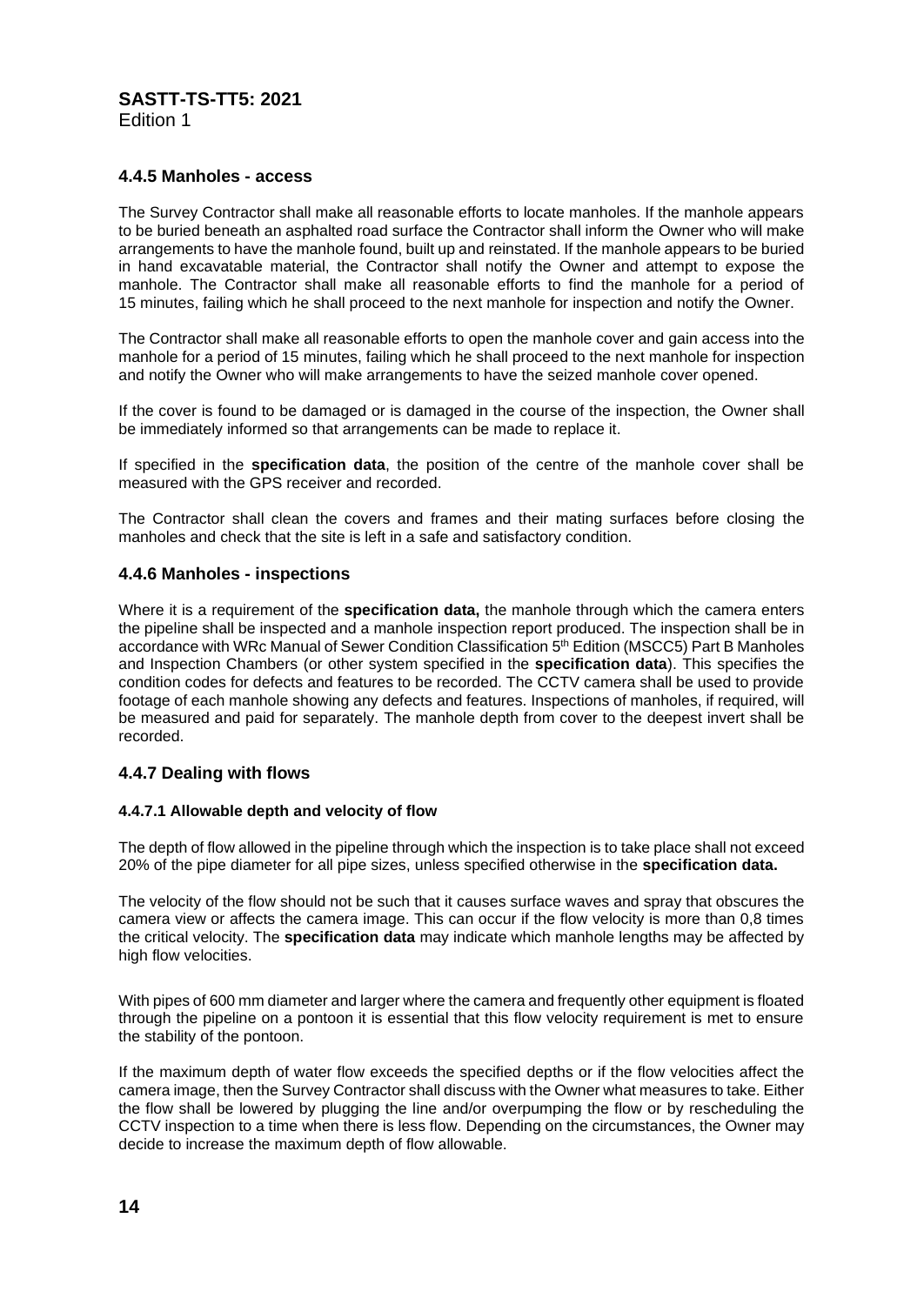# **SASTT-TS-TT5: 2021**

Edition 1

### **4.4.5 Manholes - access**

The Survey Contractor shall make all reasonable efforts to locate manholes. If the manhole appears to be buried beneath an asphalted road surface the Contractor shall inform the Owner who will make arrangements to have the manhole found, built up and reinstated. If the manhole appears to be buried in hand excavatable material, the Contractor shall notify the Owner and attempt to expose the manhole. The Contractor shall make all reasonable efforts to find the manhole for a period of 15 minutes, failing which he shall proceed to the next manhole for inspection and notify the Owner.

The Contractor shall make all reasonable efforts to open the manhole cover and gain access into the manhole for a period of 15 minutes, failing which he shall proceed to the next manhole for inspection and notify the Owner who will make arrangements to have the seized manhole cover opened.

If the cover is found to be damaged or is damaged in the course of the inspection, the Owner shall be immediately informed so that arrangements can be made to replace it.

If specified in the **specification data**, the position of the centre of the manhole cover shall be measured with the GPS receiver and recorded.

The Contractor shall clean the covers and frames and their mating surfaces before closing the manholes and check that the site is left in a safe and satisfactory condition.

#### **4.4.6 Manholes - inspections**

Where it is a requirement of the **specification data,** the manhole through which the camera enters the pipeline shall be inspected and a manhole inspection report produced. The inspection shall be in accordance with WRc Manual of Sewer Condition Classification 5<sup>th</sup> Edition (MSCC5) Part B Manholes and Inspection Chambers (or other system specified in the **specification data**). This specifies the condition codes for defects and features to be recorded. The CCTV camera shall be used to provide footage of each manhole showing any defects and features. Inspections of manholes, if required, will be measured and paid for separately. The manhole depth from cover to the deepest invert shall be recorded.

## **4.4.7 Dealing with flows**

#### **4.4.7.1 Allowable depth and velocity of flow**

The depth of flow allowed in the pipeline through which the inspection is to take place shall not exceed 20% of the pipe diameter for all pipe sizes, unless specified otherwise in the **specification data.**

The velocity of the flow should not be such that it causes surface waves and spray that obscures the camera view or affects the camera image. This can occur if the flow velocity is more than 0,8 times the critical velocity. The **specification data** may indicate which manhole lengths may be affected by high flow velocities.

With pipes of 600 mm diameter and larger where the camera and frequently other equipment is floated through the pipeline on a pontoon it is essential that this flow velocity requirement is met to ensure the stability of the pontoon.

If the maximum depth of water flow exceeds the specified depths or if the flow velocities affect the camera image, then the Survey Contractor shall discuss with the Owner what measures to take. Either the flow shall be lowered by plugging the line and/or overpumping the flow or by rescheduling the CCTV inspection to a time when there is less flow. Depending on the circumstances, the Owner may decide to increase the maximum depth of flow allowable.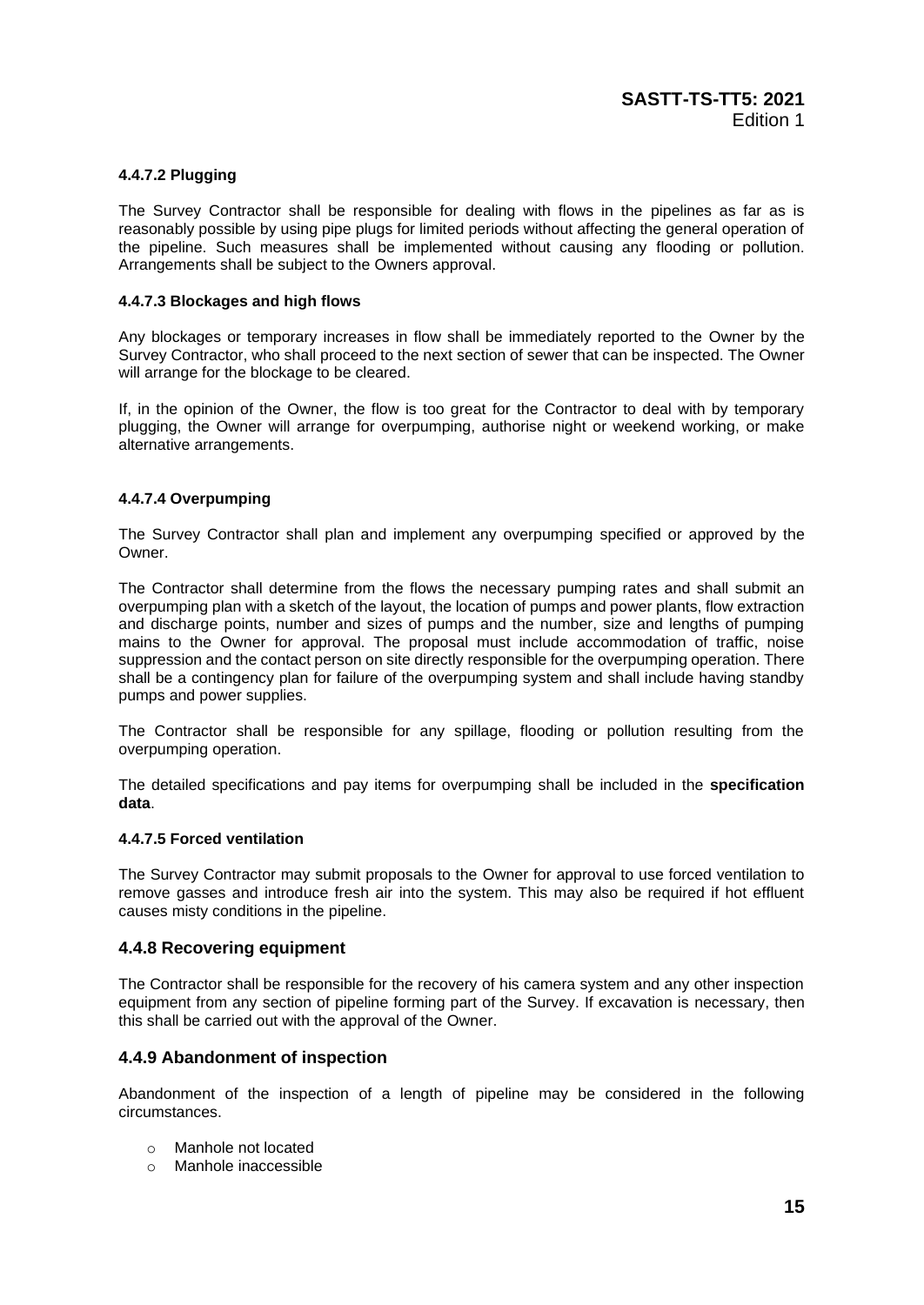#### **4.4.7.2 Plugging**

The Survey Contractor shall be responsible for dealing with flows in the pipelines as far as is reasonably possible by using pipe plugs for limited periods without affecting the general operation of the pipeline. Such measures shall be implemented without causing any flooding or pollution. Arrangements shall be subject to the Owners approval.

#### **4.4.7.3 Blockages and high flows**

Any blockages or temporary increases in flow shall be immediately reported to the Owner by the Survey Contractor, who shall proceed to the next section of sewer that can be inspected. The Owner will arrange for the blockage to be cleared.

If, in the opinion of the Owner, the flow is too great for the Contractor to deal with by temporary plugging, the Owner will arrange for overpumping, authorise night or weekend working, or make alternative arrangements.

#### **4.4.7.4 Overpumping**

The Survey Contractor shall plan and implement any overpumping specified or approved by the Owner.

The Contractor shall determine from the flows the necessary pumping rates and shall submit an overpumping plan with a sketch of the layout, the location of pumps and power plants, flow extraction and discharge points, number and sizes of pumps and the number, size and lengths of pumping mains to the Owner for approval. The proposal must include accommodation of traffic, noise suppression and the contact person on site directly responsible for the overpumping operation. There shall be a contingency plan for failure of the overpumping system and shall include having standby pumps and power supplies.

The Contractor shall be responsible for any spillage, flooding or pollution resulting from the overpumping operation.

The detailed specifications and pay items for overpumping shall be included in the **specification data**.

#### **4.4.7.5 Forced ventilation**

The Survey Contractor may submit proposals to the Owner for approval to use forced ventilation to remove gasses and introduce fresh air into the system. This may also be required if hot effluent causes misty conditions in the pipeline.

#### **4.4.8 Recovering equipment**

The Contractor shall be responsible for the recovery of his camera system and any other inspection equipment from any section of pipeline forming part of the Survey. If excavation is necessary, then this shall be carried out with the approval of the Owner.

#### **4.4.9 Abandonment of inspection**

Abandonment of the inspection of a length of pipeline may be considered in the following circumstances.

- o Manhole not located
- o Manhole inaccessible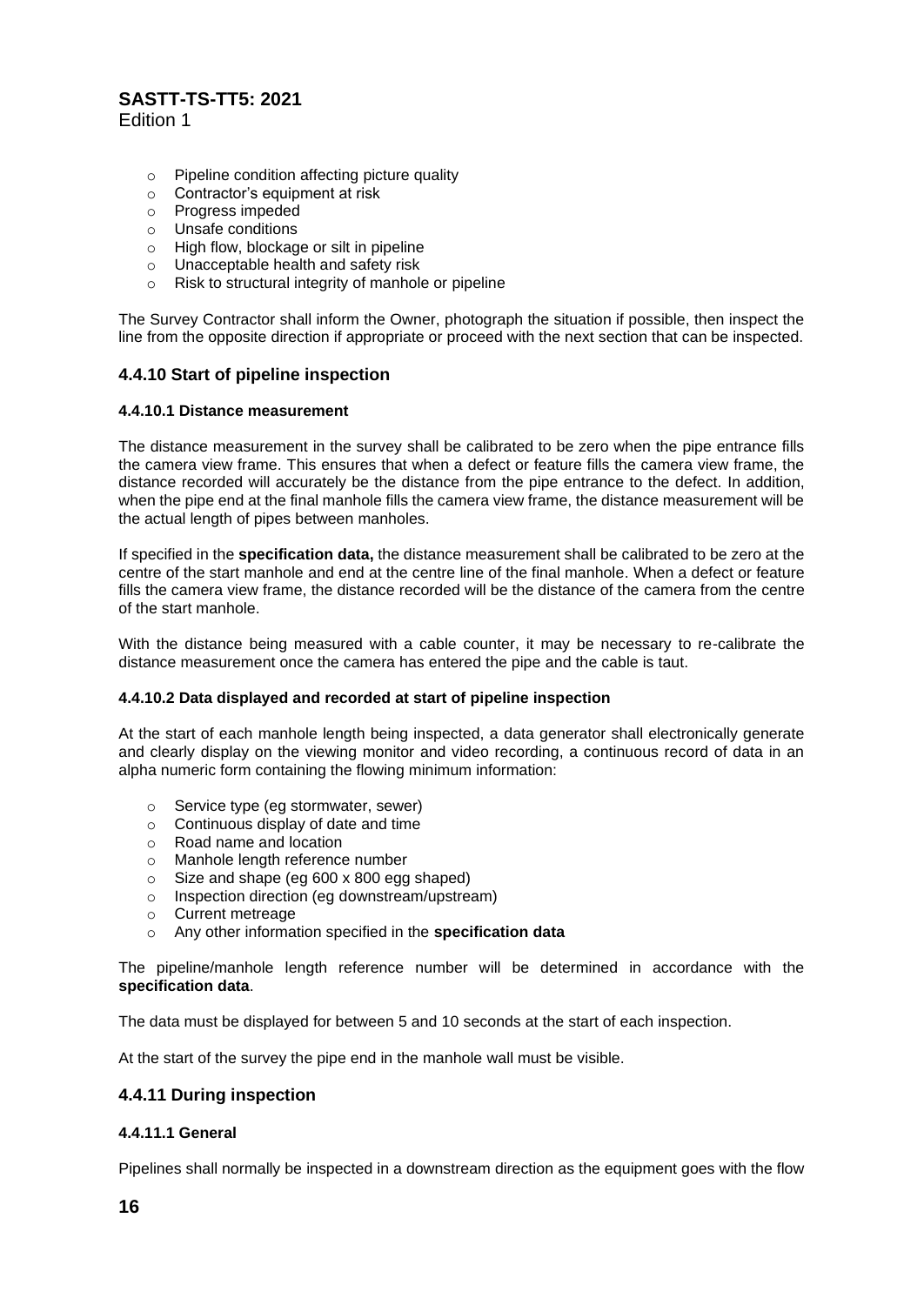## **SASTT-TS-TT5: 2021**

Edition 1

- o Pipeline condition affecting picture quality
- o Contractor's equipment at risk
- o Progress impeded
- o Unsafe conditions
- o High flow, blockage or silt in pipeline
- o Unacceptable health and safety risk
- o Risk to structural integrity of manhole or pipeline

The Survey Contractor shall inform the Owner, photograph the situation if possible, then inspect the line from the opposite direction if appropriate or proceed with the next section that can be inspected.

### **4.4.10 Start of pipeline inspection**

#### **4.4.10.1 Distance measurement**

The distance measurement in the survey shall be calibrated to be zero when the pipe entrance fills the camera view frame. This ensures that when a defect or feature fills the camera view frame, the distance recorded will accurately be the distance from the pipe entrance to the defect. In addition, when the pipe end at the final manhole fills the camera view frame, the distance measurement will be the actual length of pipes between manholes.

If specified in the **specification data,** the distance measurement shall be calibrated to be zero at the centre of the start manhole and end at the centre line of the final manhole. When a defect or feature fills the camera view frame, the distance recorded will be the distance of the camera from the centre of the start manhole.

With the distance being measured with a cable counter, it may be necessary to re-calibrate the distance measurement once the camera has entered the pipe and the cable is taut.

#### **4.4.10.2 Data displayed and recorded at start of pipeline inspection**

At the start of each manhole length being inspected, a data generator shall electronically generate and clearly display on the viewing monitor and video recording, a continuous record of data in an alpha numeric form containing the flowing minimum information:

- o Service type (eg stormwater, sewer)
- o Continuous display of date and time
- o Road name and location
- o Manhole length reference number
- Size and shape (eg 600 x 800 egg shaped)
- o Inspection direction (eg downstream/upstream)
- o Current metreage
- Any other information specified in the **specification data**

The pipeline/manhole length reference number will be determined in accordance with the **specification data**.

The data must be displayed for between 5 and 10 seconds at the start of each inspection.

At the start of the survey the pipe end in the manhole wall must be visible.

#### **4.4.11 During inspection**

#### **4.4.11.1 General**

Pipelines shall normally be inspected in a downstream direction as the equipment goes with the flow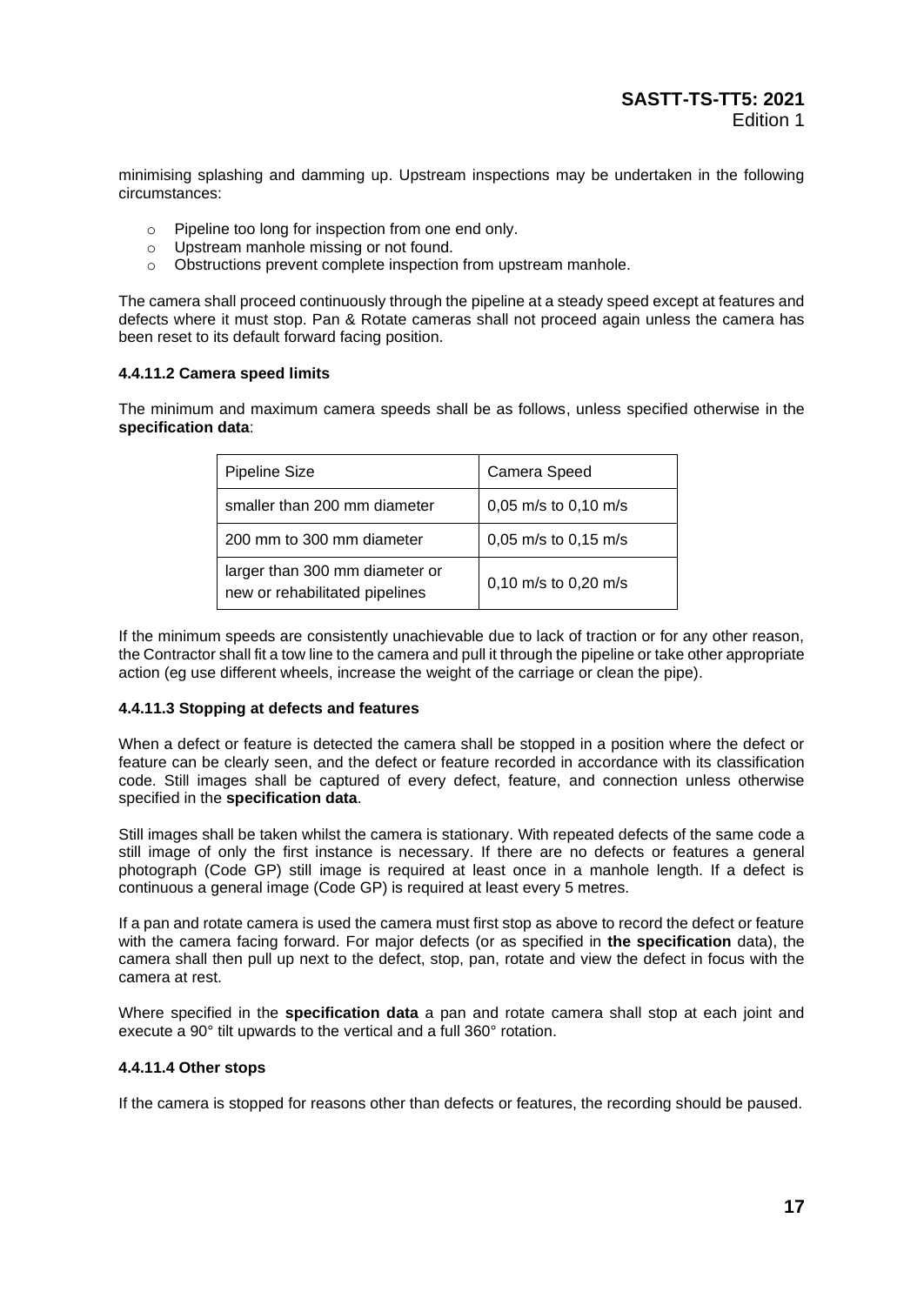minimising splashing and damming up. Upstream inspections may be undertaken in the following circumstances:

- o Pipeline too long for inspection from one end only.
- o Upstream manhole missing or not found.
- o Obstructions prevent complete inspection from upstream manhole.

The camera shall proceed continuously through the pipeline at a steady speed except at features and defects where it must stop. Pan & Rotate cameras shall not proceed again unless the camera has been reset to its default forward facing position.

#### **4.4.11.2 Camera speed limits**

The minimum and maximum camera speeds shall be as follows, unless specified otherwise in the **specification data**:

| <b>Pipeline Size</b>                                             | Camera Speed         |
|------------------------------------------------------------------|----------------------|
| smaller than 200 mm diameter                                     | 0,05 m/s to 0,10 m/s |
| 200 mm to 300 mm diameter                                        | 0,05 m/s to 0,15 m/s |
| larger than 300 mm diameter or<br>new or rehabilitated pipelines | 0,10 m/s to 0,20 m/s |

If the minimum speeds are consistently unachievable due to lack of traction or for any other reason, the Contractor shall fit a tow line to the camera and pull it through the pipeline or take other appropriate action (eg use different wheels, increase the weight of the carriage or clean the pipe).

#### **4.4.11.3 Stopping at defects and features**

When a defect or feature is detected the camera shall be stopped in a position where the defect or feature can be clearly seen, and the defect or feature recorded in accordance with its classification code. Still images shall be captured of every defect, feature, and connection unless otherwise specified in the **specification data**.

Still images shall be taken whilst the camera is stationary. With repeated defects of the same code a still image of only the first instance is necessary. If there are no defects or features a general photograph (Code GP) still image is required at least once in a manhole length. If a defect is continuous a general image (Code GP) is required at least every 5 metres.

If a pan and rotate camera is used the camera must first stop as above to record the defect or feature with the camera facing forward. For major defects (or as specified in **the specification** data), the camera shall then pull up next to the defect, stop, pan, rotate and view the defect in focus with the camera at rest.

Where specified in the **specification data** a pan and rotate camera shall stop at each joint and execute a 90° tilt upwards to the vertical and a full 360° rotation.

#### **4.4.11.4 Other stops**

If the camera is stopped for reasons other than defects or features, the recording should be paused.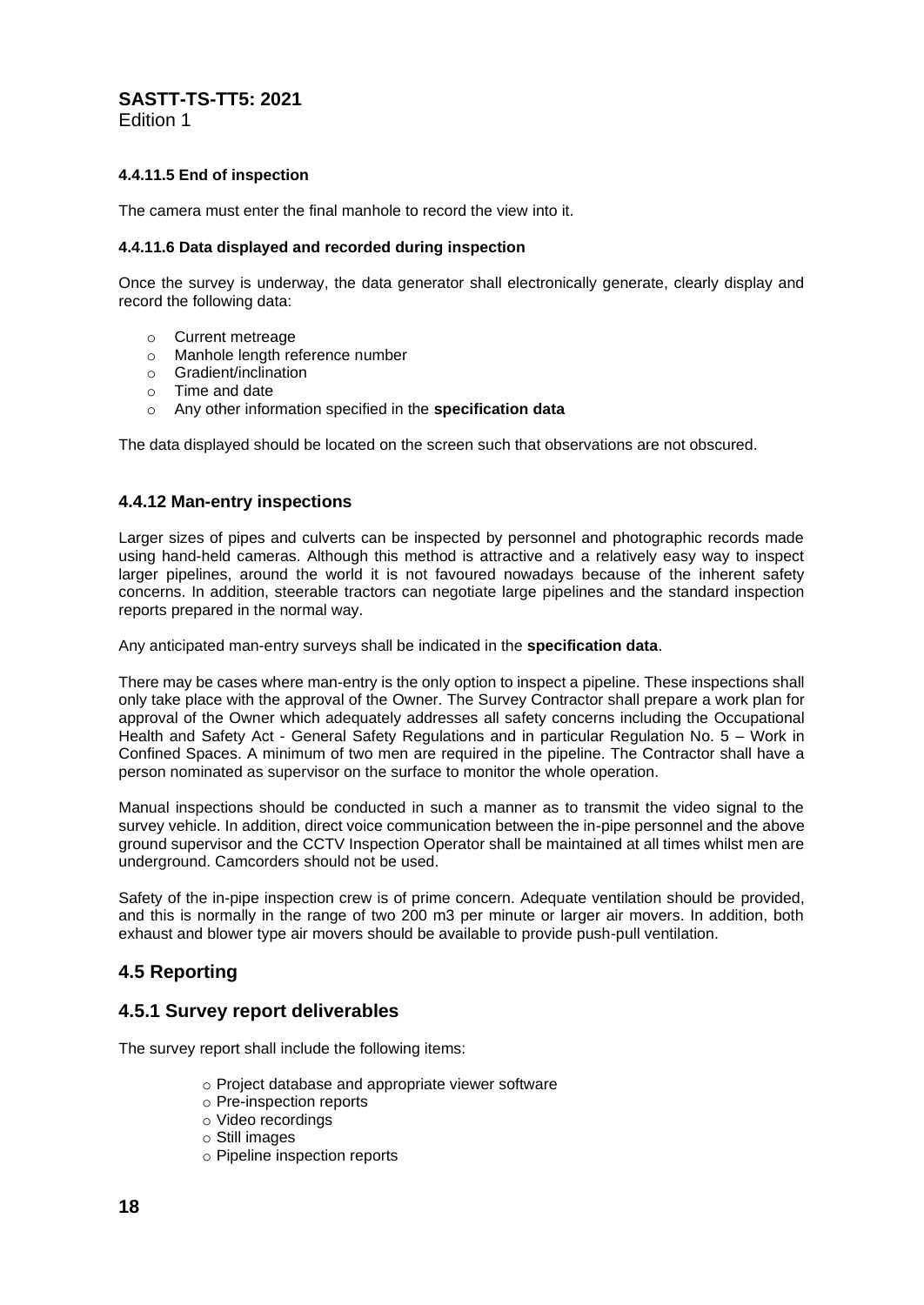## **SASTT-TS-TT5: 2021**

Edition 1

### **4.4.11.5 End of inspection**

The camera must enter the final manhole to record the view into it.

#### **4.4.11.6 Data displayed and recorded during inspection**

Once the survey is underway, the data generator shall electronically generate, clearly display and record the following data:

- o Current metreage
- o Manhole length reference number
- o Gradient/inclination
- o Time and date
- o Any other information specified in the **specification data**

The data displayed should be located on the screen such that observations are not obscured.

### **4.4.12 Man-entry inspections**

Larger sizes of pipes and culverts can be inspected by personnel and photographic records made using hand-held cameras. Although this method is attractive and a relatively easy way to inspect larger pipelines, around the world it is not favoured nowadays because of the inherent safety concerns. In addition, steerable tractors can negotiate large pipelines and the standard inspection reports prepared in the normal way.

Any anticipated man-entry surveys shall be indicated in the **specification data**.

There may be cases where man-entry is the only option to inspect a pipeline. These inspections shall only take place with the approval of the Owner. The Survey Contractor shall prepare a work plan for approval of the Owner which adequately addresses all safety concerns including the Occupational Health and Safety Act - General Safety Regulations and in particular Regulation No. 5 – Work in Confined Spaces. A minimum of two men are required in the pipeline. The Contractor shall have a person nominated as supervisor on the surface to monitor the whole operation.

Manual inspections should be conducted in such a manner as to transmit the video signal to the survey vehicle. In addition, direct voice communication between the in-pipe personnel and the above ground supervisor and the CCTV Inspection Operator shall be maintained at all times whilst men are underground. Camcorders should not be used.

Safety of the in-pipe inspection crew is of prime concern. Adequate ventilation should be provided, and this is normally in the range of two 200 m3 per minute or larger air movers. In addition, both exhaust and blower type air movers should be available to provide push-pull ventilation.

## **4.5 Reporting**

## **4.5.1 Survey report deliverables**

The survey report shall include the following items:

- o Project database and appropriate viewer software
- o Pre-inspection reports
- o Video recordings
- o Still images
- o Pipeline inspection reports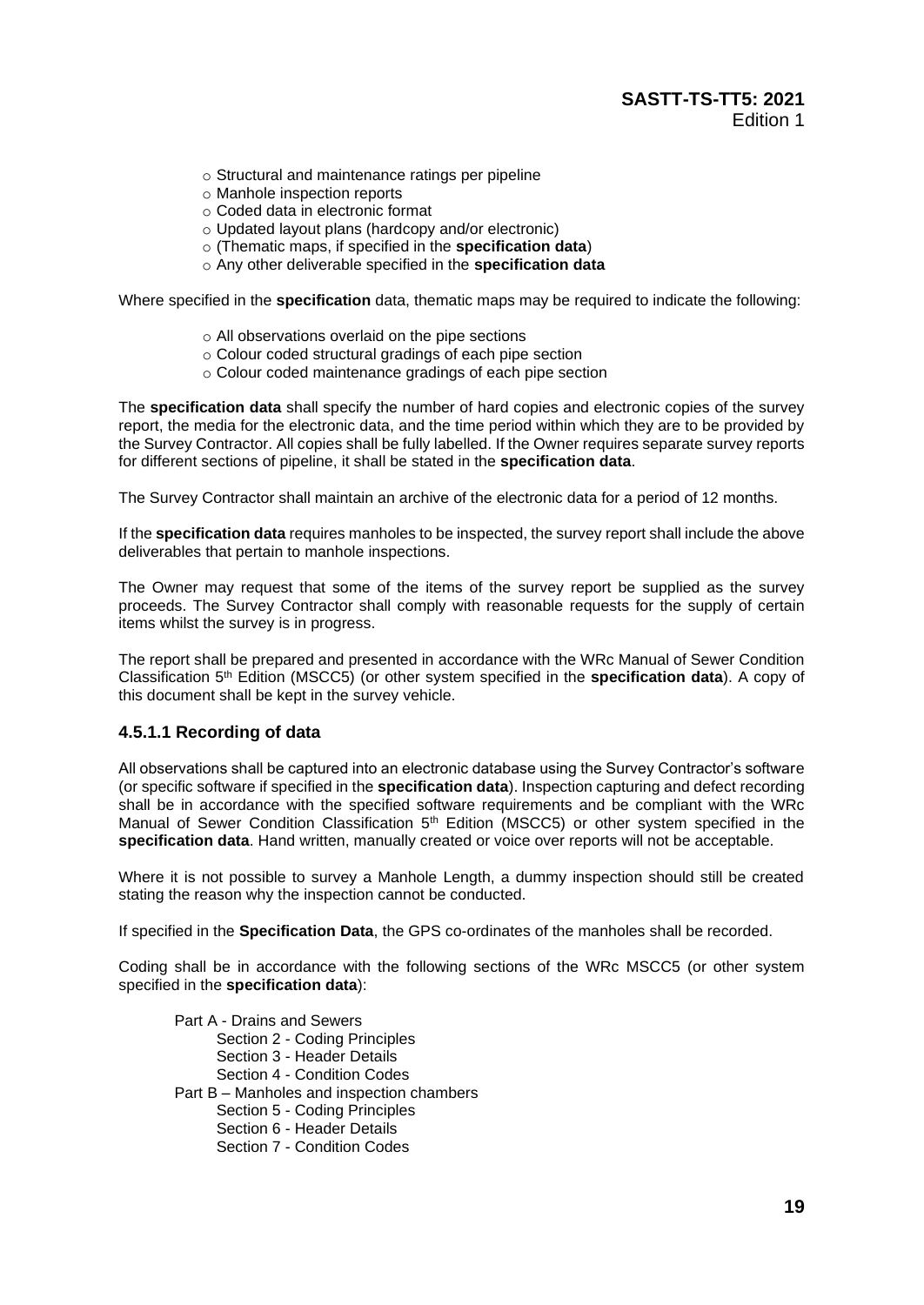- o Structural and maintenance ratings per pipeline
- o Manhole inspection reports
- o Coded data in electronic format
- o Updated layout plans (hardcopy and/or electronic)
- o (Thematic maps, if specified in the **specification data**)
- o Any other deliverable specified in the **specification data**

Where specified in the **specification** data, thematic maps may be required to indicate the following:

- o All observations overlaid on the pipe sections
- o Colour coded structural gradings of each pipe section
- o Colour coded maintenance gradings of each pipe section

The **specification data** shall specify the number of hard copies and electronic copies of the survey report, the media for the electronic data, and the time period within which they are to be provided by the Survey Contractor. All copies shall be fully labelled. If the Owner requires separate survey reports for different sections of pipeline, it shall be stated in the **specification data**.

The Survey Contractor shall maintain an archive of the electronic data for a period of 12 months.

If the **specification data** requires manholes to be inspected, the survey report shall include the above deliverables that pertain to manhole inspections.

The Owner may request that some of the items of the survey report be supplied as the survey proceeds. The Survey Contractor shall comply with reasonable requests for the supply of certain items whilst the survey is in progress.

The report shall be prepared and presented in accordance with the WRc Manual of Sewer Condition Classification 5 th Edition (MSCC5) (or other system specified in the **specification data**). A copy of this document shall be kept in the survey vehicle.

#### **4.5.1.1 Recording of data**

All observations shall be captured into an electronic database using the Survey Contractor's software (or specific software if specified in the **specification data**). Inspection capturing and defect recording shall be in accordance with the specified software requirements and be compliant with the WRc Manual of Sewer Condition Classification  $5<sup>th</sup>$  Edition (MSCC5) or other system specified in the **specification data**. Hand written, manually created or voice over reports will not be acceptable.

Where it is not possible to survey a Manhole Length, a dummy inspection should still be created stating the reason why the inspection cannot be conducted.

If specified in the **Specification Data**, the GPS co-ordinates of the manholes shall be recorded.

Coding shall be in accordance with the following sections of the WRc MSCC5 (or other system specified in the **specification data**):

Part A - Drains and Sewers Section 2 - Coding Principles Section 3 - Header Details Section 4 - Condition Codes Part B – Manholes and inspection chambers Section 5 - Coding Principles Section 6 - Header Details Section 7 - Condition Codes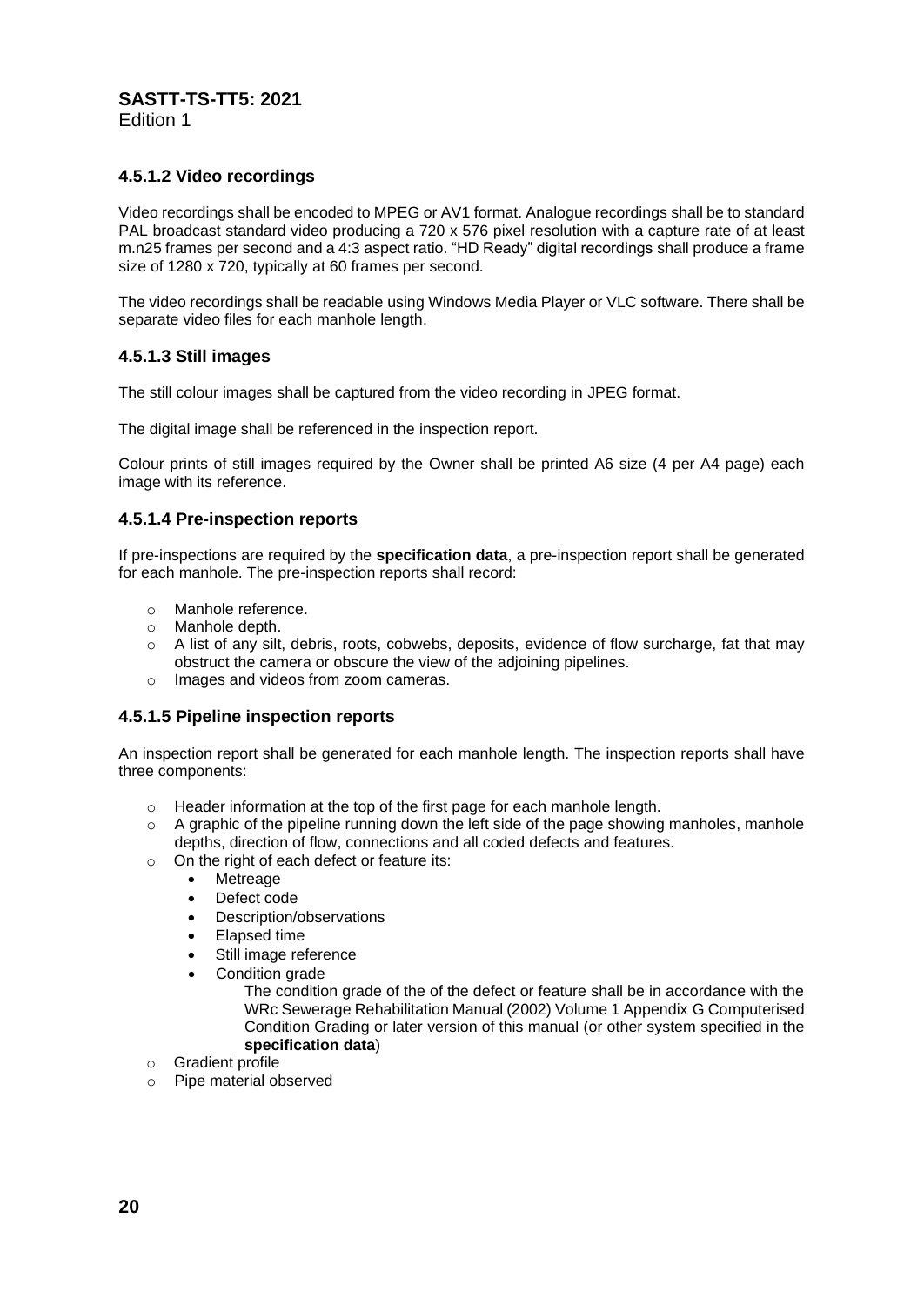**4.5.1.2 Video recordings**

Video recordings shall be encoded to MPEG or AV1 format. Analogue recordings shall be to standard PAL broadcast standard video producing a 720 x 576 pixel resolution with a capture rate of at least m.n25 frames per second and a 4:3 aspect ratio. "HD Ready" digital recordings shall produce a frame size of 1280 x 720, typically at 60 frames per second.

The video recordings shall be readable using Windows Media Player or VLC software. There shall be separate video files for each manhole length.

## **4.5.1.3 Still images**

The still colour images shall be captured from the video recording in JPEG format.

The digital image shall be referenced in the inspection report.

Colour prints of still images required by the Owner shall be printed A6 size (4 per A4 page) each image with its reference.

### **4.5.1.4 Pre-inspection reports**

If pre-inspections are required by the **specification data**, a pre-inspection report shall be generated for each manhole. The pre-inspection reports shall record:

- o Manhole reference.
- o Manhole depth.
- $\circ$  A list of any silt, debris, roots, cobwebs, deposits, evidence of flow surcharge, fat that may obstruct the camera or obscure the view of the adjoining pipelines.
- o Images and videos from zoom cameras.

#### **4.5.1.5 Pipeline inspection reports**

An inspection report shall be generated for each manhole length. The inspection reports shall have three components:

- o Header information at the top of the first page for each manhole length.
- $\circ$  A graphic of the pipeline running down the left side of the page showing manholes, manhole depths, direction of flow, connections and all coded defects and features.
- o On the right of each defect or feature its:
	- Metreage
	- Defect code
	- Description/observations
	- Elapsed time
	- Still image reference
	- Condition grade

The condition grade of the of the defect or feature shall be in accordance with the WRc Sewerage Rehabilitation Manual (2002) Volume 1 Appendix G Computerised Condition Grading or later version of this manual (or other system specified in the **specification data**)

- o Gradient profile
- o Pipe material observed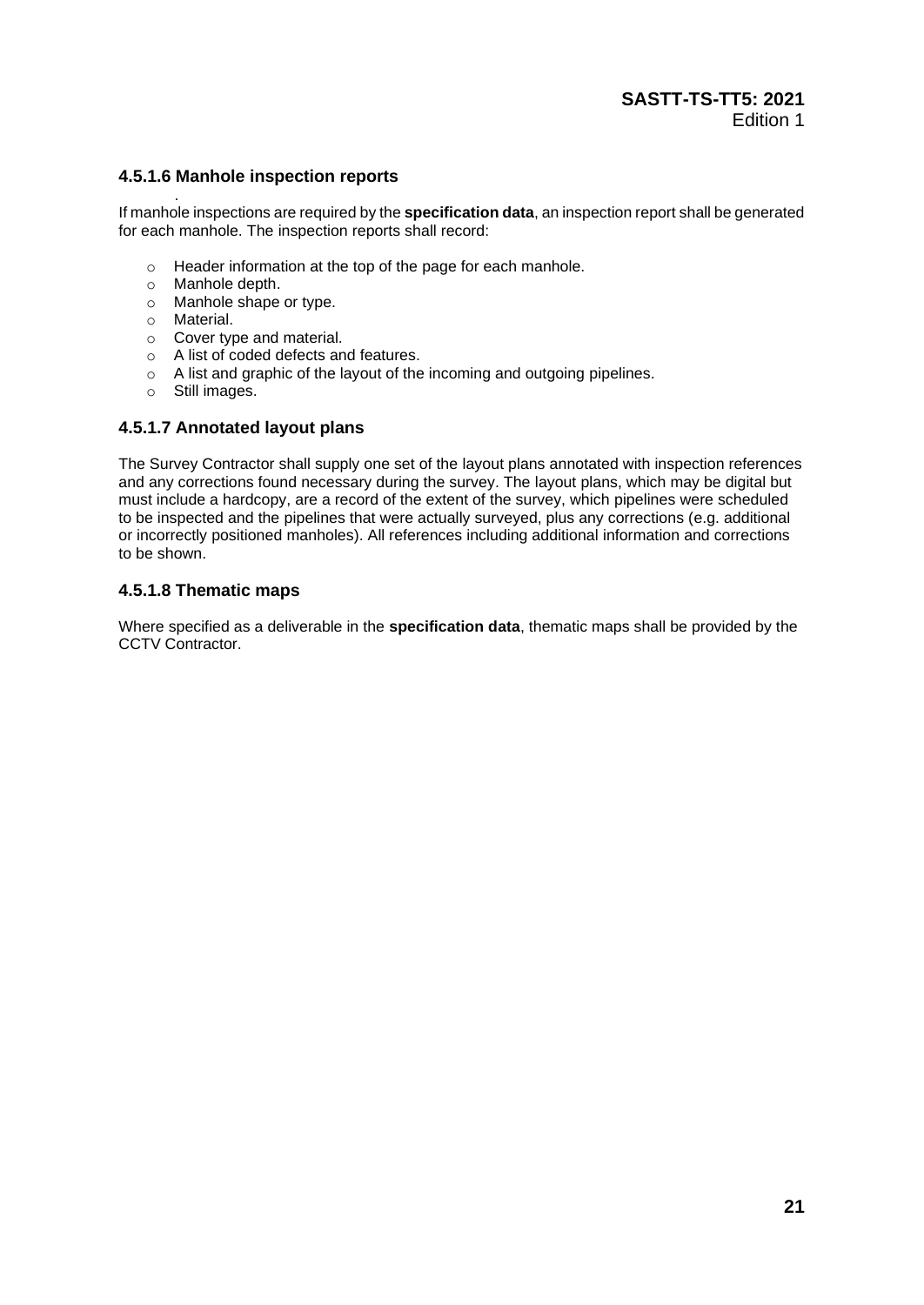### **4.5.1.6 Manhole inspection reports**

. If manhole inspections are required by the **specification data**, an inspection report shall be generated for each manhole. The inspection reports shall record:

- o Header information at the top of the page for each manhole.
- o Manhole depth.
- o Manhole shape or type.
- o Material.
- o Cover type and material.
- o A list of coded defects and features.
- o A list and graphic of the layout of the incoming and outgoing pipelines.
- o Still images.

#### **4.5.1.7 Annotated layout plans**

The Survey Contractor shall supply one set of the layout plans annotated with inspection references and any corrections found necessary during the survey. The layout plans, which may be digital but must include a hardcopy, are a record of the extent of the survey, which pipelines were scheduled to be inspected and the pipelines that were actually surveyed, plus any corrections (e.g. additional or incorrectly positioned manholes). All references including additional information and corrections to be shown.

### **4.5.1.8 Thematic maps**

Where specified as a deliverable in the **specification data**, thematic maps shall be provided by the CCTV Contractor.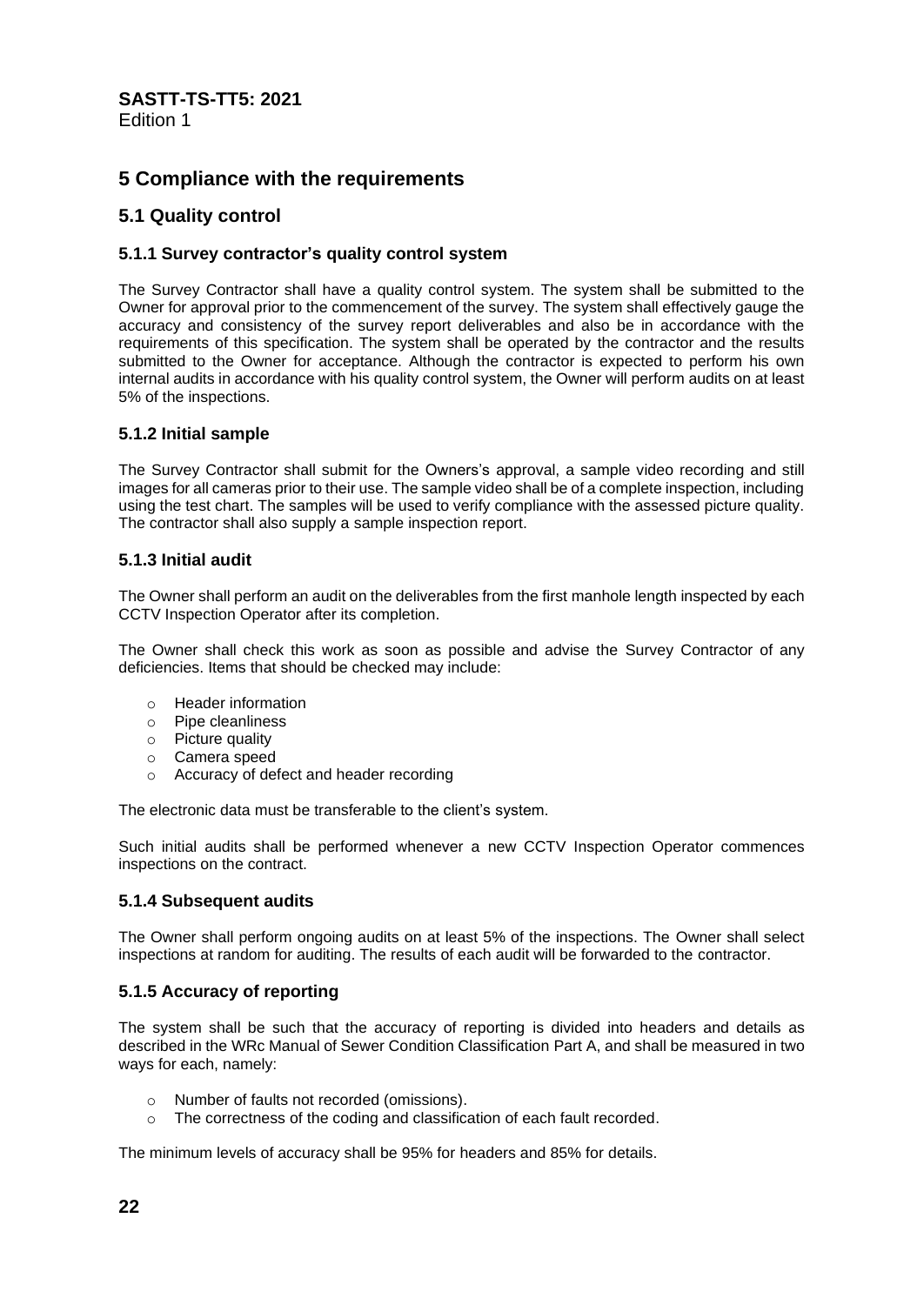# **SASTT-TS-TT5: 2021**

Edition 1

## **5 Compliance with the requirements**

## **5.1 Quality control**

## **5.1.1 Survey contractor's quality control system**

The Survey Contractor shall have a quality control system. The system shall be submitted to the Owner for approval prior to the commencement of the survey. The system shall effectively gauge the accuracy and consistency of the survey report deliverables and also be in accordance with the requirements of this specification. The system shall be operated by the contractor and the results submitted to the Owner for acceptance. Although the contractor is expected to perform his own internal audits in accordance with his quality control system, the Owner will perform audits on at least 5% of the inspections.

## **5.1.2 Initial sample**

The Survey Contractor shall submit for the Owners's approval, a sample video recording and still images for all cameras prior to their use. The sample video shall be of a complete inspection, including using the test chart. The samples will be used to verify compliance with the assessed picture quality. The contractor shall also supply a sample inspection report.

### **5.1.3 Initial audit**

The Owner shall perform an audit on the deliverables from the first manhole length inspected by each CCTV Inspection Operator after its completion.

The Owner shall check this work as soon as possible and advise the Survey Contractor of any deficiencies. Items that should be checked may include:

- o Header information
- o Pipe cleanliness
- o Picture quality
- o Camera speed
- o Accuracy of defect and header recording

The electronic data must be transferable to the client's system.

Such initial audits shall be performed whenever a new CCTV Inspection Operator commences inspections on the contract.

## **5.1.4 Subsequent audits**

The Owner shall perform ongoing audits on at least 5% of the inspections. The Owner shall select inspections at random for auditing. The results of each audit will be forwarded to the contractor.

## **5.1.5 Accuracy of reporting**

The system shall be such that the accuracy of reporting is divided into headers and details as described in the WRc Manual of Sewer Condition Classification Part A, and shall be measured in two ways for each, namely:

- o Number of faults not recorded (omissions).
- o The correctness of the coding and classification of each fault recorded.

The minimum levels of accuracy shall be 95% for headers and 85% for details.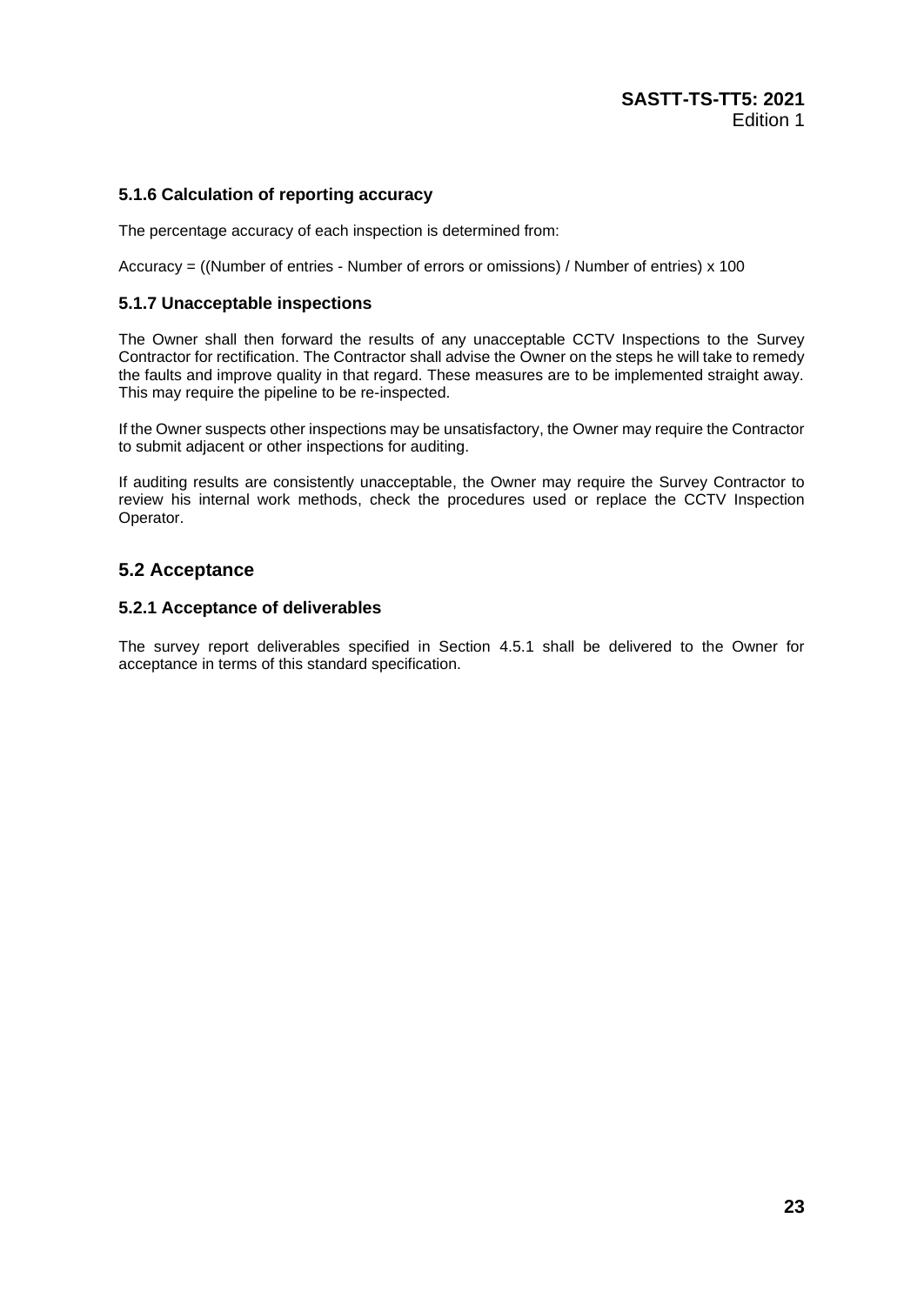## **5.1.6 Calculation of reporting accuracy**

The percentage accuracy of each inspection is determined from:

Accuracy = ((Number of entries - Number of errors or omissions) / Number of entries) x 100

### **5.1.7 Unacceptable inspections**

The Owner shall then forward the results of any unacceptable CCTV Inspections to the Survey Contractor for rectification. The Contractor shall advise the Owner on the steps he will take to remedy the faults and improve quality in that regard. These measures are to be implemented straight away. This may require the pipeline to be re-inspected.

If the Owner suspects other inspections may be unsatisfactory, the Owner may require the Contractor to submit adjacent or other inspections for auditing.

If auditing results are consistently unacceptable, the Owner may require the Survey Contractor to review his internal work methods, check the procedures used or replace the CCTV Inspection Operator.

## **5.2 Acceptance**

### **5.2.1 Acceptance of deliverables**

The survey report deliverables specified in Section 4.5.1 shall be delivered to the Owner for acceptance in terms of this standard specification.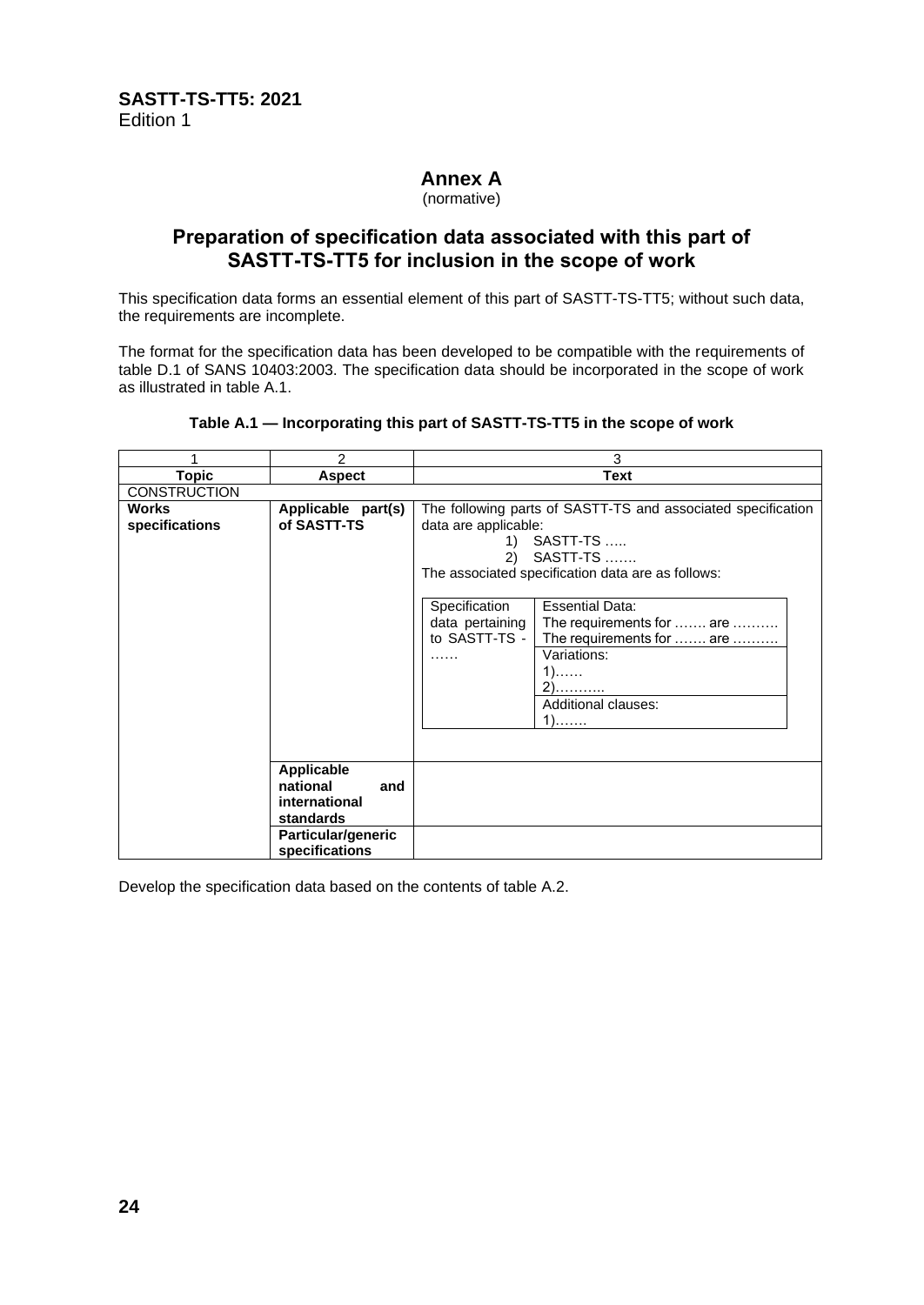## **Annex A**

(normative)

## **Preparation of specification data associated with this part of SASTT-TS-TT5 for inclusion in the scope of work**

This specification data forms an essential element of this part of SASTT-TS-TT5; without such data, the requirements are incomplete.

The format for the specification data has been developed to be compatible with the requirements of table D.1 of SANS 10403:2003. The specification data should be incorporated in the scope of work as illustrated in table A.1.

|                                | $\mathfrak{p}$                                                                                      | 3                                                                                                                                                                                                                                                                                                                                                                                                     |
|--------------------------------|-----------------------------------------------------------------------------------------------------|-------------------------------------------------------------------------------------------------------------------------------------------------------------------------------------------------------------------------------------------------------------------------------------------------------------------------------------------------------------------------------------------------------|
| Topic                          | <b>Aspect</b>                                                                                       | <b>Text</b>                                                                                                                                                                                                                                                                                                                                                                                           |
| <b>CONSTRUCTION</b>            |                                                                                                     |                                                                                                                                                                                                                                                                                                                                                                                                       |
| <b>Works</b><br>specifications | Applicable part(s)<br>of SASTT-TS                                                                   | The following parts of SASTT-TS and associated specification<br>data are applicable:<br>$1)$ SASTT-TS<br>(2)<br>SASTT-TS<br>The associated specification data are as follows:<br><b>Essential Data:</b><br>Specification<br>data pertaining<br>The requirements for  are<br>to SASTT-TS -<br>The requirements for  are<br>Variations:<br>.<br>$1)$<br>2) <u></u><br>Additional clauses:<br>1) <u></u> |
|                                | Applicable<br>national<br>and<br>international<br>standards<br>Particular/generic<br>specifications |                                                                                                                                                                                                                                                                                                                                                                                                       |

#### **Table A.1 — Incorporating this part of SASTT-TS-TT5 in the scope of work**

Develop the specification data based on the contents of table A.2.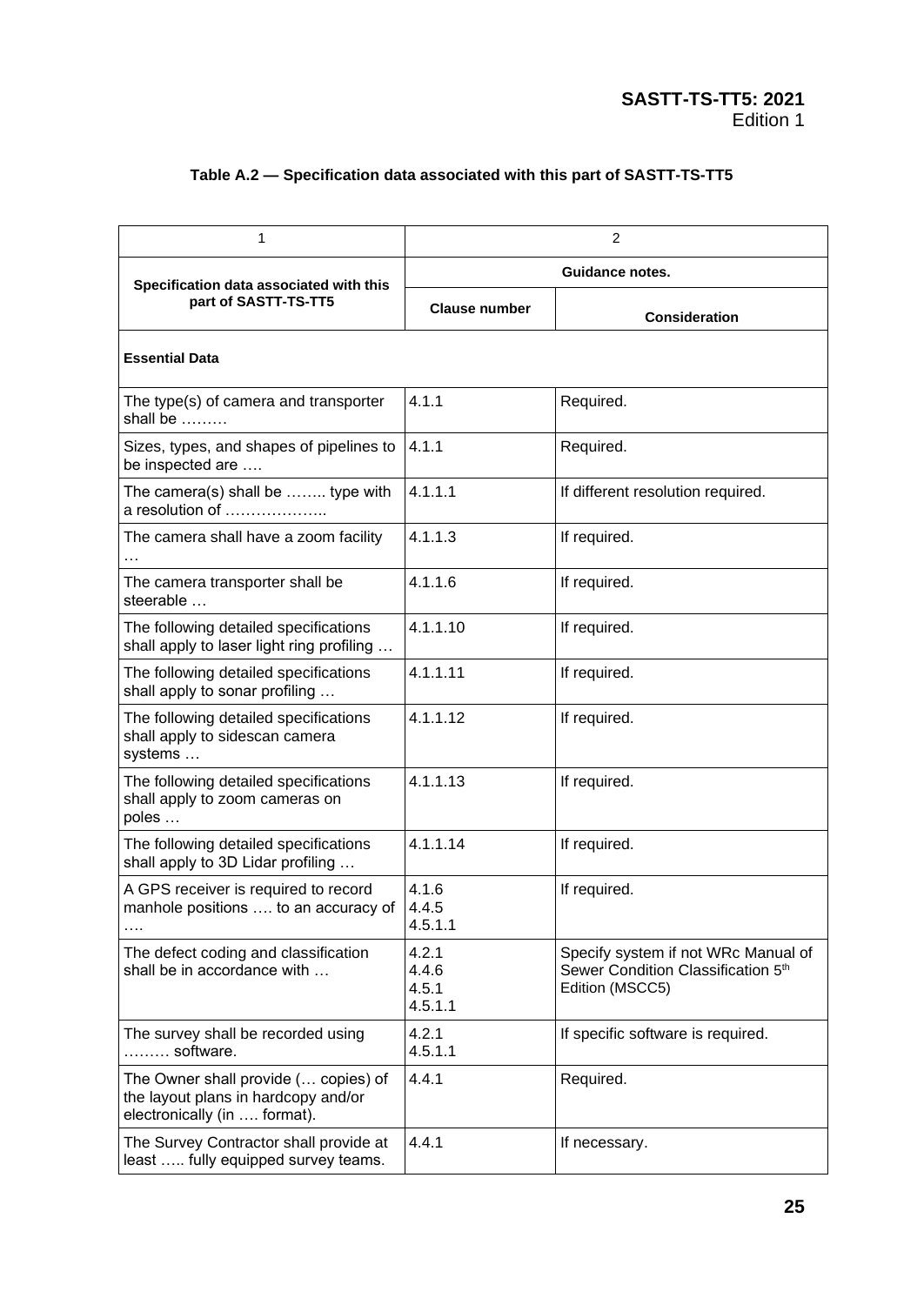| 1                                                                                                           |                                    | $\overline{2}$                                                                               |  |
|-------------------------------------------------------------------------------------------------------------|------------------------------------|----------------------------------------------------------------------------------------------|--|
| Specification data associated with this                                                                     | Guidance notes.                    |                                                                                              |  |
| part of SASTT-TS-TT5                                                                                        | <b>Clause number</b>               | <b>Consideration</b>                                                                         |  |
| <b>Essential Data</b>                                                                                       |                                    |                                                                                              |  |
| The type(s) of camera and transporter<br>shall be                                                           | 4.1.1                              | Required.                                                                                    |  |
| Sizes, types, and shapes of pipelines to<br>be inspected are                                                | 4.1.1                              | Required.                                                                                    |  |
| The camera(s) shall be $\,\ldots\ldots\,$ type with<br>a resolution of                                      | 4.1.1.1                            | If different resolution required.                                                            |  |
| The camera shall have a zoom facility                                                                       | 4.1.1.3                            | If required.                                                                                 |  |
| The camera transporter shall be<br>steerable                                                                | 4.1.1.6                            | If required.                                                                                 |  |
| The following detailed specifications<br>shall apply to laser light ring profiling                          | 4.1.1.10                           | If required.                                                                                 |  |
| The following detailed specifications<br>shall apply to sonar profiling                                     | 4.1.1.11                           | If required.                                                                                 |  |
| The following detailed specifications<br>shall apply to sidescan camera<br>systems                          | 4.1.1.12                           | If required.                                                                                 |  |
| The following detailed specifications<br>shall apply to zoom cameras on<br>poles                            | 4.1.1.13                           | If required.                                                                                 |  |
| The following detailed specifications<br>shall apply to 3D Lidar profiling                                  | 4.1.1.14                           | If required.                                                                                 |  |
| A GPS receiver is required to record<br>manhole positions  to an accuracy of                                | 4.1.6<br>4.4.5<br>4.5.1.1          | If required.                                                                                 |  |
| The defect coding and classification<br>shall be in accordance with                                         | 4.2.1<br>4.4.6<br>4.5.1<br>4.5.1.1 | Specify system if not WRc Manual of<br>Sewer Condition Classification 5th<br>Edition (MSCC5) |  |
| The survey shall be recorded using<br>software.                                                             | 4.2.1<br>4.5.1.1                   | If specific software is required.                                                            |  |
| The Owner shall provide ( copies) of<br>the layout plans in hardcopy and/or<br>electronically (in  format). | 4.4.1                              | Required.                                                                                    |  |
| The Survey Contractor shall provide at<br>least  fully equipped survey teams.                               | 4.4.1                              | If necessary.                                                                                |  |

## **Table A.2 — Specification data associated with this part of SASTT-TS-TT5**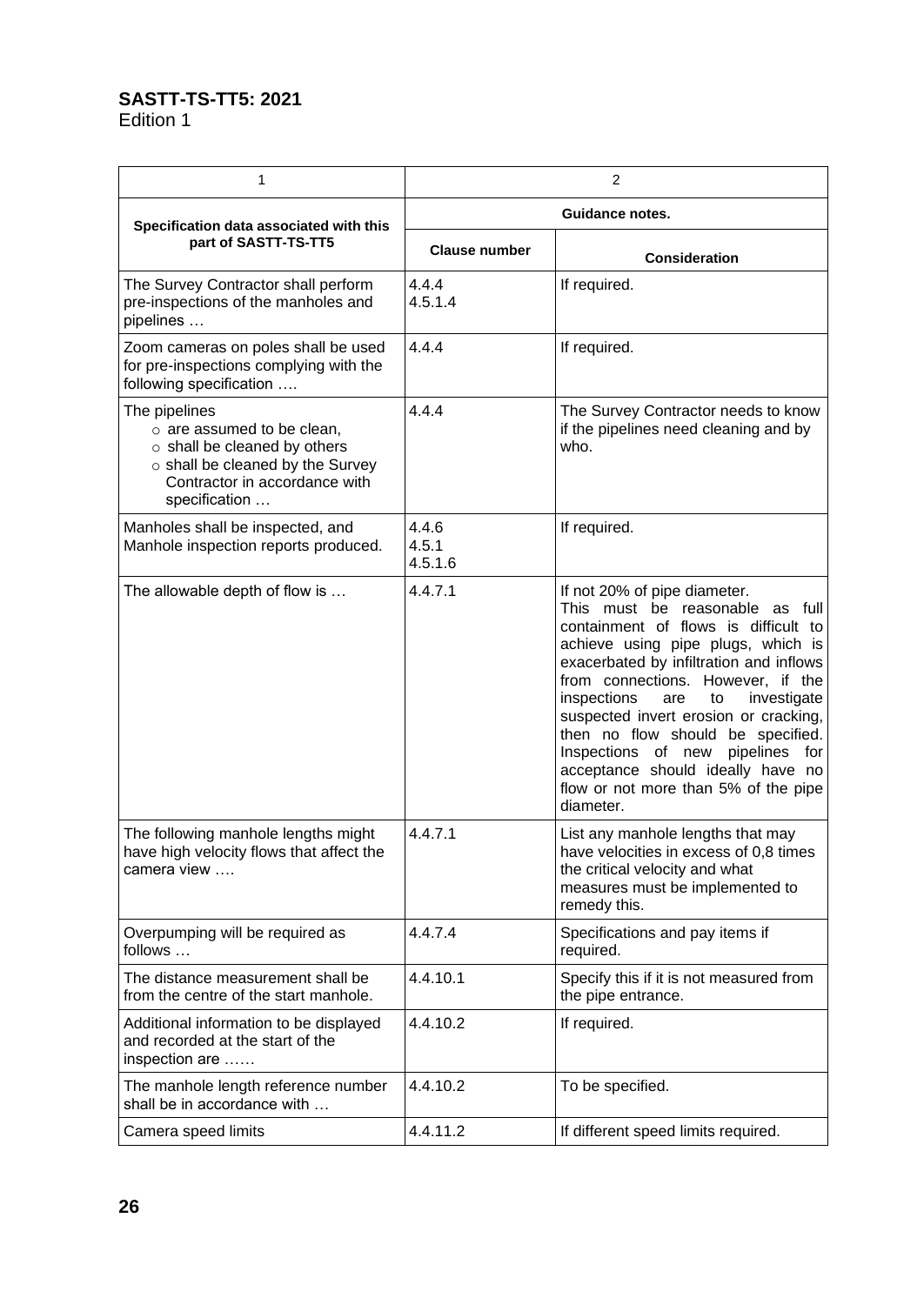## **SASTT-TS-TT5: 2021**

Edition 1

| 1                                                                                                                                                                       |                           | 2                                                                                                                                                                                                                                                                                                                                                                                                                                                                                       |
|-------------------------------------------------------------------------------------------------------------------------------------------------------------------------|---------------------------|-----------------------------------------------------------------------------------------------------------------------------------------------------------------------------------------------------------------------------------------------------------------------------------------------------------------------------------------------------------------------------------------------------------------------------------------------------------------------------------------|
| Specification data associated with this                                                                                                                                 | Guidance notes.           |                                                                                                                                                                                                                                                                                                                                                                                                                                                                                         |
| part of SASTT-TS-TT5                                                                                                                                                    | <b>Clause number</b>      | <b>Consideration</b>                                                                                                                                                                                                                                                                                                                                                                                                                                                                    |
| The Survey Contractor shall perform<br>pre-inspections of the manholes and<br>pipelines                                                                                 | 4.4.4<br>4.5.1.4          | If required.                                                                                                                                                                                                                                                                                                                                                                                                                                                                            |
| Zoom cameras on poles shall be used<br>for pre-inspections complying with the<br>following specification                                                                | 4.4.4                     | If required.                                                                                                                                                                                                                                                                                                                                                                                                                                                                            |
| The pipelines<br>$\circ$ are assumed to be clean,<br>o shall be cleaned by others<br>o shall be cleaned by the Survey<br>Contractor in accordance with<br>specification | 4.4.4                     | The Survey Contractor needs to know<br>if the pipelines need cleaning and by<br>who.                                                                                                                                                                                                                                                                                                                                                                                                    |
| Manholes shall be inspected, and<br>Manhole inspection reports produced.                                                                                                | 4.4.6<br>4.5.1<br>4.5.1.6 | If required.                                                                                                                                                                                                                                                                                                                                                                                                                                                                            |
| The allowable depth of flow is                                                                                                                                          | 4.4.7.1                   | If not 20% of pipe diameter.<br>This must be reasonable as full<br>containment of flows is difficult to<br>achieve using pipe plugs, which is<br>exacerbated by infiltration and inflows<br>from connections. However, if the<br>inspections<br>to<br>investigate<br>are<br>suspected invert erosion or cracking,<br>then no flow should be specified.<br>Inspections of new<br>pipelines for<br>acceptance should ideally have no<br>flow or not more than 5% of the pipe<br>diameter. |
| The following manhole lengths might<br>have high velocity flows that affect the<br>camera view                                                                          | 4.4.7.1                   | List any manhole lengths that may<br>have velocities in excess of 0,8 times<br>the critical velocity and what<br>measures must be implemented to<br>remedy this.                                                                                                                                                                                                                                                                                                                        |
| Overpumping will be required as<br>follows                                                                                                                              | 4.4.7.4                   | Specifications and pay items if<br>required.                                                                                                                                                                                                                                                                                                                                                                                                                                            |
| The distance measurement shall be<br>from the centre of the start manhole.                                                                                              | 4.4.10.1                  | Specify this if it is not measured from<br>the pipe entrance.                                                                                                                                                                                                                                                                                                                                                                                                                           |
| Additional information to be displayed<br>and recorded at the start of the<br>inspection are                                                                            | 4.4.10.2                  | If required.                                                                                                                                                                                                                                                                                                                                                                                                                                                                            |
| The manhole length reference number<br>shall be in accordance with                                                                                                      | 4.4.10.2                  | To be specified.                                                                                                                                                                                                                                                                                                                                                                                                                                                                        |
| Camera speed limits                                                                                                                                                     | 4.4.11.2                  | If different speed limits required.                                                                                                                                                                                                                                                                                                                                                                                                                                                     |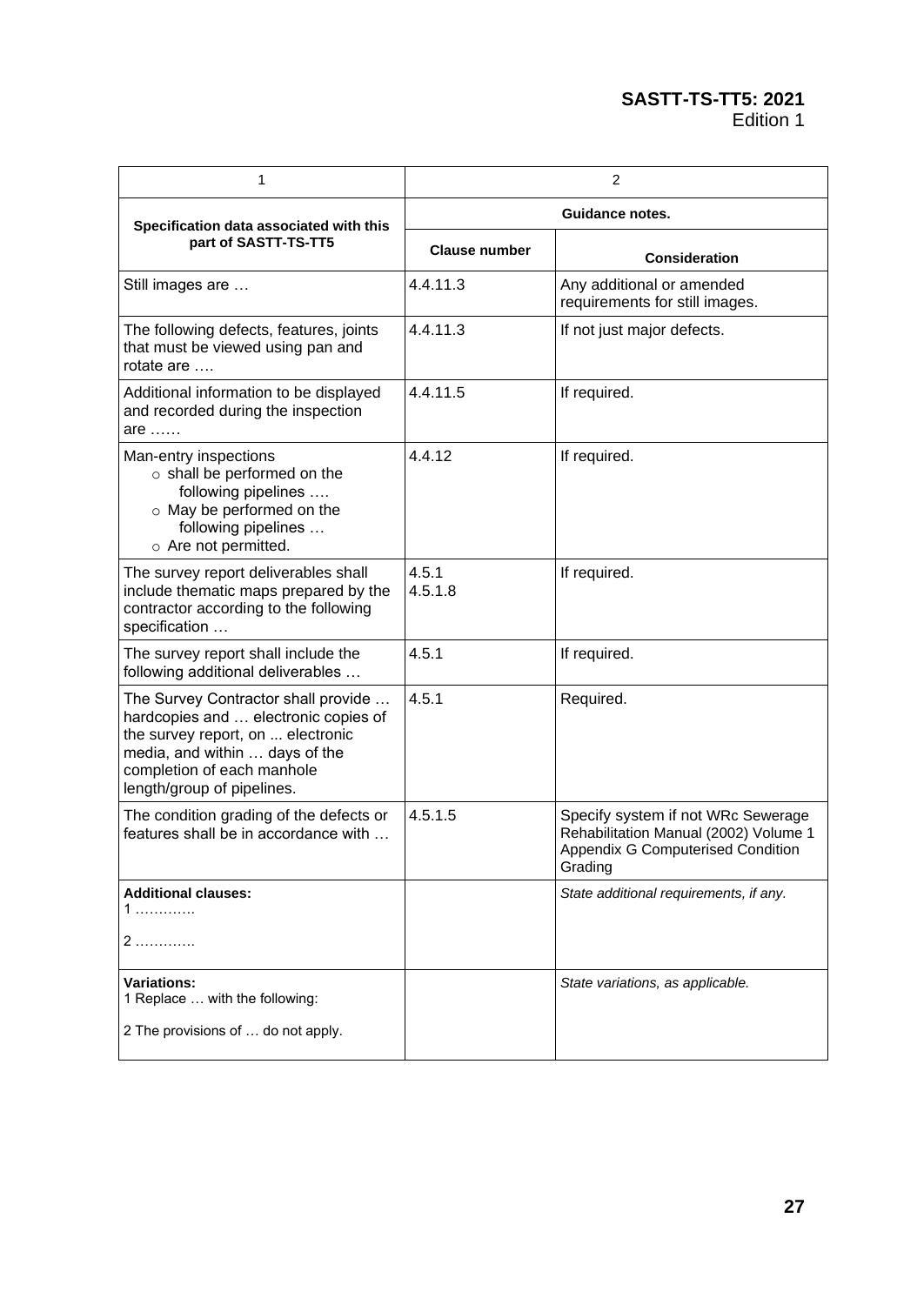| 1                                                                                                                                                                                                              |                      | $\overline{c}$                                                                                                              |  |
|----------------------------------------------------------------------------------------------------------------------------------------------------------------------------------------------------------------|----------------------|-----------------------------------------------------------------------------------------------------------------------------|--|
| Specification data associated with this                                                                                                                                                                        | Guidance notes.      |                                                                                                                             |  |
| part of SASTT-TS-TT5                                                                                                                                                                                           | <b>Clause number</b> | <b>Consideration</b>                                                                                                        |  |
| Still images are                                                                                                                                                                                               | 4.4.11.3             | Any additional or amended<br>requirements for still images.                                                                 |  |
| The following defects, features, joints<br>that must be viewed using pan and<br>rotate are                                                                                                                     | 4.4.11.3             | If not just major defects.                                                                                                  |  |
| Additional information to be displayed<br>and recorded during the inspection<br>are                                                                                                                            | 4.4.11.5             | If required.                                                                                                                |  |
| Man-entry inspections<br>o shall be performed on the<br>following pipelines<br>o May be performed on the<br>following pipelines<br>o Are not permitted.                                                        | 4.4.12               | If required.                                                                                                                |  |
| The survey report deliverables shall<br>include thematic maps prepared by the<br>contractor according to the following<br>specification                                                                        | 4.5.1<br>4.5.1.8     | If required.                                                                                                                |  |
| The survey report shall include the<br>following additional deliverables                                                                                                                                       | 4.5.1                | If required.                                                                                                                |  |
| The Survey Contractor shall provide<br>hardcopies and  electronic copies of<br>the survey report, on  electronic<br>media, and within  days of the<br>completion of each manhole<br>length/group of pipelines. | 4.5.1                | Required.                                                                                                                   |  |
| The condition grading of the defects or<br>features shall be in accordance with                                                                                                                                | 4.5.1.5              | Specify system if not WRc Sewerage<br>Rehabilitation Manual (2002) Volume 1<br>Appendix G Computerised Condition<br>Grading |  |
| <b>Additional clauses:</b><br>1<br>2                                                                                                                                                                           |                      | State additional requirements, if any.                                                                                      |  |
| <b>Variations:</b><br>1 Replace  with the following:<br>2 The provisions of  do not apply.                                                                                                                     |                      | State variations, as applicable.                                                                                            |  |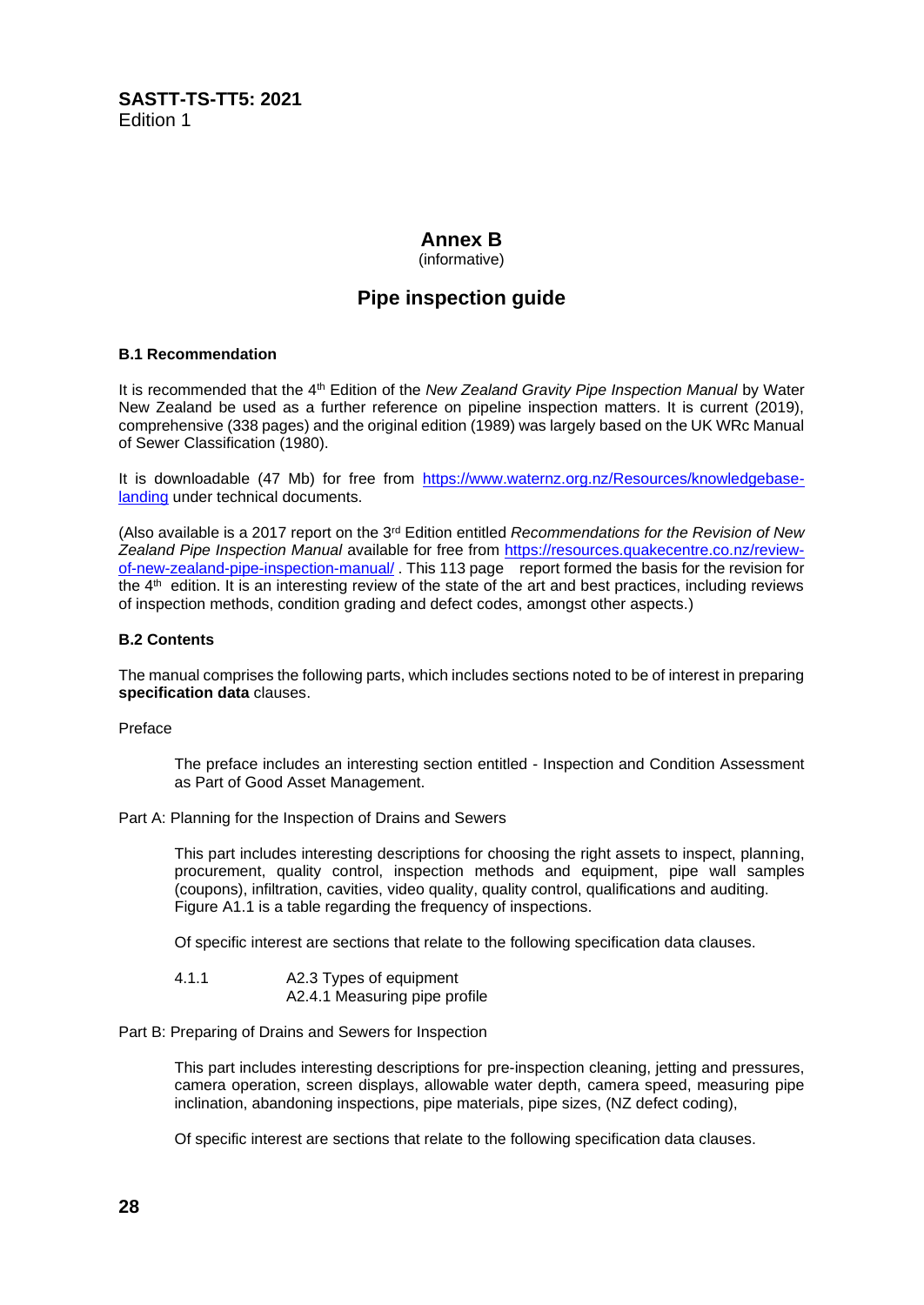## **Annex B**

(informative)

## **Pipe inspection guide**

#### **B.1 Recommendation**

It is recommended that the 4<sup>th</sup> Edition of the *New Zealand Gravity Pipe Inspection Manual* by Water New Zealand be used as a further reference on pipeline inspection matters. It is current (2019), comprehensive (338 pages) and the original edition (1989) was largely based on the UK WRc Manual of Sewer Classification (1980).

It is downloadable (47 Mb) for free from [https://www.waternz.org.nz/Resources/knowledgebase](https://www.waternz.org.nz/Resources/knowledgebase-landing)[landing](https://www.waternz.org.nz/Resources/knowledgebase-landing) under technical documents.

(Also available is a 2017 report on the 3rd Edition entitled *Recommendations for the Revision of New Zealand Pipe Inspection Manual* available for free from [https://resources.quakecentre.co.nz/review](https://resources.quakecentre.co.nz/review-of-new-zealand-pipe-inspection-manual/)[of-new-zealand-pipe-inspection-manual/](https://resources.quakecentre.co.nz/review-of-new-zealand-pipe-inspection-manual/) . This 113 page report formed the basis for the revision for the 4th edition. It is an interesting review of the state of the art and best practices, including reviews of inspection methods, condition grading and defect codes, amongst other aspects.)

#### **B.2 Contents**

The manual comprises the following parts, which includes sections noted to be of interest in preparing **specification data** clauses.

Preface

The preface includes an interesting section entitled - Inspection and Condition Assessment as Part of Good Asset Management.

Part A: Planning for the Inspection of Drains and Sewers

This part includes interesting descriptions for choosing the right assets to inspect, planning, procurement, quality control, inspection methods and equipment, pipe wall samples (coupons), infiltration, cavities, video quality, quality control, qualifications and auditing. Figure A1.1 is a table regarding the frequency of inspections.

Of specific interest are sections that relate to the following specification data clauses.

4.1.1 A2.3 Types of equipment A2.4.1 Measuring pipe profile

Part B: Preparing of Drains and Sewers for Inspection

This part includes interesting descriptions for pre-inspection cleaning, jetting and pressures, camera operation, screen displays, allowable water depth, camera speed, measuring pipe inclination, abandoning inspections, pipe materials, pipe sizes, (NZ defect coding),

Of specific interest are sections that relate to the following specification data clauses.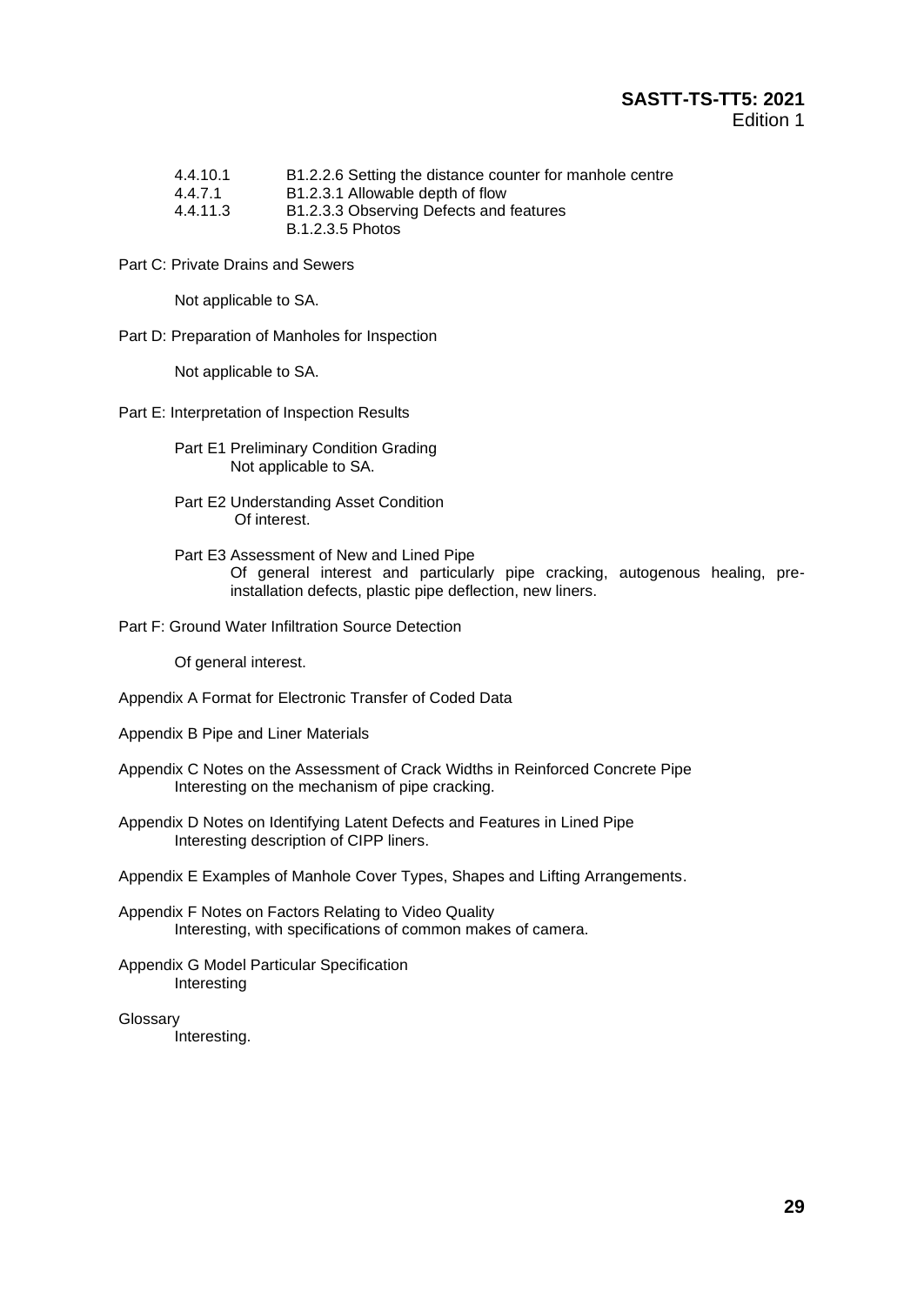| 4.4.10.1 | B1.2.2.6 Setting the distance counter for manhole centre |
|----------|----------------------------------------------------------|
|----------|----------------------------------------------------------|

- 4.4.7.1 B1.2.3.1 Allowable depth of flow
- 4.4.11.3 B1.2.3.3 Observing Defects and features
	- B.1.2.3.5 Photos
- Part C: Private Drains and Sewers

Not applicable to SA.

Part D: Preparation of Manholes for Inspection

Not applicable to SA.

Part E: Interpretation of Inspection Results

Part E1 Preliminary Condition Grading Not applicable to SA.

- Part E2 Understanding Asset Condition Of interest.
- Part E3 Assessment of New and Lined Pipe Of general interest and particularly pipe cracking, autogenous healing, preinstallation defects, plastic pipe deflection, new liners.

Part F: Ground Water Infiltration Source Detection

Of general interest.

Appendix A Format for Electronic Transfer of Coded Data

Appendix B Pipe and Liner Materials

- Appendix C Notes on the Assessment of Crack Widths in Reinforced Concrete Pipe Interesting on the mechanism of pipe cracking.
- Appendix D Notes on Identifying Latent Defects and Features in Lined Pipe Interesting description of CIPP liners.

Appendix E Examples of Manhole Cover Types, Shapes and Lifting Arrangements.

Appendix F Notes on Factors Relating to Video Quality Interesting, with specifications of common makes of camera.

Appendix G Model Particular Specification Interesting

Glossary

Interesting.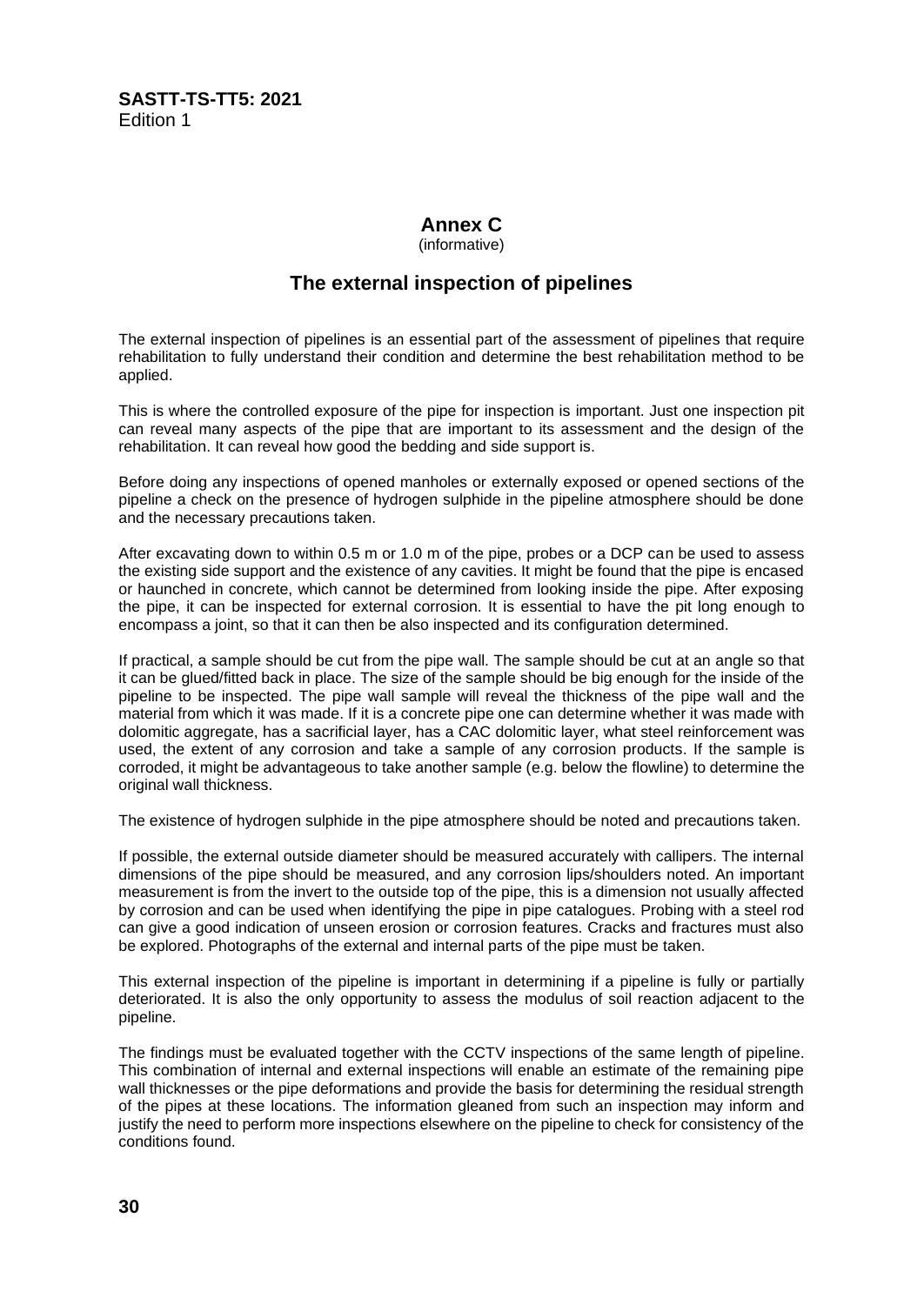## **Annex C**

(informative)

## **The external inspection of pipelines**

The external inspection of pipelines is an essential part of the assessment of pipelines that require rehabilitation to fully understand their condition and determine the best rehabilitation method to be applied.

This is where the controlled exposure of the pipe for inspection is important. Just one inspection pit can reveal many aspects of the pipe that are important to its assessment and the design of the rehabilitation. It can reveal how good the bedding and side support is.

Before doing any inspections of opened manholes or externally exposed or opened sections of the pipeline a check on the presence of hydrogen sulphide in the pipeline atmosphere should be done and the necessary precautions taken.

After excavating down to within 0.5 m or 1.0 m of the pipe, probes or a DCP can be used to assess the existing side support and the existence of any cavities. It might be found that the pipe is encased or haunched in concrete, which cannot be determined from looking inside the pipe. After exposing the pipe, it can be inspected for external corrosion. It is essential to have the pit long enough to encompass a joint, so that it can then be also inspected and its configuration determined.

If practical, a sample should be cut from the pipe wall. The sample should be cut at an angle so that it can be glued/fitted back in place. The size of the sample should be big enough for the inside of the pipeline to be inspected. The pipe wall sample will reveal the thickness of the pipe wall and the material from which it was made. If it is a concrete pipe one can determine whether it was made with dolomitic aggregate, has a sacrificial layer, has a CAC dolomitic layer, what steel reinforcement was used, the extent of any corrosion and take a sample of any corrosion products. If the sample is corroded, it might be advantageous to take another sample (e.g. below the flowline) to determine the original wall thickness.

The existence of hydrogen sulphide in the pipe atmosphere should be noted and precautions taken.

If possible, the external outside diameter should be measured accurately with callipers. The internal dimensions of the pipe should be measured, and any corrosion lips/shoulders noted. An important measurement is from the invert to the outside top of the pipe, this is a dimension not usually affected by corrosion and can be used when identifying the pipe in pipe catalogues. Probing with a steel rod can give a good indication of unseen erosion or corrosion features. Cracks and fractures must also be explored. Photographs of the external and internal parts of the pipe must be taken.

This external inspection of the pipeline is important in determining if a pipeline is fully or partially deteriorated. It is also the only opportunity to assess the modulus of soil reaction adjacent to the pipeline.

The findings must be evaluated together with the CCTV inspections of the same length of pipeline. This combination of internal and external inspections will enable an estimate of the remaining pipe wall thicknesses or the pipe deformations and provide the basis for determining the residual strength of the pipes at these locations. The information gleaned from such an inspection may inform and justify the need to perform more inspections elsewhere on the pipeline to check for consistency of the conditions found.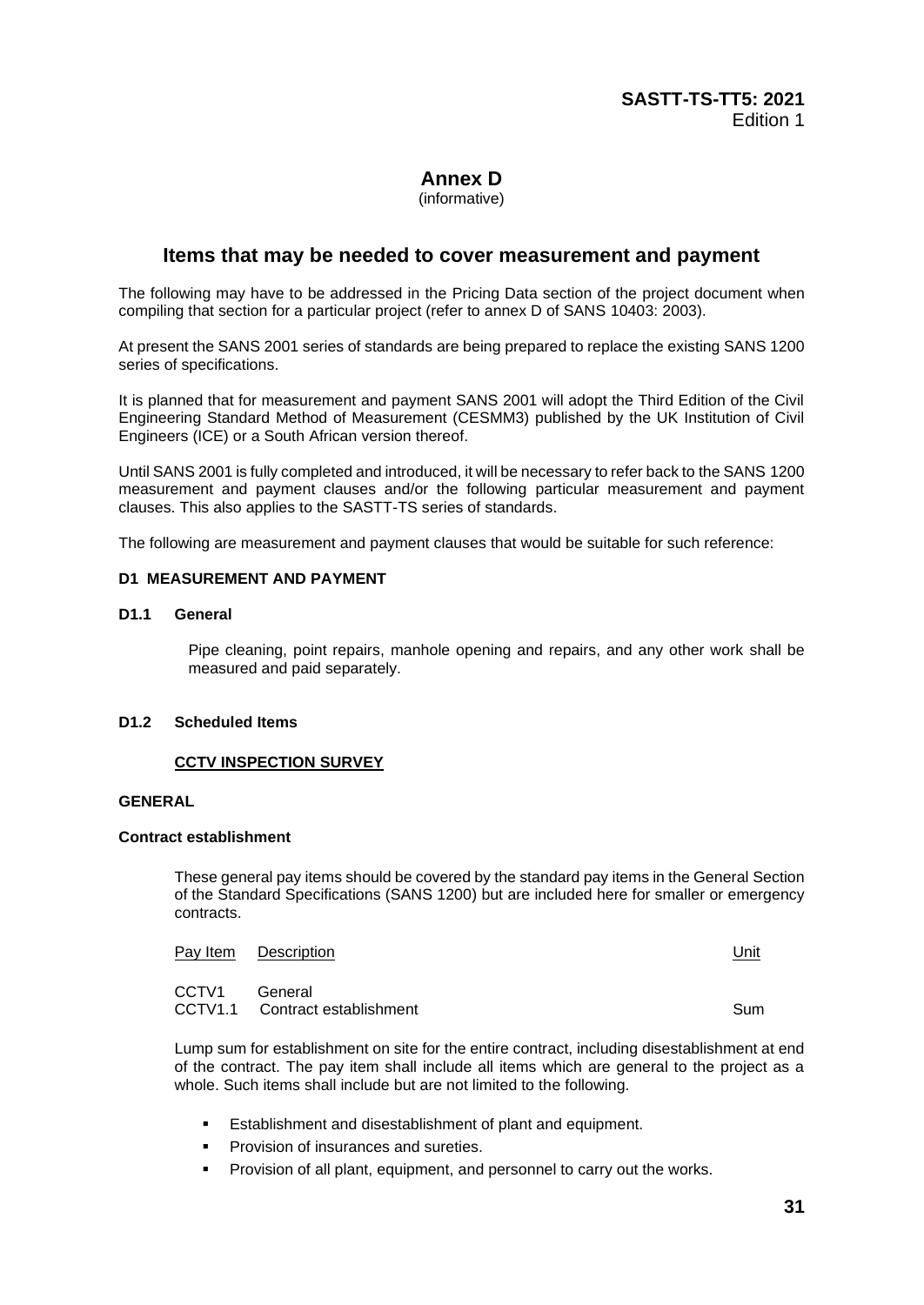## **Annex D**

(informative)

## **Items that may be needed to cover measurement and payment**

The following may have to be addressed in the Pricing Data section of the project document when compiling that section for a particular project (refer to annex D of SANS 10403: 2003).

At present the SANS 2001 series of standards are being prepared to replace the existing SANS 1200 series of specifications.

It is planned that for measurement and payment SANS 2001 will adopt the Third Edition of the Civil Engineering Standard Method of Measurement (CESMM3) published by the UK Institution of Civil Engineers (ICE) or a South African version thereof.

Until SANS 2001 is fully completed and introduced, it will be necessary to refer back to the SANS 1200 measurement and payment clauses and/or the following particular measurement and payment clauses. This also applies to the SASTT-TS series of standards.

The following are measurement and payment clauses that would be suitable for such reference:

#### **D1 MEASUREMENT AND PAYMENT**

#### **D1.1 General**

Pipe cleaning, point repairs, manhole opening and repairs, and any other work shall be measured and paid separately.

#### **D1.2 Scheduled Items**

#### **CCTV INSPECTION SURVEY**

#### **GENERAL**

#### **Contract establishment**

These general pay items should be covered by the standard pay items in the General Section of the Standard Specifications (SANS 1200) but are included here for smaller or emergency contracts.

|               | Pay Item Description           | Unit |
|---------------|--------------------------------|------|
| CCTV1 General | CCTV1.1 Contract establishment | Sum  |

Lump sum for establishment on site for the entire contract, including disestablishment at end of the contract. The pay item shall include all items which are general to the project as a whole. Such items shall include but are not limited to the following.

- Establishment and disestablishment of plant and equipment.
- Provision of insurances and sureties.
- Provision of all plant, equipment, and personnel to carry out the works.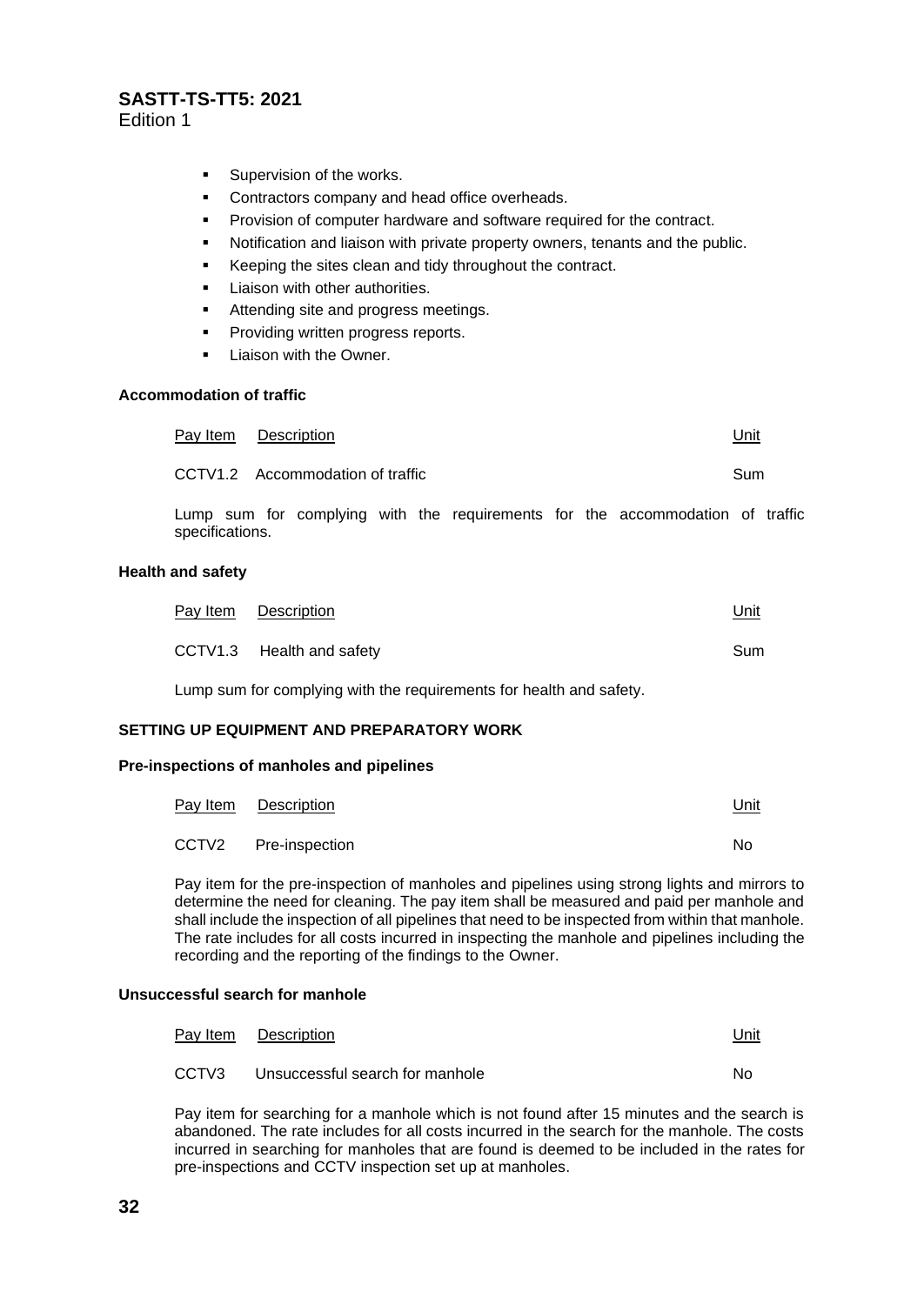## **SASTT-TS-TT5: 2021**

Edition 1

- Supervision of the works.
- Contractors company and head office overheads.
- Provision of computer hardware and software required for the contract.
- Notification and liaison with private property owners, tenants and the public.
- Keeping the sites clean and tidy throughout the contract.
- Liaison with other authorities.
- Attending site and progress meetings.
- **•** Providing written progress reports.
- Liaison with the Owner.

#### **Accommodation of traffic**

| Pay Item Description             | Unit       |
|----------------------------------|------------|
| CCTV1.2 Accommodation of traffic | <b>Sum</b> |

Lump sum for complying with the requirements for the accommodation of traffic specifications.

#### **Health and safety**

| Pay Item Description      | <u>Unit</u> |
|---------------------------|-------------|
| CCTV1.3 Health and safety | Sum         |

Lump sum for complying with the requirements for health and safety.

#### **SETTING UP EQUIPMENT AND PREPARATORY WORK**

#### **Pre-inspections of manholes and pipelines**

| Pay Item Description | Unit |
|----------------------|------|
| CCTV2 Pre-inspection | No.  |

Pay item for the pre-inspection of manholes and pipelines using strong lights and mirrors to determine the need for cleaning. The pay item shall be measured and paid per manhole and shall include the inspection of all pipelines that need to be inspected from within that manhole. The rate includes for all costs incurred in inspecting the manhole and pipelines including the recording and the reporting of the findings to the Owner.

#### **Unsuccessful search for manhole**

|       | Pay Item Description            | <u>Unit</u> |
|-------|---------------------------------|-------------|
| CCTV3 | Unsuccessful search for manhole | Nο          |

Pay item for searching for a manhole which is not found after 15 minutes and the search is abandoned. The rate includes for all costs incurred in the search for the manhole. The costs incurred in searching for manholes that are found is deemed to be included in the rates for pre-inspections and CCTV inspection set up at manholes.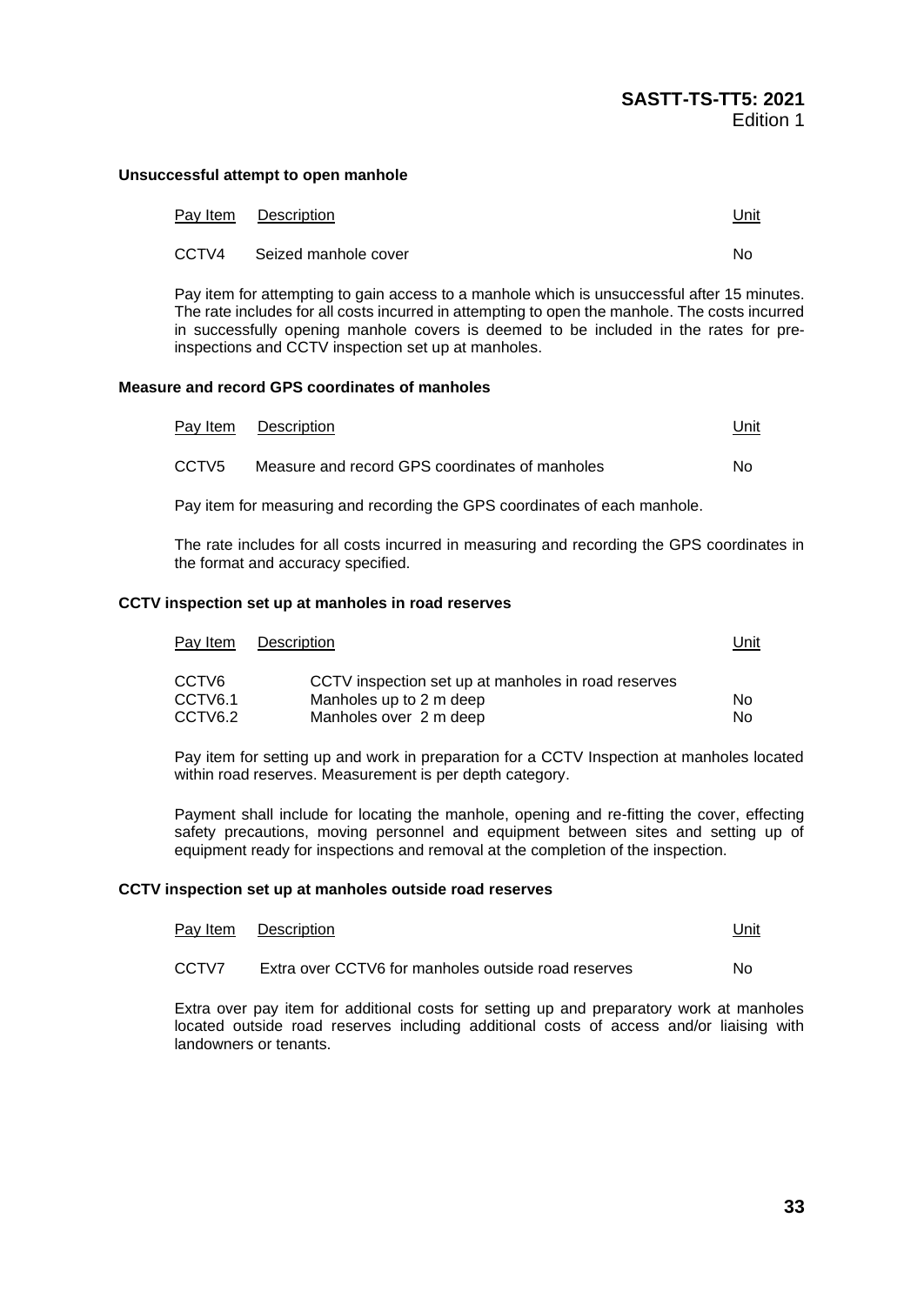#### **Unsuccessful attempt to open manhole**

| Pay Item Description       | Unit |
|----------------------------|------|
| CCTV4 Seized manhole cover | Nο   |

Pay item for attempting to gain access to a manhole which is unsuccessful after 15 minutes. The rate includes for all costs incurred in attempting to open the manhole. The costs incurred in successfully opening manhole covers is deemed to be included in the rates for preinspections and CCTV inspection set up at manholes.

#### **Measure and record GPS coordinates of manholes**

|       | Pay Item Description                           | <u>Unit</u> |
|-------|------------------------------------------------|-------------|
| CCTV5 | Measure and record GPS coordinates of manholes | Nο          |

Pay item for measuring and recording the GPS coordinates of each manhole.

The rate includes for all costs incurred in measuring and recording the GPS coordinates in the format and accuracy specified.

#### **CCTV inspection set up at manholes in road reserves**

| Pay Item | Description                                         | Unit |
|----------|-----------------------------------------------------|------|
| CCTV6    | CCTV inspection set up at manholes in road reserves |      |
| CCTV6.1  | Manholes up to 2 m deep                             | No   |
| CCTV6.2  | Manholes over 2 m deep                              | N٥   |

Pay item for setting up and work in preparation for a CCTV Inspection at manholes located within road reserves. Measurement is per depth category.

Payment shall include for locating the manhole, opening and re-fitting the cover, effecting safety precautions, moving personnel and equipment between sites and setting up of equipment ready for inspections and removal at the completion of the inspection.

#### **CCTV inspection set up at manholes outside road reserves**

|       | Pay Item Description                                | <u>Unit</u> |
|-------|-----------------------------------------------------|-------------|
| CCTV7 | Extra over CCTV6 for manholes outside road reserves | No.         |

Extra over pay item for additional costs for setting up and preparatory work at manholes located outside road reserves including additional costs of access and/or liaising with landowners or tenants.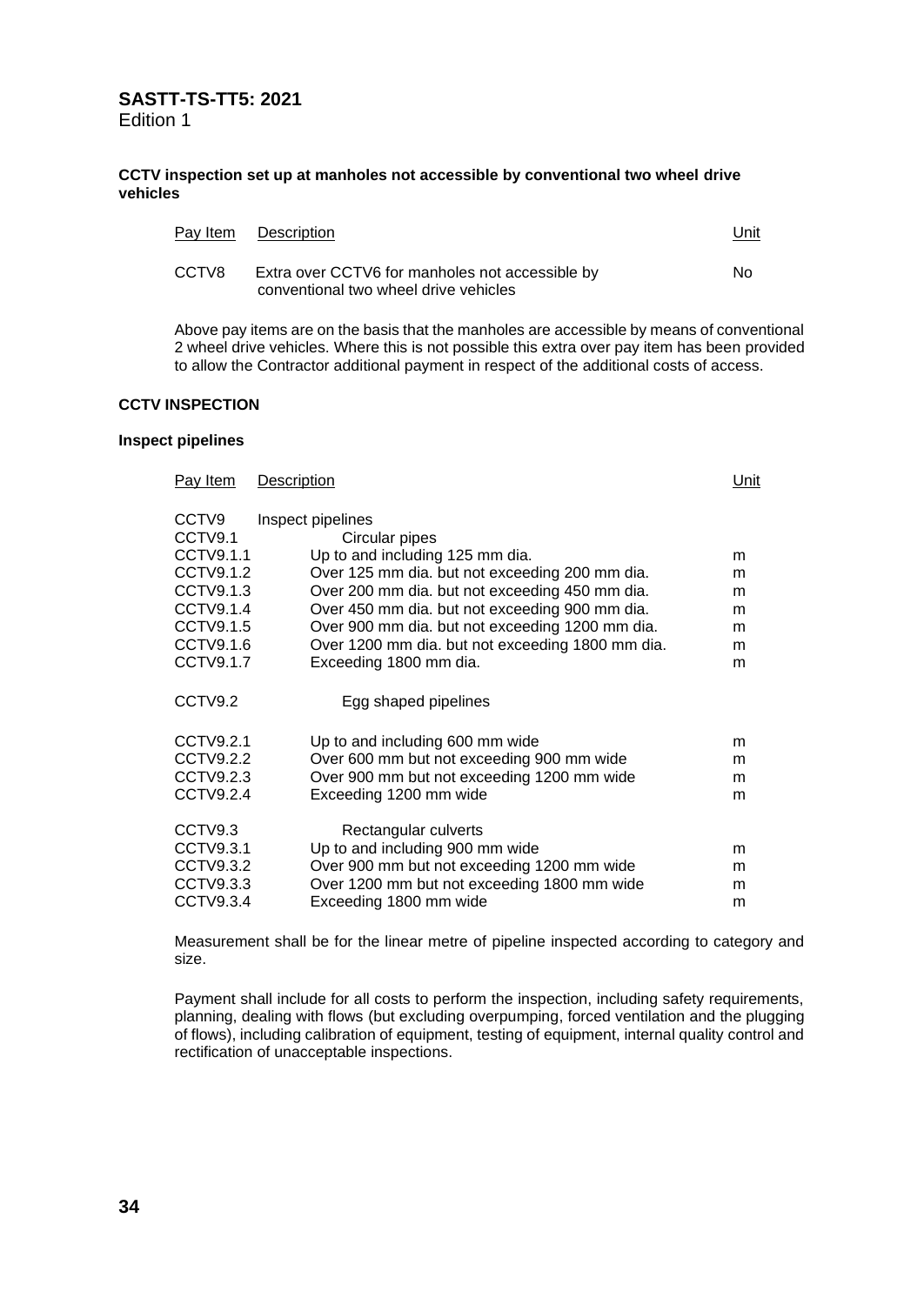#### **CCTV inspection set up at manholes not accessible by conventional two wheel drive vehicles**

|       | Pay Item Description                                                                     | <u>Unit</u> |
|-------|------------------------------------------------------------------------------------------|-------------|
| CCTV8 | Extra over CCTV6 for manholes not accessible by<br>conventional two wheel drive vehicles | Nο          |

Above pay items are on the basis that the manholes are accessible by means of conventional 2 wheel drive vehicles. Where this is not possible this extra over pay item has been provided to allow the Contractor additional payment in respect of the additional costs of access.

#### **CCTV INSPECTION**

#### **Inspect pipelines**

| <b>Pay Item</b>              | <b>Description</b>                               | Unit |
|------------------------------|--------------------------------------------------|------|
| CCTV <sub>9</sub><br>CCTV9.1 | Inspect pipelines<br>Circular pipes              |      |
| CCTV9.1.1                    | Up to and including 125 mm dia.                  | m    |
| CCTV9.1.2                    | Over 125 mm dia. but not exceeding 200 mm dia.   | m    |
| CCTV9.1.3                    | Over 200 mm dia. but not exceeding 450 mm dia.   | m    |
| CCTV9.1.4                    | Over 450 mm dia. but not exceeding 900 mm dia.   | m    |
| CCTV9.1.5                    | Over 900 mm dia. but not exceeding 1200 mm dia.  | m    |
| CCTV9.1.6                    | Over 1200 mm dia. but not exceeding 1800 mm dia. | m    |
| CCTV9.1.7                    | Exceeding 1800 mm dia.                           | m    |
| CCTV9.2                      | Egg shaped pipelines                             |      |
| CCTV9.2.1                    | Up to and including 600 mm wide                  | m    |
| CCTV9.2.2                    | Over 600 mm but not exceeding 900 mm wide        | m    |
| CCTV9.2.3                    | Over 900 mm but not exceeding 1200 mm wide       | m    |
| CCTV9.2.4                    | Exceeding 1200 mm wide                           | m    |
| CCTV9.3                      | Rectangular culverts                             |      |
| CCTV9.3.1                    | Up to and including 900 mm wide                  | m    |
| CCTV9.3.2                    | Over 900 mm but not exceeding 1200 mm wide       | m    |
| CCTV9.3.3                    | Over 1200 mm but not exceeding 1800 mm wide      | m    |
| CCTV9.3.4                    | Exceeding 1800 mm wide                           | m    |

Measurement shall be for the linear metre of pipeline inspected according to category and size.

Payment shall include for all costs to perform the inspection, including safety requirements, planning, dealing with flows (but excluding overpumping, forced ventilation and the plugging of flows), including calibration of equipment, testing of equipment, internal quality control and rectification of unacceptable inspections.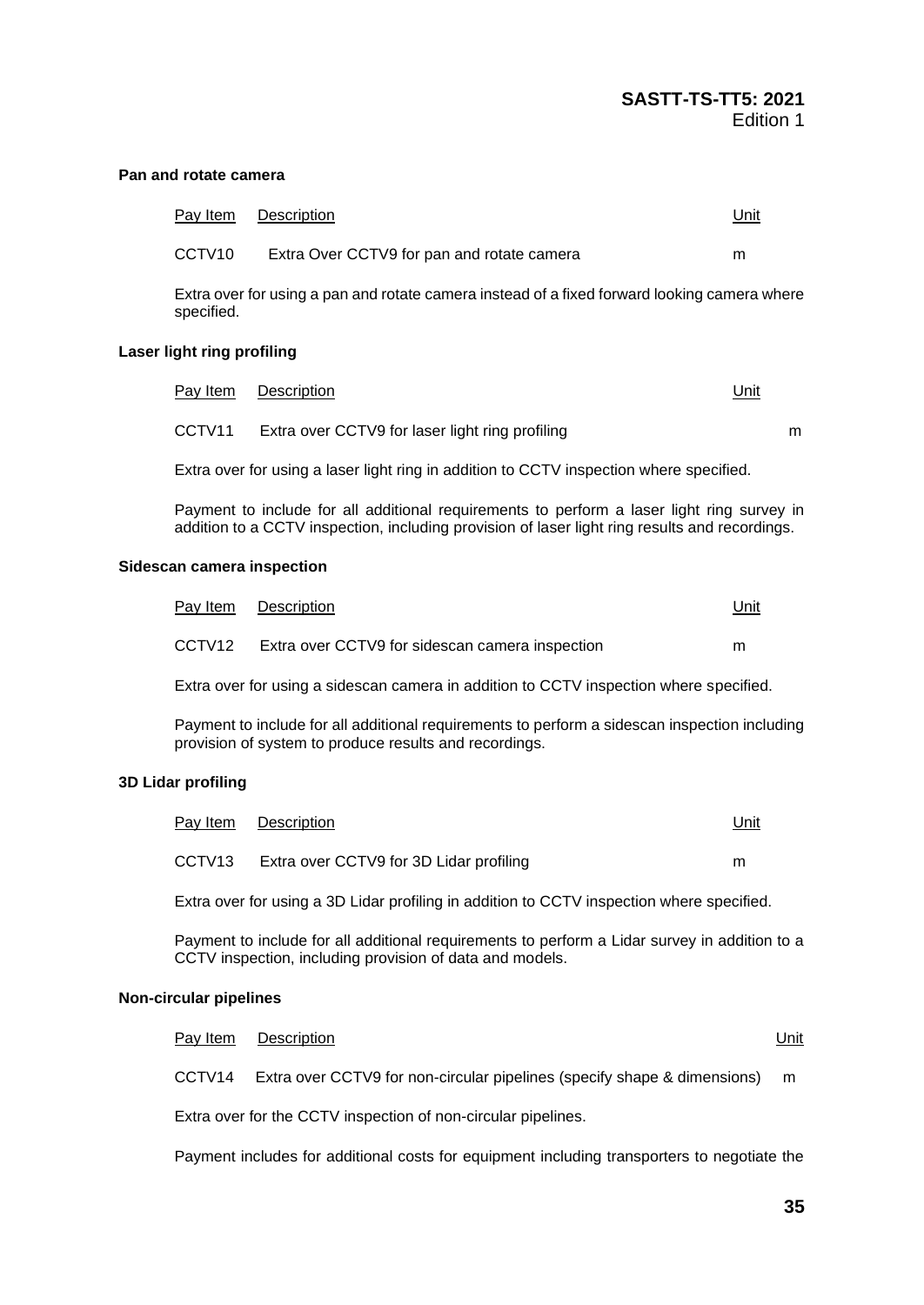#### **Pan and rotate camera**

|        | Pay Item Description                       | Unit |
|--------|--------------------------------------------|------|
| CCTV10 | Extra Over CCTV9 for pan and rotate camera | m    |

Extra over for using a pan and rotate camera instead of a fixed forward looking camera where specified.

#### **Laser light ring profiling**

|        | Pay Item Description                            | Unit |
|--------|-------------------------------------------------|------|
| CCTV11 | Extra over CCTV9 for laser light ring profiling | m    |

Extra over for using a laser light ring in addition to CCTV inspection where specified.

Payment to include for all additional requirements to perform a laser light ring survey in addition to a CCTV inspection, including provision of laser light ring results and recordings.

#### **Sidescan camera inspection**

|        | Pay Item Description                            | <u>Unit</u> |
|--------|-------------------------------------------------|-------------|
| CCTV12 | Extra over CCTV9 for sidescan camera inspection | m           |

Extra over for using a sidescan camera in addition to CCTV inspection where specified.

Payment to include for all additional requirements to perform a sidescan inspection including provision of system to produce results and recordings.

#### **3D Lidar profiling**

|        | Pay Item Description                    | <u>Unit</u> |
|--------|-----------------------------------------|-------------|
| CCTV13 | Extra over CCTV9 for 3D Lidar profiling |             |

Extra over for using a 3D Lidar profiling in addition to CCTV inspection where specified.

Payment to include for all additional requirements to perform a Lidar survey in addition to a CCTV inspection, including provision of data and models.

#### **Non-circular pipelines**

| <u>Pay Item Description</u>                                                     | <u>Unit</u> |
|---------------------------------------------------------------------------------|-------------|
| CCTV14 Extra over CCTV9 for non-circular pipelines (specify shape & dimensions) | m           |
| Extra over for the CCTV inspection of non-circular pipelines.                   |             |

Payment includes for additional costs for equipment including transporters to negotiate the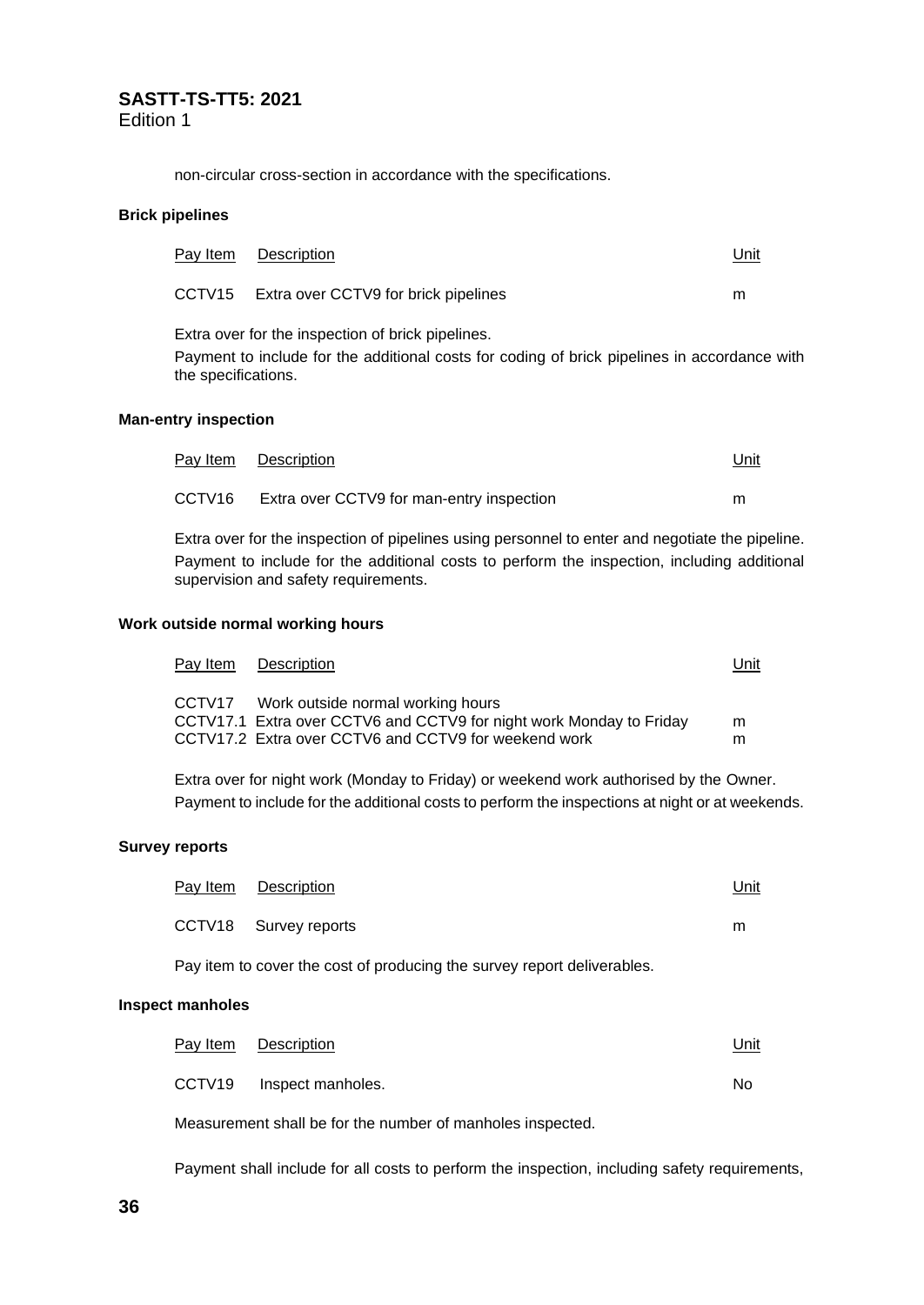## **SASTT-TS-TT5: 2021**

Edition 1

non-circular cross-section in accordance with the specifications.

#### **Brick pipelines**

| Pay Item Description                        | <u>Unit</u> |
|---------------------------------------------|-------------|
| CCTV15 Extra over CCTV9 for brick pipelines | m           |

Extra over for the inspection of brick pipelines.

Payment to include for the additional costs for coding of brick pipelines in accordance with the specifications.

#### **Man-entry inspection**

|        | Pay Item Description                      | <u>Unit</u> |
|--------|-------------------------------------------|-------------|
| CCTV16 | Extra over CCTV9 for man-entry inspection | m           |

Extra over for the inspection of pipelines using personnel to enter and negotiate the pipeline. Payment to include for the additional costs to perform the inspection, including additional supervision and safety requirements.

#### **Work outside normal working hours**

| Pay Item | Description                                                                                                                                                             | Unit   |
|----------|-------------------------------------------------------------------------------------------------------------------------------------------------------------------------|--------|
|          | CCTV17 Work outside normal working hours<br>CCTV17.1 Extra over CCTV6 and CCTV9 for night work Monday to Friday<br>CCTV17.2 Extra over CCTV6 and CCTV9 for weekend work | m<br>m |

Extra over for night work (Monday to Friday) or weekend work authorised by the Owner. Payment to include for the additional costs to perform the inspections at night or at weekends.

#### **Survey reports**

| Pay Item Description  | <u>Unit</u> |
|-----------------------|-------------|
| CCTV18 Survey reports | m           |

Pay item to cover the cost of producing the survey report deliverables.

#### **Inspect manholes**

| Pay Item Description     | <u>Unit</u> |
|--------------------------|-------------|
| CCTV19 Inspect manholes. | No          |

Measurement shall be for the number of manholes inspected.

Payment shall include for all costs to perform the inspection, including safety requirements,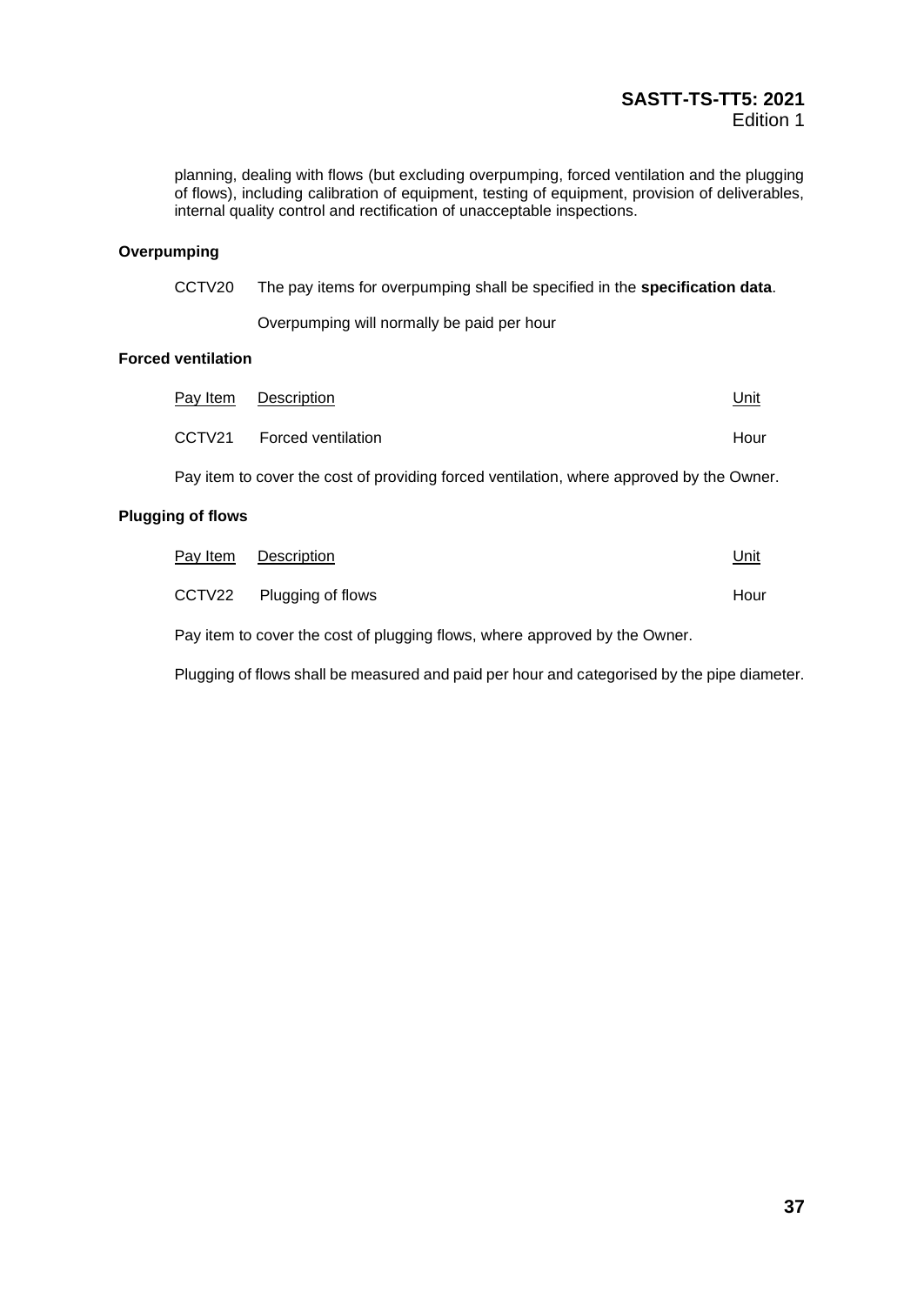planning, dealing with flows (but excluding overpumping, forced ventilation and the plugging of flows), including calibration of equipment, testing of equipment, provision of deliverables, internal quality control and rectification of unacceptable inspections.

#### **Overpumping**

CCTV20 The pay items for overpumping shall be specified in the **specification data**.

Overpumping will normally be paid per hour

### **Forced ventilation**

| Pay Item Description      | <u>Unit</u> |
|---------------------------|-------------|
| CCTV21 Forced ventilation | Hour        |

Pay item to cover the cost of providing forced ventilation, where approved by the Owner.

## **Plugging of flows**

| Pay Item Description     | <u>Unit</u> |
|--------------------------|-------------|
| CCTV22 Plugging of flows | Hour        |

Pay item to cover the cost of plugging flows, where approved by the Owner.

Plugging of flows shall be measured and paid per hour and categorised by the pipe diameter.